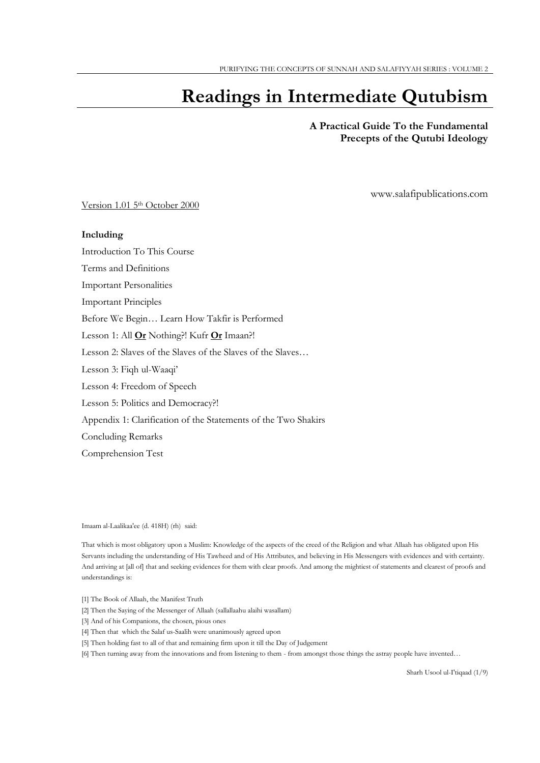# **Readings in Intermediate Qutubism**

## **A Practical Guide To the Fundamental Precepts of the Qutubi Ideology**

www.salafipublications.com

Version 1.01 5th October 2000

#### **Including**

Introduction To This Course

Terms and Definitions

Important Personalities

Important Principles

Before We Begin… Learn How Takfir is Performed

Lesson 1: All **Or** Nothing?! Kufr **Or** Imaan?!

Lesson 2: Slaves of the Slaves of the Slaves of the Slaves…

Lesson 3: Fiqh ul-Waaqi'

Lesson 4: Freedom of Speech

Lesson 5: Politics and Democracy?!

Appendix 1: Clarification of the Statements of the Two Shakirs

Concluding Remarks

Comprehension Test

Imaam al-Laalikaa'ee (d. 418H) (rh) said:

That which is most obligatory upon a Muslim: Knowledge of the aspects of the creed of the Religion and what Allaah has obligated upon His Servants including the understanding of His Tawheed and of His Attributes, and believing in His Messengers with evidences and with certainty. And arriving at [all of] that and seeking evidences for them with clear proofs. And among the mightiest of statements and clearest of proofs and understandings is:

- [1] The Book of Allaah, the Manifest Truth
- [2] Then the Saying of the Messenger of Allaah (sallallaahu alaihi wasallam)
- [3] And of his Companions, the chosen, pious ones
- [4] Then that which the Salaf us-Saalih were unanimously agreed upon
- [5] Then holding fast to all of that and remaining firm upon it till the Day of Judgement

[6] Then turning away from the innovations and from listening to them - from amongst those things the astray people have invented…

Sharh Usool ul-I'tiqaad (1/9)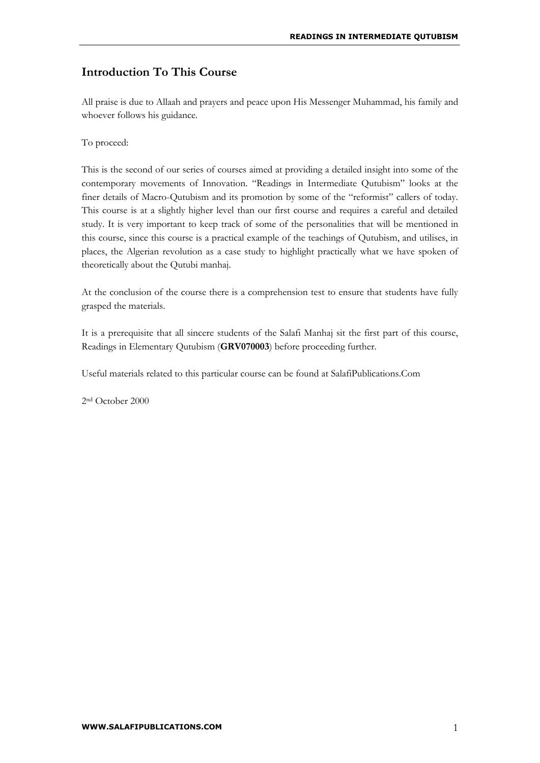## **Introduction To This Course**

All praise is due to Allaah and prayers and peace upon His Messenger Muhammad, his family and whoever follows his guidance.

To proceed:

This is the second of our series of courses aimed at providing a detailed insight into some of the contemporary movements of Innovation. "Readings in Intermediate Qutubism" looks at the finer details of Macro-Qutubism and its promotion by some of the "reformist" callers of today. This course is at a slightly higher level than our first course and requires a careful and detailed study. It is very important to keep track of some of the personalities that will be mentioned in this course, since this course is a practical example of the teachings of Qutubism, and utilises, in places, the Algerian revolution as a case study to highlight practically what we have spoken of theoretically about the Qutubi manhaj.

At the conclusion of the course there is a comprehension test to ensure that students have fully grasped the materials.

It is a prerequisite that all sincere students of the Salafi Manhaj sit the first part of this course, Readings in Elementary Qutubism (**GRV070003**) before proceeding further.

Useful materials related to this particular course can be found at SalafiPublications.Com

2nd October 2000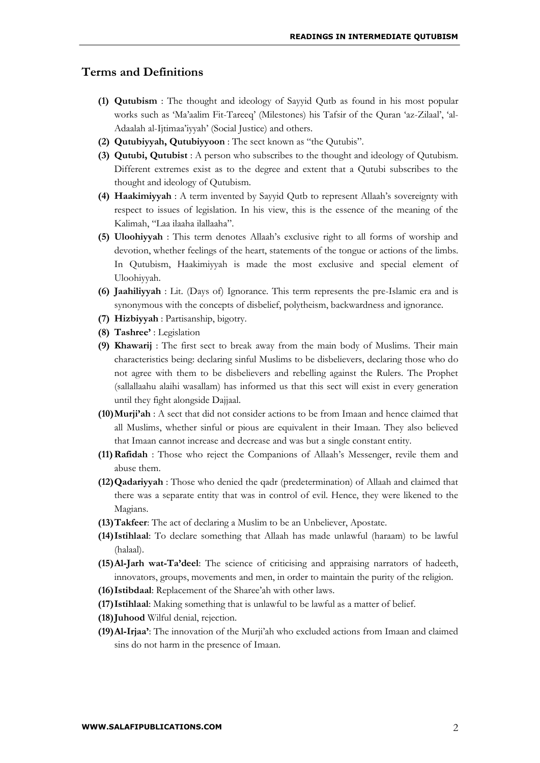## **Terms and Definitions**

- **(1) Qutubism** : The thought and ideology of Sayyid Qutb as found in his most popular works such as 'Ma'aalim Fit-Tareeq' (Milestones) his Tafsir of the Quran 'az-Zilaal', 'al-Adaalah al-Ijtimaa'iyyah' (Social Justice) and others.
- **(2) Qutubiyyah, Qutubiyyoon** : The sect known as "the Qutubis".
- **(3) Qutubi, Qutubist** : A person who subscribes to the thought and ideology of Qutubism. Different extremes exist as to the degree and extent that a Qutubi subscribes to the thought and ideology of Qutubism.
- **(4) Haakimiyyah** : A term invented by Sayyid Qutb to represent Allaah's sovereignty with respect to issues of legislation. In his view, this is the essence of the meaning of the Kalimah, "Laa ilaaha ilallaaha".
- **(5) Uloohiyyah** : This term denotes Allaah's exclusive right to all forms of worship and devotion, whether feelings of the heart, statements of the tongue or actions of the limbs. In Qutubism, Haakimiyyah is made the most exclusive and special element of Uloohiyyah.
- **(6) Jaahiliyyah** : Lit. (Days of) Ignorance. This term represents the pre-Islamic era and is synonymous with the concepts of disbelief, polytheism, backwardness and ignorance.
- **(7) Hizbiyyah** : Partisanship, bigotry.
- **(8) Tashree'** : Legislation
- **(9) Khawarij** : The first sect to break away from the main body of Muslims. Their main characteristics being: declaring sinful Muslims to be disbelievers, declaring those who do not agree with them to be disbelievers and rebelling against the Rulers. The Prophet (sallallaahu alaihi wasallam) has informed us that this sect will exist in every generation until they fight alongside Dajjaal.
- **(10)Murji'ah** : A sect that did not consider actions to be from Imaan and hence claimed that all Muslims, whether sinful or pious are equivalent in their Imaan. They also believed that Imaan cannot increase and decrease and was but a single constant entity.
- **(11)Rafidah** : Those who reject the Companions of Allaah's Messenger, revile them and abuse them.
- **(12)Qadariyyah** : Those who denied the qadr (predetermination) of Allaah and claimed that there was a separate entity that was in control of evil. Hence, they were likened to the Magians.
- **(13)Takfeer**: The act of declaring a Muslim to be an Unbeliever, Apostate.
- **(14)Istihlaal**: To declare something that Allaah has made unlawful (haraam) to be lawful (halaal).
- **(15)Al-Jarh wat-Ta'deel**: The science of criticising and appraising narrators of hadeeth, innovators, groups, movements and men, in order to maintain the purity of the religion.
- **(16)Istibdaal**: Replacement of the Sharee'ah with other laws.
- **(17)Istihlaal**: Making something that is unlawful to be lawful as a matter of belief.
- **(18)Juhood** Wilful denial, rejection.
- **(19)Al-Irjaa'**: The innovation of the Murji'ah who excluded actions from Imaan and claimed sins do not harm in the presence of Imaan.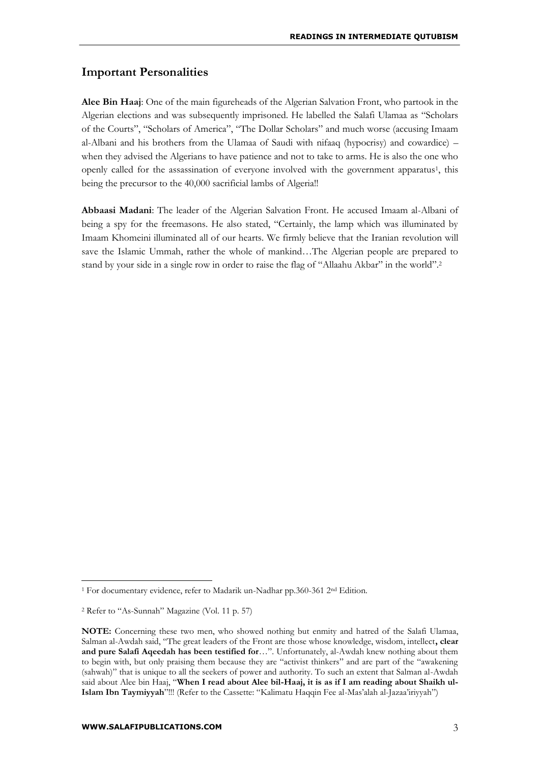## **Important Personalities**

**Alee Bin Haaj**: One of the main figureheads of the Algerian Salvation Front, who partook in the Algerian elections and was subsequently imprisoned. He labelled the Salafi Ulamaa as "Scholars of the Courts", "Scholars of America", "The Dollar Scholars" and much worse (accusing Imaam al-Albani and his brothers from the Ulamaa of Saudi with nifaaq (hypocrisy) and cowardice) – when they advised the Algerians to have patience and not to take to arms. He is also the one who openly called for the assassination of everyone involved with the government apparatus<sup>1</sup>, this being the precursor to the 40,000 sacrificial lambs of Algeria!!

**Abbaasi Madani**: The leader of the Algerian Salvation Front. He accused Imaam al-Albani of being a spy for the freemasons. He also stated, "Certainly, the lamp which was illuminated by Imaam Khomeini illuminated all of our hearts. We firmly believe that the Iranian revolution will save the Islamic Ummah, rather the whole of mankind…The Algerian people are prepared to stand by your side in a single row in order to raise the flag of "Allaahu Akbar" in the world".<sup>2</sup>

<sup>1</sup> For documentary evidence, refer to Madarik un-Nadhar pp.360-361 2nd Edition.

<sup>2</sup> Refer to "As-Sunnah" Magazine (Vol. 11 p. 57)

**NOTE:** Concerning these two men, who showed nothing but enmity and hatred of the Salafi Ulamaa, Salman al-Awdah said, "The great leaders of the Front are those whose knowledge, wisdom, intellect**, clear and pure Salafi Aqeedah has been testified for**…". Unfortunately, al-Awdah knew nothing about them to begin with, but only praising them because they are "activist thinkers" and are part of the "awakening (sahwah)" that is unique to all the seekers of power and authority. To such an extent that Salman al-Awdah said about Alee bin Haaj, "**When I read about Alee bil-Haaj, it is as if I am reading about Shaikh ul-Islam Ibn Taymiyyah**"!!! (Refer to the Cassette: "Kalimatu Haqqin Fee al-Mas'alah al-Jazaa'iriyyah")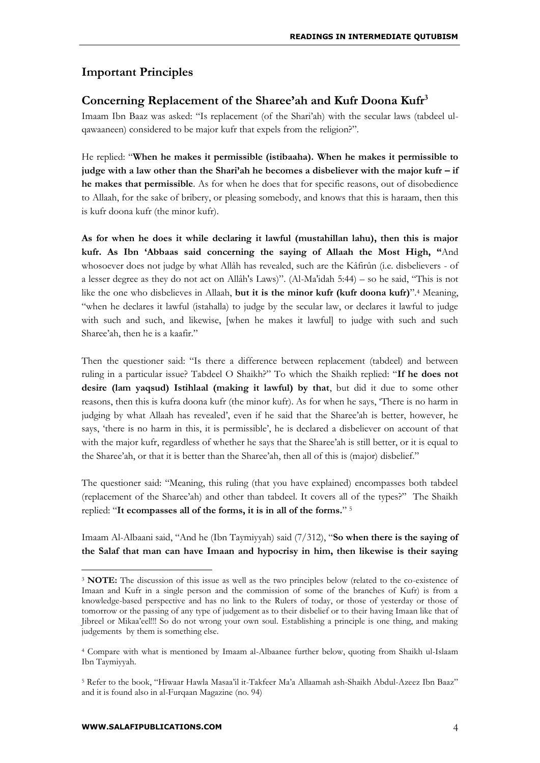## **Important Principles**

## **Concerning Replacement of the Sharee'ah and Kufr Doona Kufr<sup>3</sup>**

Imaam Ibn Baaz was asked: "Is replacement (of the Shari'ah) with the secular laws (tabdeel ulqawaaneen) considered to be major kufr that expels from the religion?".

He replied: "**When he makes it permissible (istibaaha). When he makes it permissible to judge with a law other than the Shari'ah he becomes a disbeliever with the major kufr – if he makes that permissible**. As for when he does that for specific reasons, out of disobedience to Allaah, for the sake of bribery, or pleasing somebody, and knows that this is haraam, then this is kufr doona kufr (the minor kufr).

**As for when he does it while declaring it lawful (mustahillan lahu), then this is major kufr. As Ibn 'Abbaas said concerning the saying of Allaah the Most High, "**And whosoever does not judge by what Allâh has revealed, such are the Kâfirûn (i.e. disbelievers - of a lesser degree as they do not act on Allâh's Laws)". (Al-Ma'idah 5:44) – so he said, "This is not like the one who disbelieves in Allaah, **but it is the minor kufr (kufr doona kufr)**".<sup>4</sup> Meaning, "when he declares it lawful (istahalla) to judge by the secular law, or declares it lawful to judge with such and such, and likewise, [when he makes it lawful] to judge with such and such Sharee'ah, then he is a kaafir."

Then the questioner said: "Is there a difference between replacement (tabdeel) and between ruling in a particular issue? Tabdeel O Shaikh?" To which the Shaikh replied: "**If he does not desire (lam yaqsud) Istihlaal (making it lawful) by that**, but did it due to some other reasons, then this is kufra doona kufr (the minor kufr). As for when he says, 'There is no harm in judging by what Allaah has revealed', even if he said that the Sharee'ah is better, however, he says, 'there is no harm in this, it is permissible', he is declared a disbeliever on account of that with the major kufr, regardless of whether he says that the Sharee'ah is still better, or it is equal to the Sharee'ah, or that it is better than the Sharee'ah, then all of this is (major) disbelief."

The questioner said: "Meaning, this ruling (that you have explained) encompasses both tabdeel (replacement of the Sharee'ah) and other than tabdeel. It covers all of the types?" The Shaikh replied: "**It ecompasses all of the forms, it is in all of the forms.**" 5

Imaam Al-Albaani said, "And he (Ibn Taymiyyah) said (7/312), "**So when there is the saying of the Salaf that man can have Imaan and hypocrisy in him, then likewise is their saying** 

<sup>&</sup>lt;sup>3</sup> **NOTE:** The discussion of this issue as well as the two principles below (related to the co-existence of Imaan and Kufr in a single person and the commission of some of the branches of Kufr) is from a knowledge-based perspective and has no link to the Rulers of today, or those of yesterday or those of tomorrow or the passing of any type of judgement as to their disbelief or to their having Imaan like that of Jibreel or Mikaa'eel!!! So do not wrong your own soul. Establishing a principle is one thing, and making judgements by them is something else.

<sup>4</sup> Compare with what is mentioned by Imaam al-Albaanee further below, quoting from Shaikh ul-Islaam Ibn Taymiyyah.

<sup>5</sup> Refer to the book, "Hiwaar Hawla Masaa'il it-Takfeer Ma'a Allaamah ash-Shaikh Abdul-Azeez Ibn Baaz" and it is found also in al-Furqaan Magazine (no. 94)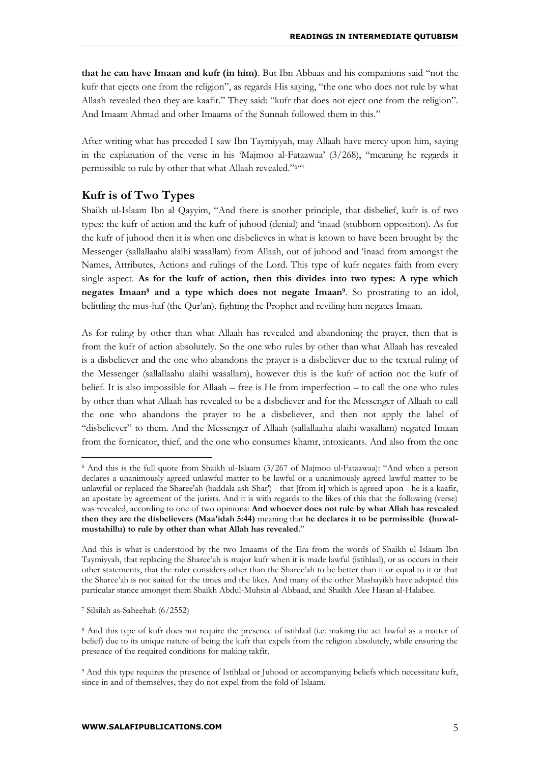**that he can have Imaan and kufr (in him)**. But Ibn Abbaas and his companions said "not the kufr that ejects one from the religion", as regards His saying, "the one who does not rule by what Allaah revealed then they are kaafir." They said: "kufr that does not eject one from the religion". And Imaam Ahmad and other Imaams of the Sunnah followed them in this."

After writing what has preceded I saw Ibn Taymiyyah, may Allaah have mercy upon him, saying in the explanation of the verse in his 'Majmoo al-Fataawaa' (3/268), "meaning he regards it permissible to rule by other that what Allaah revealed."6"7

## **Kufr is of Two Types**

Shaikh ul-Islaam Ibn al Qayyim, "And there is another principle, that disbelief, kufr is of two types: the kufr of action and the kufr of juhood (denial) and 'inaad (stubborn opposition). As for the kufr of juhood then it is when one disbelieves in what is known to have been brought by the Messenger (sallallaahu alaihi wasallam) from Allaah, out of juhood and 'inaad from amongst the Names, Attributes, Actions and rulings of the Lord. This type of kufr negates faith from every single aspect. **As for the kufr of action, then this divides into two types: A type which negates Imaan<sup>8</sup> and a type which does not negate Imaan<sup>9</sup>** . So prostrating to an idol, belittling the mus-haf (the Qur'an), fighting the Prophet and reviling him negates Imaan.

As for ruling by other than what Allaah has revealed and abandoning the prayer, then that is from the kufr of action absolutely. So the one who rules by other than what Allaah has revealed is a disbeliever and the one who abandons the prayer is a disbeliever due to the textual ruling of the Messenger (sallallaahu alaihi wasallam), however this is the kufr of action not the kufr of belief. It is also impossible for Allaah – free is He from imperfection – to call the one who rules by other than what Allaah has revealed to be a disbeliever and for the Messenger of Allaah to call the one who abandons the prayer to be a disbeliever, and then not apply the label of "disbeliever" to them. And the Messenger of Allaah (sallallaahu alaihi wasallam) negated Imaan from the fornicator, thief, and the one who consumes khamr, intoxicants. And also from the one

<sup>6</sup> And this is the full quote from Shaikh ul-Islaam (3/267 of Majmoo ul-Fataawaa): "And when a person declares a unanimously agreed unlawful matter to be lawful or a unanimously agreed lawful matter to be unlawful or replaced the Sharee'ah (baddala ash-Shar') - that [from it] which is agreed upon - he is a kaafir, an apostate by agreement of the jurists. And it is with regards to the likes of this that the following (verse) was revealed, according to one of two opinions: **And whoever does not rule by what Allah has revealed then they are the disbelievers (Maa'idah 5:44)** meaning that **he declares it to be permissible (huwalmustahillu) to rule by other than what Allah has revealed**."

And this is what is understood by the two Imaams of the Era from the words of Shaikh ul-Islaam Ibn Taymiyyah, that replacing the Sharee'ah is major kufr when it is made lawful (istihlaal), or as occurs in their other statements, that the ruler considers other than the Sharee'ah to be better than it or equal to it or that the Sharee'ah is not suited for the times and the likes. And many of the other Mashayikh have adopted this particular stance amongst them Shaikh Abdul-Muhsin al-Abbaad, and Shaikh Alee Hasan al-Halabee.

<sup>7</sup> Silsilah as-Saheehah (6/2552)

<sup>8</sup> And this type of kufr does not require the presence of istihlaal (i.e. making the act lawful as a matter of belief) due to its unique nature of being the kufr that expels from the religion absolutely, while ensuring the presence of the required conditions for making takfir.

<sup>9</sup> And this type requires the presence of Istihlaal or Juhood or accompanying beliefs which necessitate kufr, since in and of themselves, they do not expel from the fold of Islaam.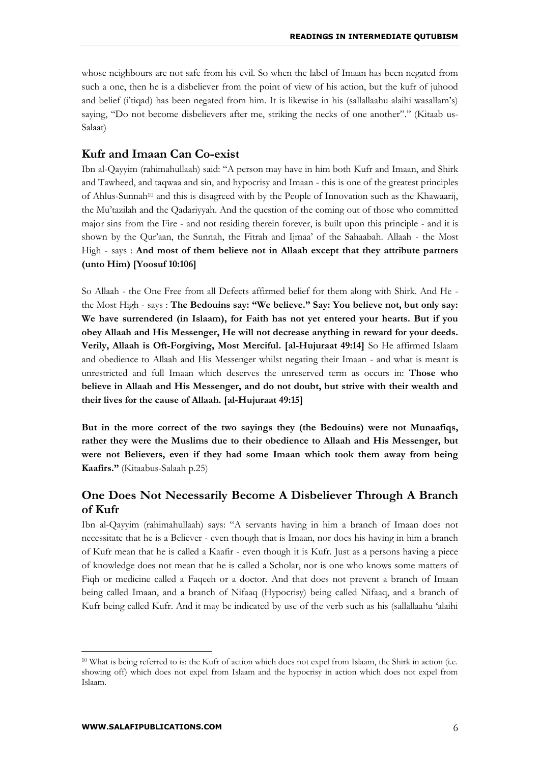whose neighbours are not safe from his evil. So when the label of Imaan has been negated from such a one, then he is a disbeliever from the point of view of his action, but the kufr of juhood and belief (i'tiqad) has been negated from him. It is likewise in his (sallallaahu alaihi wasallam's) saying, "Do not become disbelievers after me, striking the necks of one another"." (Kitaab us-Salaat)

## **Kufr and Imaan Can Co-exist**

Ibn al-Qayyim (rahimahullaah) said: "A person may have in him both Kufr and Imaan, and Shirk and Tawheed, and taqwaa and sin, and hypocrisy and Imaan - this is one of the greatest principles of Ahlus-Sunnah<sup>10</sup> and this is disagreed with by the People of Innovation such as the Khawaarij, the Mu'tazilah and the Qadariyyah. And the question of the coming out of those who committed major sins from the Fire - and not residing therein forever, is built upon this principle - and it is shown by the Qur'aan, the Sunnah, the Fitrah and Ijmaa' of the Sahaabah. Allaah - the Most High - says : **And most of them believe not in Allaah except that they attribute partners (unto Him) [Yoosuf 10:106]**

So Allaah - the One Free from all Defects affirmed belief for them along with Shirk. And He the Most High - says : **The Bedouins say: "We believe." Say: You believe not, but only say: We have surrendered (in Islaam), for Faith has not yet entered your hearts. But if you obey Allaah and His Messenger, He will not decrease anything in reward for your deeds. Verily, Allaah is Oft-Forgiving, Most Merciful. [al-Hujuraat 49:14]** So He affirmed Islaam and obedience to Allaah and His Messenger whilst negating their Imaan - and what is meant is unrestricted and full Imaan which deserves the unreserved term as occurs in: **Those who believe in Allaah and His Messenger, and do not doubt, but strive with their wealth and their lives for the cause of Allaah. [al-Hujuraat 49:15]**

**But in the more correct of the two sayings they (the Bedouins) were not Munaafiqs, rather they were the Muslims due to their obedience to Allaah and His Messenger, but were not Believers, even if they had some Imaan which took them away from being Kaafirs."** (Kitaabus-Salaah p.25)

## **One Does Not Necessarily Become A Disbeliever Through A Branch of Kufr**

Ibn al-Qayyim (rahimahullaah) says: "A servants having in him a branch of Imaan does not necessitate that he is a Believer - even though that is Imaan, nor does his having in him a branch of Kufr mean that he is called a Kaafir - even though it is Kufr. Just as a persons having a piece of knowledge does not mean that he is called a Scholar, nor is one who knows some matters of Fiqh or medicine called a Faqeeh or a doctor. And that does not prevent a branch of Imaan being called Imaan, and a branch of Nifaaq (Hypocrisy) being called Nifaaq, and a branch of Kufr being called Kufr. And it may be indicated by use of the verb such as his (sallallaahu 'alaihi

<sup>10</sup> What is being referred to is: the Kufr of action which does not expel from Islaam, the Shirk in action (i.e. showing off) which does not expel from Islaam and the hypocrisy in action which does not expel from Islaam.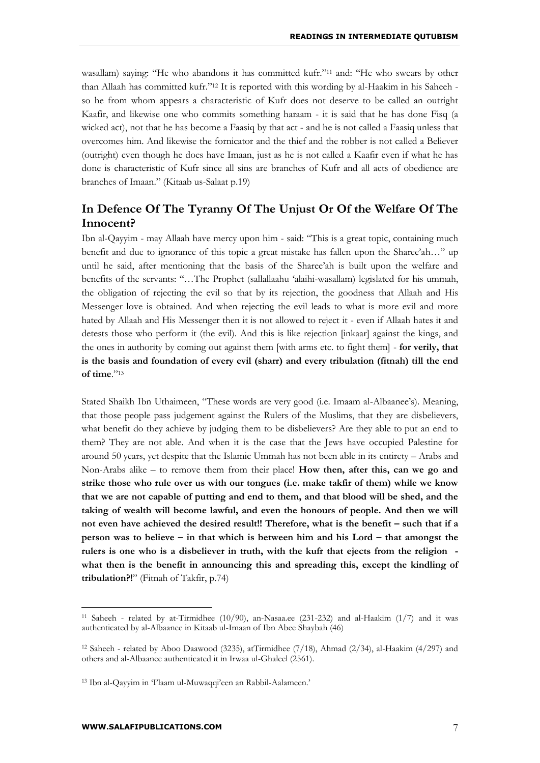wasallam) saying: "He who abandons it has committed kufr."<sup>11</sup> and: "He who swears by other than Allaah has committed kufr."<sup>12</sup> It is reported with this wording by al-Haakim in his Saheeh so he from whom appears a characteristic of Kufr does not deserve to be called an outright Kaafir, and likewise one who commits something haraam - it is said that he has done Fisq (a wicked act), not that he has become a Faasiq by that act - and he is not called a Faasiq unless that overcomes him. And likewise the fornicator and the thief and the robber is not called a Believer (outright) even though he does have Imaan, just as he is not called a Kaafir even if what he has done is characteristic of Kufr since all sins are branches of Kufr and all acts of obedience are branches of Imaan." (Kitaab us-Salaat p.19)

## **In Defence Of The Tyranny Of The Unjust Or Of the Welfare Of The Innocent?**

Ibn al-Qayyim - may Allaah have mercy upon him - said: "This is a great topic, containing much benefit and due to ignorance of this topic a great mistake has fallen upon the Sharee'ah…" up until he said, after mentioning that the basis of the Sharee'ah is built upon the welfare and benefits of the servants: "…The Prophet (sallallaahu 'alaihi-wasallam) legislated for his ummah, the obligation of rejecting the evil so that by its rejection, the goodness that Allaah and His Messenger love is obtained. And when rejecting the evil leads to what is more evil and more hated by Allaah and His Messenger then it is not allowed to reject it - even if Allaah hates it and detests those who perform it (the evil). And this is like rejection [inkaar] against the kings, and the ones in authority by coming out against them [with arms etc. to fight them] - **for verily, that is the basis and foundation of every evil (sharr) and every tribulation (fitnah) till the end of time**."<sup>13</sup>

Stated Shaikh Ibn Uthaimeen, "These words are very good (i.e. Imaam al-Albaanee's). Meaning, that those people pass judgement against the Rulers of the Muslims, that they are disbelievers, what benefit do they achieve by judging them to be disbelievers? Are they able to put an end to them? They are not able. And when it is the case that the Jews have occupied Palestine for around 50 years, yet despite that the Islamic Ummah has not been able in its entirety – Arabs and Non-Arabs alike – to remove them from their place! **How then, after this, can we go and strike those who rule over us with our tongues (i.e. make takfir of them) while we know that we are not capable of putting and end to them, and that blood will be shed, and the taking of wealth will become lawful, and even the honours of people. And then we will not even have achieved the desired result!! Therefore, what is the benefit – such that if a person was to believe – in that which is between him and his Lord – that amongst the rulers is one who is a disbeliever in truth, with the kufr that ejects from the religion what then is the benefit in announcing this and spreading this, except the kindling of tribulation?!**" (Fitnah of Takfir, p.74)

<sup>&</sup>lt;sup>11</sup> Saheeh - related by at-Tirmidhee  $(10/90)$ , an-Nasaa.ee  $(231-232)$  and al-Haakim  $(1/7)$  and it was authenticated by al-Albaanee in Kitaab ul-Imaan of Ibn Abee Shaybah (46)

<sup>&</sup>lt;sup>12</sup> Saheeh - related by Aboo Daawood (3235), atTirmidhee  $(7/18)$ , Ahmad  $(2/34)$ , al-Haakim  $(4/297)$  and others and al-Albaanee authenticated it in Irwaa ul-Ghaleel (2561).

<sup>13</sup> Ibn al-Qayyim in 'I'laam ul-Muwaqqi'een an Rabbil-Aalameen.'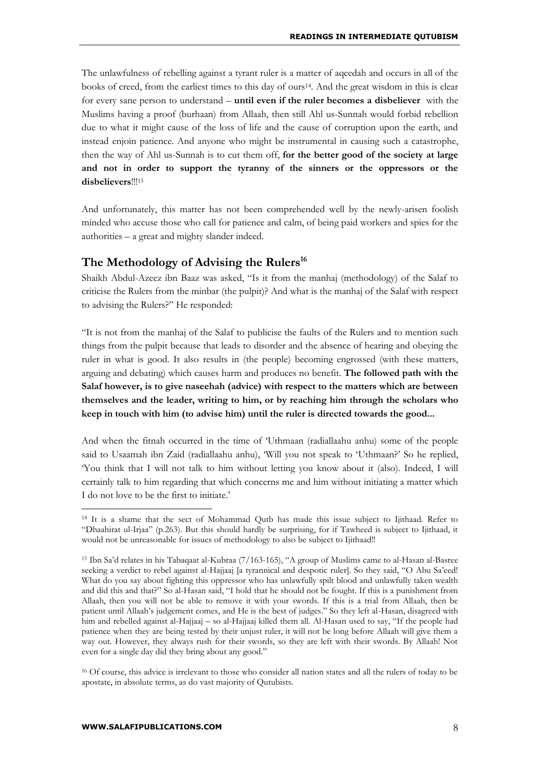The unlawfulness of rebelling against a tyrant ruler is a matter of aqeedah and occurs in all of the books of creed, from the earliest times to this day of ours14. And the great wisdom in this is clear for every sane person to understand – **until even if the ruler becomes a disbeliever** with the Muslims having a proof (burhaan) from Allaah, then still Ahl us-Sunnah would forbid rebellion due to what it might cause of the loss of life and the cause of corruption upon the earth, and instead enjoin patience. And anyone who might be instrumental in causing such a catastrophe, then the way of Ahl us-Sunnah is to cut them off, **for the better good of the society at large and not in order to support the tyranny of the sinners or the oppressors or the disbelievers**!!!<sup>15</sup>

And unfortunately, this matter has not been comprehended well by the newly-arisen foolish minded who accuse those who call for patience and calm, of being paid workers and spies for the authorities – a great and mighty slander indeed.

### **The Methodology of Advising the Rulers<sup>16</sup>**

Shaikh Abdul-Azeez ibn Baaz was asked, "Is it from the manhaj (methodology) of the Salaf to criticise the Rulers from the minbar (the pulpit)? And what is the manhaj of the Salaf with respect to advising the Rulers?" He responded:

"It is not from the manhaj of the Salaf to publicise the faults of the Rulers and to mention such things from the pulpit because that leads to disorder and the absence of hearing and obeying the ruler in what is good. It also results in (the people) becoming engrossed (with these matters, arguing and debating) which causes harm and produces no benefit. **The followed path with the Salaf however, is to give naseehah (advice) with respect to the matters which are between themselves and the leader, writing to him, or by reaching him through the scholars who keep in touch with him (to advise him) until the ruler is directed towards the good...**

And when the fitnah occurred in the time of 'Uthmaan (radiallaahu anhu) some of the people said to Usaamah ibn Zaid (radiallaahu anhu), 'Will you not speak to 'Uthmaan?' So he replied, 'You think that I will not talk to him without letting you know about it (also). Indeed, I will certainly talk to him regarding that which concerns me and him without initiating a matter which I do not love to be the first to initiate.'

<sup>14</sup> It is a shame that the sect of Mohammad Qutb has made this issue subject to Ijithaad. Refer to "Dhaahirat ul-Irjaa" (p.263). But this should hardly be surprising, for if Tawheed is subject to Ijithaad, it would not be unreasonable for issues of methodology to also be subject to Ijithaad!!

<sup>15</sup> Ibn Sa'd relates in his Tabaqaat al-Kubraa (7/163-165), "A group of Muslims came to al-Hasan al-Basree seeking a verdict to rebel against al-Hajjaaj [a tyrannical and despotic ruler]. So they said, "O Abu Sa'eed! What do you say about fighting this oppressor who has unlawfully spilt blood and unlawfully taken wealth and did this and that?" So al-Hasan said, "I hold that he should not be fought. If this is a punishment from Allaah, then you will not be able to remove it with your swords. If this is a trial from Allaah, then be patient until Allaah's judgement comes, and He is the best of judges." So they left al-Hasan, disagreed with him and rebelled against al-Hajjaaj – so al-Hajjaaj killed them all. Al-Hasan used to say, "If the people had patience when they are being tested by their unjust ruler, it will not be long before Allaah will give them a way out. However, they always rush for their swords, so they are left with their swords. By Allaah! Not even for a single day did they bring about any good."

<sup>16</sup> Of course, this advice is irrelevant to those who consider all nation states and all the rulers of today to be apostate, in absolute terms, as do vast majority of Qutubists.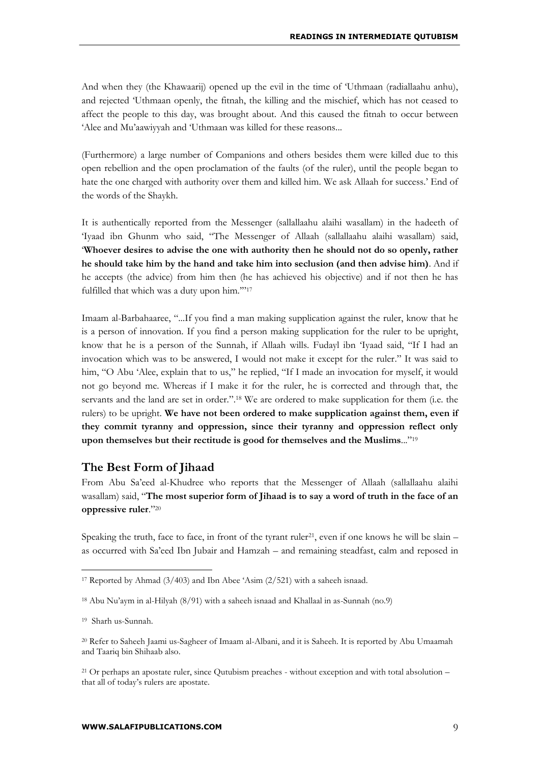And when they (the Khawaarij) opened up the evil in the time of 'Uthmaan (radiallaahu anhu), and rejected 'Uthmaan openly, the fitnah, the killing and the mischief, which has not ceased to affect the people to this day, was brought about. And this caused the fitnah to occur between 'Alee and Mu'aawiyyah and 'Uthmaan was killed for these reasons...

(Furthermore) a large number of Companions and others besides them were killed due to this open rebellion and the open proclamation of the faults (of the ruler), until the people began to hate the one charged with authority over them and killed him. We ask Allaah for success.' End of the words of the Shaykh.

It is authentically reported from the Messenger (sallallaahu alaihi wasallam) in the hadeeth of 'Iyaad ibn Ghunm who said, "The Messenger of Allaah (sallallaahu alaihi wasallam) said, '**Whoever desires to advise the one with authority then he should not do so openly, rather he should take him by the hand and take him into seclusion (and then advise him)**. And if he accepts (the advice) from him then (he has achieved his objective) and if not then he has fulfilled that which was a duty upon him."'<sup>17</sup>

Imaam al-Barbahaaree, "...If you find a man making supplication against the ruler, know that he is a person of innovation. If you find a person making supplication for the ruler to be upright, know that he is a person of the Sunnah, if Allaah wills. Fudayl ibn 'Iyaad said, "If I had an invocation which was to be answered, I would not make it except for the ruler." It was said to him, "O Abu 'Alee, explain that to us," he replied, "If I made an invocation for myself, it would not go beyond me. Whereas if I make it for the ruler, he is corrected and through that, the servants and the land are set in order.".<sup>18</sup> We are ordered to make supplication for them (i.e. the rulers) to be upright. **We have not been ordered to make supplication against them, even if they commit tyranny and oppression, since their tyranny and oppression reflect only upon themselves but their rectitude is good for themselves and the Muslims**..."<sup>19</sup>

### **The Best Form of Jihaad**

From Abu Sa'eed al-Khudree who reports that the Messenger of Allaah (sallallaahu alaihi wasallam) said, "**The most superior form of Jihaad is to say a word of truth in the face of an oppressive ruler**."<sup>20</sup>

Speaking the truth, face to face, in front of the tyrant ruler<sup>21</sup>, even if one knows he will be slain – as occurred with Sa'eed Ibn Jubair and Hamzah – and remaining steadfast, calm and reposed in

<sup>&</sup>lt;sup>17</sup> Reported by Ahmad  $(3/403)$  and Ibn Abee 'Asim  $(2/521)$  with a saheeh isnaad.

<sup>18</sup> Abu Nu'aym in al-Hilyah (8/91) with a saheeh isnaad and Khallaal in as-Sunnah (no.9)

<sup>19</sup> Sharh us-Sunnah.

<sup>20</sup> Refer to Saheeh Jaami us-Sagheer of Imaam al-Albani, and it is Saheeh. It is reported by Abu Umaamah and Taariq bin Shihaab also.

<sup>&</sup>lt;sup>21</sup> Or perhaps an apostate ruler, since Qutubism preaches - without exception and with total absolution – that all of today's rulers are apostate.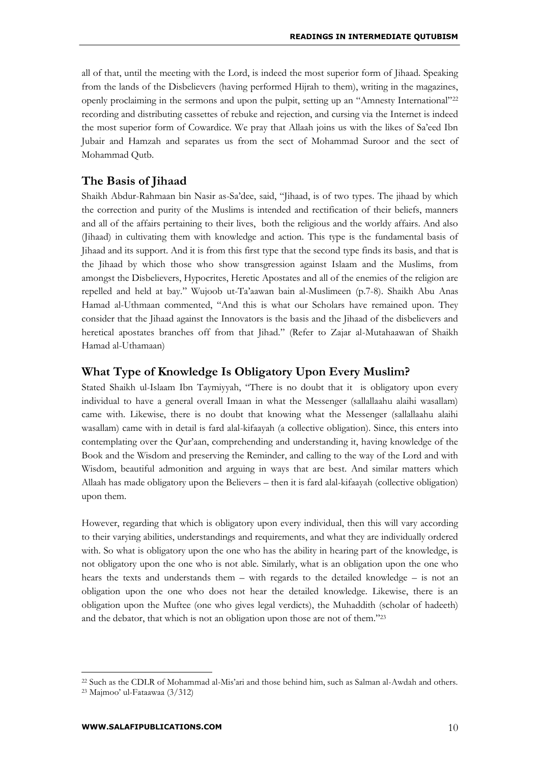all of that, until the meeting with the Lord, is indeed the most superior form of Jihaad. Speaking from the lands of the Disbelievers (having performed Hijrah to them), writing in the magazines, openly proclaiming in the sermons and upon the pulpit, setting up an "Amnesty International"<sup>22</sup> recording and distributing cassettes of rebuke and rejection, and cursing via the Internet is indeed the most superior form of Cowardice. We pray that Allaah joins us with the likes of Sa'eed Ibn Jubair and Hamzah and separates us from the sect of Mohammad Suroor and the sect of Mohammad Qutb.

## **The Basis of Jihaad**

Shaikh Abdur-Rahmaan bin Nasir as-Sa'dee, said, "Jihaad, is of two types. The jihaad by which the correction and purity of the Muslims is intended and rectification of their beliefs, manners and all of the affairs pertaining to their lives, both the religious and the worldy affairs. And also (Jihaad) in cultivating them with knowledge and action. This type is the fundamental basis of Jihaad and its support. And it is from this first type that the second type finds its basis, and that is the Jihaad by which those who show transgression against Islaam and the Muslims, from amongst the Disbelievers, Hypocrites, Heretic Apostates and all of the enemies of the religion are repelled and held at bay." Wujoob ut-Ta'aawan bain al-Muslimeen (p.7-8). Shaikh Abu Anas Hamad al-Uthmaan commented, "And this is what our Scholars have remained upon. They consider that the Jihaad against the Innovators is the basis and the Jihaad of the disbelievers and heretical apostates branches off from that Jihad." (Refer to Zajar al-Mutahaawan of Shaikh Hamad al-Uthamaan)

## **What Type of Knowledge Is Obligatory Upon Every Muslim?**

Stated Shaikh ul-Islaam Ibn Taymiyyah, "There is no doubt that it is obligatory upon every individual to have a general overall Imaan in what the Messenger (sallallaahu alaihi wasallam) came with. Likewise, there is no doubt that knowing what the Messenger (sallallaahu alaihi wasallam) came with in detail is fard alal-kifaayah (a collective obligation). Since, this enters into contemplating over the Qur'aan, comprehending and understanding it, having knowledge of the Book and the Wisdom and preserving the Reminder, and calling to the way of the Lord and with Wisdom, beautiful admonition and arguing in ways that are best. And similar matters which Allaah has made obligatory upon the Believers – then it is fard alal-kifaayah (collective obligation) upon them.

However, regarding that which is obligatory upon every individual, then this will vary according to their varying abilities, understandings and requirements, and what they are individually ordered with. So what is obligatory upon the one who has the ability in hearing part of the knowledge, is not obligatory upon the one who is not able. Similarly, what is an obligation upon the one who hears the texts and understands them – with regards to the detailed knowledge – is not an obligation upon the one who does not hear the detailed knowledge. Likewise, there is an obligation upon the Muftee (one who gives legal verdicts), the Muhaddith (scholar of hadeeth) and the debator, that which is not an obligation upon those are not of them."<sup>23</sup>

<sup>22</sup> Such as the CDLR of Mohammad al-Mis'ari and those behind him, such as Salman al-Awdah and others.

<sup>23</sup> Majmoo' ul-Fataawaa (3/312)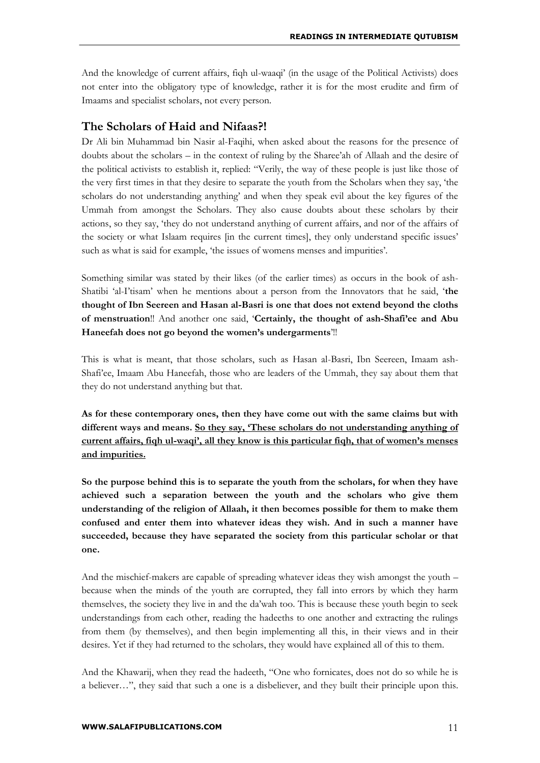And the knowledge of current affairs, fiqh ul-waaqi' (in the usage of the Political Activists) does not enter into the obligatory type of knowledge, rather it is for the most erudite and firm of Imaams and specialist scholars, not every person.

## **The Scholars of Haid and Nifaas?!**

Dr Ali bin Muhammad bin Nasir al-Faqihi, when asked about the reasons for the presence of doubts about the scholars – in the context of ruling by the Sharee'ah of Allaah and the desire of the political activists to establish it, replied: "Verily, the way of these people is just like those of the very first times in that they desire to separate the youth from the Scholars when they say, 'the scholars do not understanding anything' and when they speak evil about the key figures of the Ummah from amongst the Scholars. They also cause doubts about these scholars by their actions, so they say, 'they do not understand anything of current affairs, and nor of the affairs of the society or what Islaam requires [in the current times], they only understand specific issues' such as what is said for example, 'the issues of womens menses and impurities'.

Something similar was stated by their likes (of the earlier times) as occurs in the book of ash-Shatibi 'al-I'tisam' when he mentions about a person from the Innovators that he said, '**the thought of Ibn Seereen and Hasan al-Basri is one that does not extend beyond the cloths of menstruation**!! And another one said, '**Certainly, the thought of ash-Shafi'ee and Abu Haneefah does not go beyond the women's undergarments**'!!

This is what is meant, that those scholars, such as Hasan al-Basri, Ibn Seereen, Imaam ash-Shafi'ee, Imaam Abu Haneefah, those who are leaders of the Ummah, they say about them that they do not understand anything but that.

**As for these contemporary ones, then they have come out with the same claims but with different ways and means. So they say, 'These scholars do not understanding anything of current affairs, fiqh ul-waqi', all they know is this particular fiqh, that of women's menses and impurities.**

**So the purpose behind this is to separate the youth from the scholars, for when they have achieved such a separation between the youth and the scholars who give them understanding of the religion of Allaah, it then becomes possible for them to make them confused and enter them into whatever ideas they wish. And in such a manner have succeeded, because they have separated the society from this particular scholar or that one.** 

And the mischief-makers are capable of spreading whatever ideas they wish amongst the youth – because when the minds of the youth are corrupted, they fall into errors by which they harm themselves, the society they live in and the da'wah too. This is because these youth begin to seek understandings from each other, reading the hadeeths to one another and extracting the rulings from them (by themselves), and then begin implementing all this, in their views and in their desires. Yet if they had returned to the scholars, they would have explained all of this to them.

And the Khawarij, when they read the hadeeth, "One who fornicates, does not do so while he is a believer…", they said that such a one is a disbeliever, and they built their principle upon this.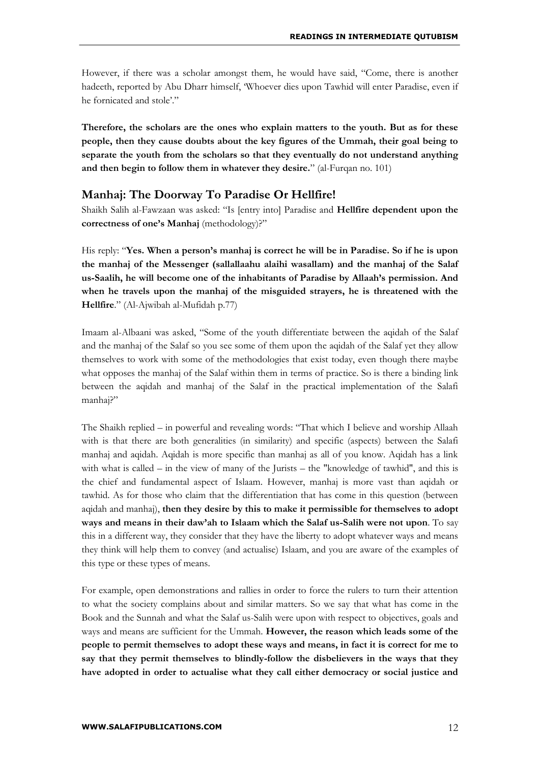However, if there was a scholar amongst them, he would have said, "Come, there is another hadeeth, reported by Abu Dharr himself, 'Whoever dies upon Tawhid will enter Paradise, even if he fornicated and stole'."

**Therefore, the scholars are the ones who explain matters to the youth. But as for these people, then they cause doubts about the key figures of the Ummah, their goal being to separate the youth from the scholars so that they eventually do not understand anything and then begin to follow them in whatever they desire.**" (al-Furqan no. 101)

## **Manhaj: The Doorway To Paradise Or Hellfire!**

Shaikh Salih al-Fawzaan was asked: "Is [entry into] Paradise and **Hellfire dependent upon the correctness of one's Manhaj** (methodology)?"

His reply: "**Yes. When a person's manhaj is correct he will be in Paradise. So if he is upon the manhaj of the Messenger (sallallaahu alaihi wasallam) and the manhaj of the Salaf us-Saalih, he will become one of the inhabitants of Paradise by Allaah's permission. And when he travels upon the manhaj of the misguided strayers, he is threatened with the Hellfire**." (Al-Ajwibah al-Mufidah p.77)

Imaam al-Albaani was asked, "Some of the youth differentiate between the aqidah of the Salaf and the manhaj of the Salaf so you see some of them upon the aqidah of the Salaf yet they allow themselves to work with some of the methodologies that exist today, even though there maybe what opposes the manhaj of the Salaf within them in terms of practice. So is there a binding link between the aqidah and manhaj of the Salaf in the practical implementation of the Salafi manhaj?"

The Shaikh replied – in powerful and revealing words: "That which I believe and worship Allaah with is that there are both generalities (in similarity) and specific (aspects) between the Salafi manhaj and aqidah. Aqidah is more specific than manhaj as all of you know. Aqidah has a link with what is called – in the view of many of the Jurists – the "knowledge of tawhid", and this is the chief and fundamental aspect of Islaam. However, manhaj is more vast than aqidah or tawhid. As for those who claim that the differentiation that has come in this question (between aqidah and manhaj), **then they desire by this to make it permissible for themselves to adopt ways and means in their daw'ah to Islaam which the Salaf us-Salih were not upon**. To say this in a different way, they consider that they have the liberty to adopt whatever ways and means they think will help them to convey (and actualise) Islaam, and you are aware of the examples of this type or these types of means.

For example, open demonstrations and rallies in order to force the rulers to turn their attention to what the society complains about and similar matters. So we say that what has come in the Book and the Sunnah and what the Salaf us-Salih were upon with respect to objectives, goals and ways and means are sufficient for the Ummah. **However, the reason which leads some of the people to permit themselves to adopt these ways and means, in fact it is correct for me to say that they permit themselves to blindly-follow the disbelievers in the ways that they have adopted in order to actualise what they call either democracy or social justice and**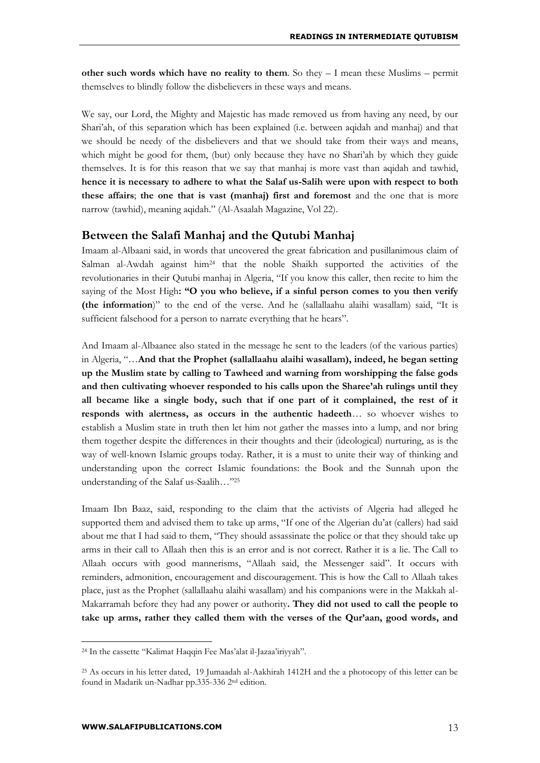**other such words which have no reality to them**. So they – I mean these Muslims – permit themselves to blindly follow the disbelievers in these ways and means.

We say, our Lord, the Mighty and Majestic has made removed us from having any need, by our Shari'ah, of this separation which has been explained (i.e. between aqidah and manhaj) and that we should be needy of the disbelievers and that we should take from their ways and means, which might be good for them, (but) only because they have no Shari'ah by which they guide themselves. It is for this reason that we say that manhaj is more vast than aqidah and tawhid, **hence it is necessary to adhere to what the Salaf us-Salih were upon with respect to both these affairs**; **the one that is vast (manhaj) first and foremost** and the one that is more narrow (tawhid), meaning aqidah." (Al-Asaalah Magazine, Vol 22).

## **Between the Salafi Manhaj and the Qutubi Manhaj**

Imaam al-Albaani said, in words that uncovered the great fabrication and pusillanimous claim of Salman al-Awdah against  $him^{24}$  that the noble Shaikh supported the activities of the revolutionaries in their Qutubi manhaj in Algeria, "If you know this caller, then recite to him the saying of the Most High**: "O you who believe, if a sinful person comes to you then verify (the information**)" to the end of the verse. And he (sallallaahu alaihi wasallam) said, "It is sufficient falsehood for a person to narrate everything that he hears".

And Imaam al-Albaanee also stated in the message he sent to the leaders (of the various parties) in Algeria, "…**And that the Prophet (sallallaahu alaihi wasallam), indeed, he began setting up the Muslim state by calling to Tawheed and warning from worshipping the false gods and then cultivating whoever responded to his calls upon the Sharee'ah rulings until they all became like a single body, such that if one part of it complained, the rest of it responds with alertness, as occurs in the authentic hadeeth**… so whoever wishes to establish a Muslim state in truth then let him not gather the masses into a lump, and nor bring them together despite the differences in their thoughts and their (ideological) nurturing, as is the way of well-known Islamic groups today. Rather, it is a must to unite their way of thinking and understanding upon the correct Islamic foundations: the Book and the Sunnah upon the understanding of the Salaf us-Saalih…"<sup>25</sup>

Imaam Ibn Baaz, said, responding to the claim that the activists of Algeria had alleged he supported them and advised them to take up arms, "If one of the Algerian du'at (callers) had said about me that I had said to them, "They should assassinate the police or that they should take up arms in their call to Allaah then this is an error and is not correct. Rather it is a lie. The Call to Allaah occurs with good mannerisms, "Allaah said, the Messenger said". It occurs with reminders, admonition, encouragement and discouragement. This is how the Call to Allaah takes place, just as the Prophet (sallallaahu alaihi wasallam) and his companions were in the Makkah al-Makarramah before they had any power or authority**. They did not used to call the people to take up arms, rather they called them with the verses of the Qur'aan, good words, and** 

<sup>24</sup> In the cassette "Kalimat Haqqin Fee Mas'alat il-Jazaa'iriyyah".

<sup>25</sup> As occurs in his letter dated, 19 Jumaadah al-Aakhirah 1412H and the a photocopy of this letter can be found in Madarik un-Nadhar pp.335-336 2nd edition.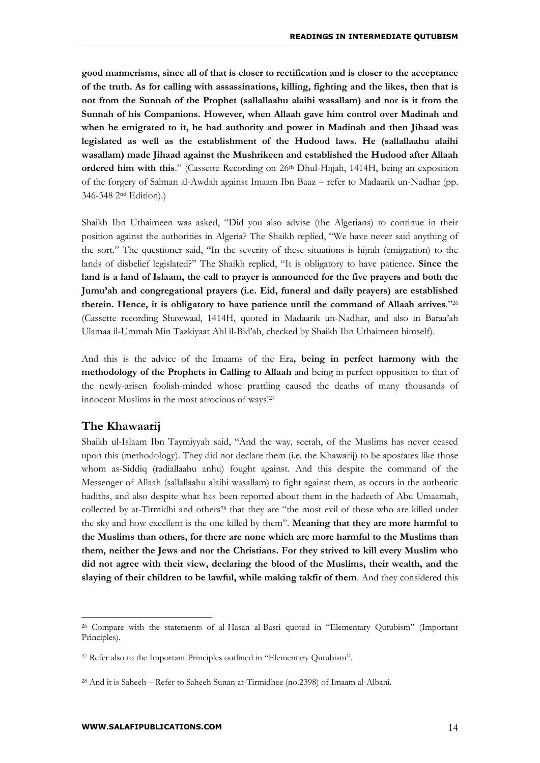**good mannerisms, since all of that is closer to rectification and is closer to the acceptance of the truth. As for calling with assassinations, killing, fighting and the likes, then that is not from the Sunnah of the Prophet (sallallaahu alaihi wasallam) and nor is it from the Sunnah of his Companions. However, when Allaah gave him control over Madinah and when he emigrated to it, he had authority and power in Madinah and then Jihaad was legislated as well as the establishment of the Hudood laws. He (sallallaahu alaihi wasallam) made Jihaad against the Mushrikeen and established the Hudood after Allaah ordered him with this.**" (Cassette Recording on 26<sup>th</sup> Dhul-Hijjah, 1414H, being an exposition of the forgery of Salman al-Awdah against Imaam Ibn Baaz – refer to Madaarik un-Nadhar (pp. 346-348 2nd Edition).)

Shaikh Ibn Uthaimeen was asked, "Did you also advise (the Algerians) to continue in their position against the authorities in Algeria? The Shaikh replied, "We have never said anything of the sort." The questioner said, "In the severity of these situations is hijrah (emigration) to the lands of disbelief legislated?" The Shaikh replied, "It is obligatory to have patience. **Since the land is a land of Islaam, the call to prayer is announced for the five prayers and both the Jumu'ah and congregational prayers (i.e. Eid, funeral and daily prayers) are established therein. Hence, it is obligatory to have patience until the command of Allaah arrives**."<sup>26</sup> (Cassette recording Shawwaal, 1414H, quoted in Madaarik un-Nadhar, and also in Baraa'ah Ulamaa il-Ummah Min Tazkiyaat Ahl il-Bid'ah, checked by Shaikh Ibn Uthaimeen himself).

And this is the advice of the Imaams of the Era**, being in perfect harmony with the methodology of the Prophets in Calling to Allaah** and being in perfect opposition to that of the newly-arisen foolish-minded whose prattling caused the deaths of many thousands of innocent Muslims in the most atrocious of ways!<sup>27</sup>

### **The Khawaarij**

<u>.</u>

Shaikh ul-Islaam Ibn Taymiyyah said, "And the way, seerah, of the Muslims has never ceased upon this (methodology). They did not declare them (i.e. the Khawarij) to be apostates like those whom as-Siddiq (radiallaahu anhu) fought against. And this despite the command of the Messenger of Allaah (sallallaahu alaihi wasallam) to fight against them, as occurs in the authentic hadiths, and also despite what has been reported about them in the hadeeth of Abu Umaamah, collected by at-Tirmidhi and others<sup>28</sup> that they are "the most evil of those who are killed under the sky and how excellent is the one killed by them". **Meaning that they are more harmful to the Muslims than others, for there are none which are more harmful to the Muslims than them, neither the Jews and nor the Christians. For they strived to kill every Muslim who did not agree with their view, declaring the blood of the Muslims, their wealth, and the slaying of their children to be lawful, while making takfir of them**. And they considered this

<sup>&</sup>lt;sup>26</sup> Compare with the statements of al-Hasan al-Basri quoted in "Elementary Qutubism" (Important Principles).

<sup>&</sup>lt;sup>27</sup> Refer also to the Important Principles outlined in "Elementary Qutubism".

<sup>28</sup> And it is Saheeh – Refer to Saheeh Sunan at-Tirmidhee (no.2398) of Imaam al-Albani.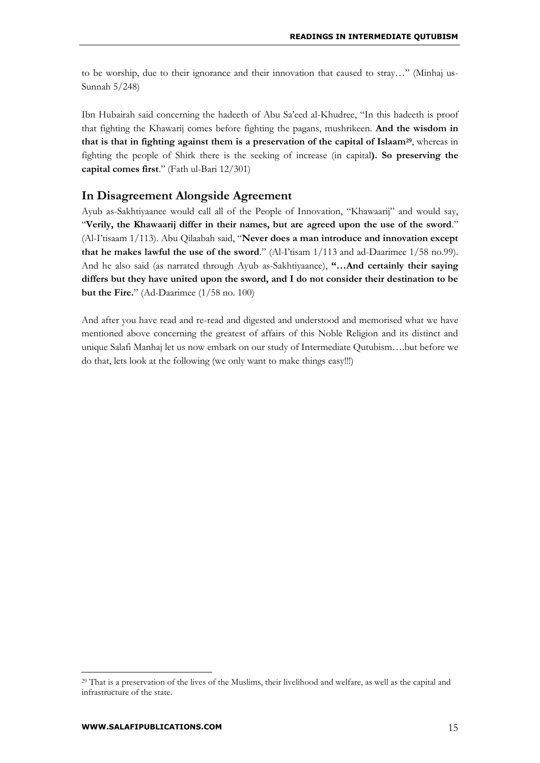to be worship, due to their ignorance and their innovation that caused to stray…" (Minhaj us-Sunnah 5/248)

Ibn Hubairah said concerning the hadeeth of Abu Sa'eed al-Khudree, "In this hadeeth is proof that fighting the Khawarij comes before fighting the pagans, mushrikeen. **And the wisdom in that is that in fighting against them is a preservation of the capital of Islaam29**, whereas in fighting the people of Shirk there is the seeking of increase (in capital**). So preserving the capital comes first**." (Fath ul-Bari 12/301)

### **In Disagreement Alongside Agreement**

Ayub as-Sakhtiyaanee would call all of the People of Innovation, "Khawaarij" and would say, "**Verily, the Khawaarij differ in their names, but are agreed upon the use of the sword**." (Al-I'tisaam 1/113). Abu Qilaabah said, "**Never does a man introduce and innovation except that he makes lawful the use of the sword**." (Al-I'tisam 1/113 and ad-Daarimee 1/58 no.99). And he also said (as narrated through Ayub as-Sakhtiyaanee), **"…And certainly their saying differs but they have united upon the sword, and I do not consider their destination to be but the Fire.**" (Ad-Daarimee (1/58 no. 100)

And after you have read and re-read and digested and understood and memorised what we have mentioned above concerning the greatest of affairs of this Noble Religion and its distinct and unique Salafi Manhaj let us now embark on our study of Intermediate Qutubism….but before we do that, lets look at the following (we only want to make things easy!!!)

<sup>&</sup>lt;sup>29</sup> That is a preservation of the lives of the Muslims, their livelihood and welfare, as well as the capital and infrastructure of the state.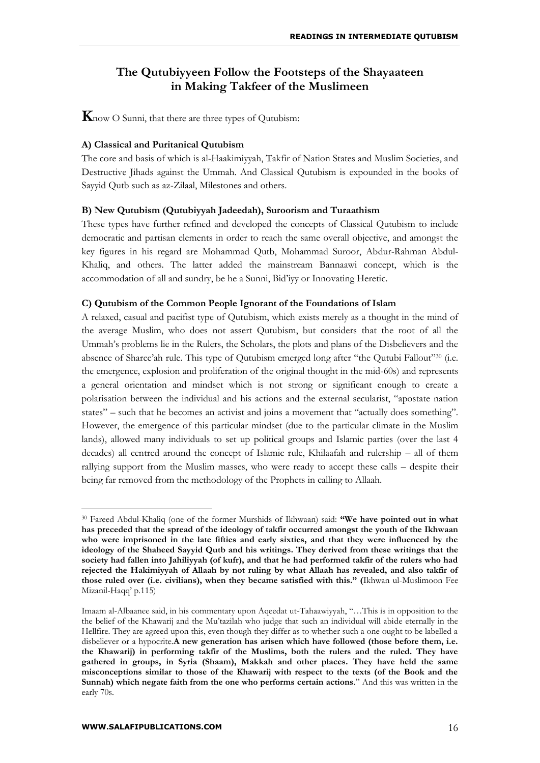## **The Qutubiyyeen Follow the Footsteps of the Shayaateen in Making Takfeer of the Muslimeen**

**K**now O Sunni, that there are three types of Qutubism:

### **A) Classical and Puritanical Qutubism**

The core and basis of which is al-Haakimiyyah, Takfir of Nation States and Muslim Societies, and Destructive Jihads against the Ummah. And Classical Qutubism is expounded in the books of Sayyid Qutb such as az-Zilaal, Milestones and others.

### **B) New Qutubism (Qutubiyyah Jadeedah), Suroorism and Turaathism**

These types have further refined and developed the concepts of Classical Qutubism to include democratic and partisan elements in order to reach the same overall objective, and amongst the key figures in his regard are Mohammad Qutb, Mohammad Suroor, Abdur-Rahman Abdul-Khaliq, and others. The latter added the mainstream Bannaawi concept, which is the accommodation of all and sundry, be he a Sunni, Bid'iyy or Innovating Heretic.

### **C) Qutubism of the Common People Ignorant of the Foundations of Islam**

A relaxed, casual and pacifist type of Qutubism, which exists merely as a thought in the mind of the average Muslim, who does not assert Qutubism, but considers that the root of all the Ummah's problems lie in the Rulers, the Scholars, the plots and plans of the Disbelievers and the absence of Sharee'ah rule. This type of Qutubism emerged long after "the Qutubi Fallout"<sup>30</sup> (i.e. the emergence, explosion and proliferation of the original thought in the mid-60s) and represents a general orientation and mindset which is not strong or significant enough to create a polarisation between the individual and his actions and the external secularist, "apostate nation states" – such that he becomes an activist and joins a movement that "actually does something". However, the emergence of this particular mindset (due to the particular climate in the Muslim lands), allowed many individuals to set up political groups and Islamic parties (over the last 4 decades) all centred around the concept of Islamic rule, Khilaafah and rulership – all of them rallying support from the Muslim masses, who were ready to accept these calls – despite their being far removed from the methodology of the Prophets in calling to Allaah.

<sup>30</sup> Fareed Abdul-Khaliq (one of the former Murshids of Ikhwaan) said: **"We have pointed out in what has preceded that the spread of the ideology of takfir occurred amongst the youth of the Ikhwaan who were imprisoned in the late fifties and early sixties, and that they were influenced by the ideology of the Shaheed Sayyid Qutb and his writings. They derived from these writings that the society had fallen into Jahiliyyah (of kufr), and that he had performed takfir of the rulers who had rejected the Hakimiyyah of Allaah by not ruling by what Allaah has revealed, and also takfir of those ruled over (i.e. civilians), when they became satisfied with this." (**Ikhwan ul-Muslimoon Fee Mizanil-Haqq' p.115)

Imaam al-Albaanee said, in his commentary upon Aqeedat ut-Tahaawiyyah, "…This is in opposition to the the belief of the Khawarij and the Mu'tazilah who judge that such an individual will abide eternally in the Hellfire. They are agreed upon this, even though they differ as to whether such a one ought to be labelled a disbeliever or a hypocrite.**A new generation has arisen which have followed (those before them, i.e. the Khawarij) in performing takfir of the Muslims, both the rulers and the ruled. They have gathered in groups, in Syria (Shaam), Makkah and other places. They have held the same misconceptions similar to those of the Khawarij with respect to the texts (of the Book and the Sunnah) which negate faith from the one who performs certain actions**." And this was written in the early 70s.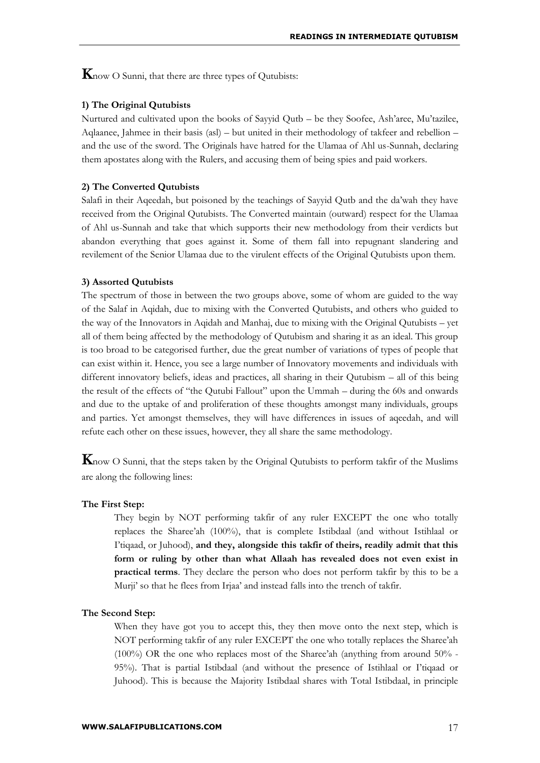**K**now O Sunni, that there are three types of Qutubists:

#### **1) The Original Qutubists**

Nurtured and cultivated upon the books of Sayyid Qutb – be they Soofee, Ash'aree, Mu'tazilee, Aqlaanee, Jahmee in their basis (asl) – but united in their methodology of takfeer and rebellion – and the use of the sword. The Originals have hatred for the Ulamaa of Ahl us-Sunnah, declaring them apostates along with the Rulers, and accusing them of being spies and paid workers.

#### **2) The Converted Qutubists**

Salafi in their Aqeedah, but poisoned by the teachings of Sayyid Qutb and the da'wah they have received from the Original Qutubists. The Converted maintain (outward) respect for the Ulamaa of Ahl us-Sunnah and take that which supports their new methodology from their verdicts but abandon everything that goes against it. Some of them fall into repugnant slandering and revilement of the Senior Ulamaa due to the virulent effects of the Original Qutubists upon them.

#### **3) Assorted Qutubists**

The spectrum of those in between the two groups above, some of whom are guided to the way of the Salaf in Aqidah, due to mixing with the Converted Qutubists, and others who guided to the way of the Innovators in Aqidah and Manhaj, due to mixing with the Original Qutubists – yet all of them being affected by the methodology of Qutubism and sharing it as an ideal. This group is too broad to be categorised further, due the great number of variations of types of people that can exist within it. Hence, you see a large number of Innovatory movements and individuals with different innovatory beliefs, ideas and practices, all sharing in their Qutubism – all of this being the result of the effects of "the Qutubi Fallout" upon the Ummah – during the 60s and onwards and due to the uptake of and proliferation of these thoughts amongst many individuals, groups and parties. Yet amongst themselves, they will have differences in issues of aqeedah, and will refute each other on these issues, however, they all share the same methodology.

**K**now O Sunni, that the steps taken by the Original Qutubists to perform takfir of the Muslims are along the following lines:

#### **The First Step:**

They begin by NOT performing takfir of any ruler EXCEPT the one who totally replaces the Sharee'ah (100%), that is complete Istibdaal (and without Istihlaal or I'tiqaad, or Juhood), **and they, alongside this takfir of theirs, readily admit that this form or ruling by other than what Allaah has revealed does not even exist in practical terms**. They declare the person who does not perform takfir by this to be a Murji' so that he flees from Irjaa' and instead falls into the trench of takfir.

#### **The Second Step:**

When they have got you to accept this, they then move onto the next step, which is NOT performing takfir of any ruler EXCEPT the one who totally replaces the Sharee'ah (100%) OR the one who replaces most of the Sharee'ah (anything from around 50% - 95%). That is partial Istibdaal (and without the presence of Istihlaal or I'tiqaad or Juhood). This is because the Majority Istibdaal shares with Total Istibdaal, in principle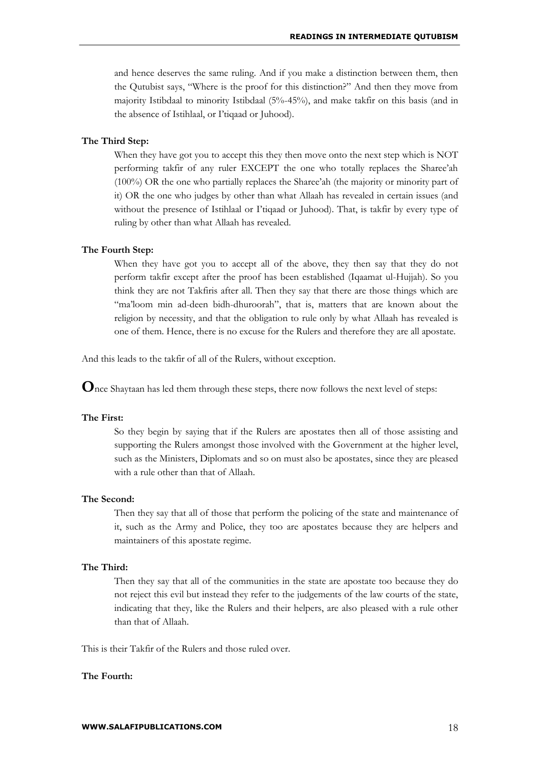and hence deserves the same ruling. And if you make a distinction between them, then the Qutubist says, "Where is the proof for this distinction?" And then they move from majority Istibdaal to minority Istibdaal (5%-45%), and make takfir on this basis (and in the absence of Istihlaal, or I'tiqaad or Juhood).

#### **The Third Step:**

When they have got you to accept this they then move onto the next step which is NOT performing takfir of any ruler EXCEPT the one who totally replaces the Sharee'ah (100%) OR the one who partially replaces the Sharee'ah (the majority or minority part of it) OR the one who judges by other than what Allaah has revealed in certain issues (and without the presence of Istihlaal or I'tiqaad or Juhood). That, is takfir by every type of ruling by other than what Allaah has revealed.

#### **The Fourth Step:**

When they have got you to accept all of the above, they then say that they do not perform takfir except after the proof has been established (Iqaamat ul-Hujjah). So you think they are not Takfiris after all. Then they say that there are those things which are "ma'loom min ad-deen bidh-dhuroorah", that is, matters that are known about the religion by necessity, and that the obligation to rule only by what Allaah has revealed is one of them. Hence, there is no excuse for the Rulers and therefore they are all apostate.

And this leads to the takfir of all of the Rulers, without exception.

**O**nce Shaytaan has led them through these steps, there now follows the next level of steps:

#### **The First:**

So they begin by saying that if the Rulers are apostates then all of those assisting and supporting the Rulers amongst those involved with the Government at the higher level, such as the Ministers, Diplomats and so on must also be apostates, since they are pleased with a rule other than that of Allaah.

#### **The Second:**

Then they say that all of those that perform the policing of the state and maintenance of it, such as the Army and Police, they too are apostates because they are helpers and maintainers of this apostate regime.

#### **The Third:**

Then they say that all of the communities in the state are apostate too because they do not reject this evil but instead they refer to the judgements of the law courts of the state, indicating that they, like the Rulers and their helpers, are also pleased with a rule other than that of Allaah.

This is their Takfir of the Rulers and those ruled over.

#### **The Fourth:**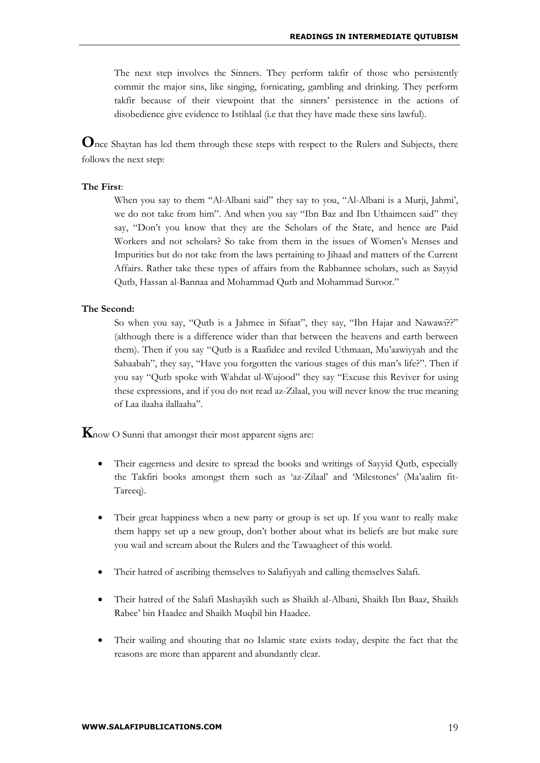The next step involves the Sinners. They perform takfir of those who persistently commit the major sins, like singing, fornicating, gambling and drinking. They perform takfir because of their viewpoint that the sinners' persistence in the actions of disobedience give evidence to Istihlaal (i.e that they have made these sins lawful).

**O**nce Shaytan has led them through these steps with respect to the Rulers and Subjects, there follows the next step:

#### **The First**:

When you say to them "Al-Albani said" they say to you, "Al-Albani is a Murji, Jahmi', we do not take from him". And when you say "Ibn Baz and Ibn Uthaimeen said" they say, "Don't you know that they are the Scholars of the State, and hence are Paid Workers and not scholars? So take from them in the issues of Women's Menses and Impurities but do not take from the laws pertaining to Jihaad and matters of the Current Affairs. Rather take these types of affairs from the Rabbannee scholars, such as Sayyid Qutb, Hassan al-Bannaa and Mohammad Qutb and Mohammad Suroor."

#### **The Second:**

So when you say, "Qutb is a Jahmee in Sifaat", they say, "Ibn Hajar and Nawawi??" (although there is a difference wider than that between the heavens and earth between them). Then if you say "Qutb is a Raafidee and reviled Uthmaan, Mu'aawiyyah and the Sahaabah", they say, "Have you forgotten the various stages of this man's life?". Then if you say "Qutb spoke with Wahdat ul-Wujood" they say "Excuse this Reviver for using these expressions, and if you do not read az-Zilaal, you will never know the true meaning of Laa ilaaha ilallaaha".

**K**now O Sunni that amongst their most apparent signs are:

- Their eagerness and desire to spread the books and writings of Sayyid Qutb, especially the Takfiri books amongst them such as 'az-Zilaal' and 'Milestones' (Ma'aalim fit-Tareeq).
- Their great happiness when a new party or group is set up. If you want to really make them happy set up a new group, don't bother about what its beliefs are but make sure you wail and scream about the Rulers and the Tawaagheet of this world.
- Their hatred of ascribing themselves to Salafiyyah and calling themselves Salafi.
- Their hatred of the Salafi Mashayikh such as Shaikh al-Albani, Shaikh Ibn Baaz, Shaikh Rabee' bin Haadee and Shaikh Muqbil bin Haadee.
- Their wailing and shouting that no Islamic state exists today, despite the fact that the reasons are more than apparent and abundantly clear.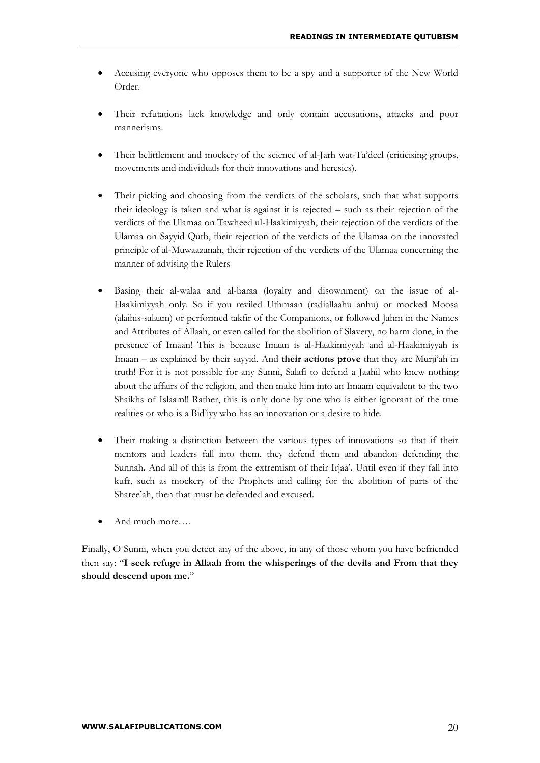- Accusing everyone who opposes them to be a spy and a supporter of the New World Order.
- Their refutations lack knowledge and only contain accusations, attacks and poor mannerisms.
- Their belittlement and mockery of the science of al-Jarh wat-Ta'deel (criticising groups, movements and individuals for their innovations and heresies).
- Their picking and choosing from the verdicts of the scholars, such that what supports their ideology is taken and what is against it is rejected – such as their rejection of the verdicts of the Ulamaa on Tawheed ul-Haakimiyyah, their rejection of the verdicts of the Ulamaa on Sayyid Qutb, their rejection of the verdicts of the Ulamaa on the innovated principle of al-Muwaazanah, their rejection of the verdicts of the Ulamaa concerning the manner of advising the Rulers
- Basing their al-walaa and al-baraa (loyalty and disownment) on the issue of al-Haakimiyyah only. So if you reviled Uthmaan (radiallaahu anhu) or mocked Moosa (alaihis-salaam) or performed takfir of the Companions, or followed Jahm in the Names and Attributes of Allaah, or even called for the abolition of Slavery, no harm done, in the presence of Imaan! This is because Imaan is al-Haakimiyyah and al-Haakimiyyah is Imaan – as explained by their sayyid. And **their actions prove** that they are Murji'ah in truth! For it is not possible for any Sunni, Salafi to defend a Jaahil who knew nothing about the affairs of the religion, and then make him into an Imaam equivalent to the two Shaikhs of Islaam!! Rather, this is only done by one who is either ignorant of the true realities or who is a Bid'iyy who has an innovation or a desire to hide.
- Their making a distinction between the various types of innovations so that if their mentors and leaders fall into them, they defend them and abandon defending the Sunnah. And all of this is from the extremism of their Irjaa'. Until even if they fall into kufr, such as mockery of the Prophets and calling for the abolition of parts of the Sharee'ah, then that must be defended and excused.
- And much more….

**F**inally, O Sunni, when you detect any of the above, in any of those whom you have befriended then say: "**I seek refuge in Allaah from the whisperings of the devils and From that they should descend upon me.**"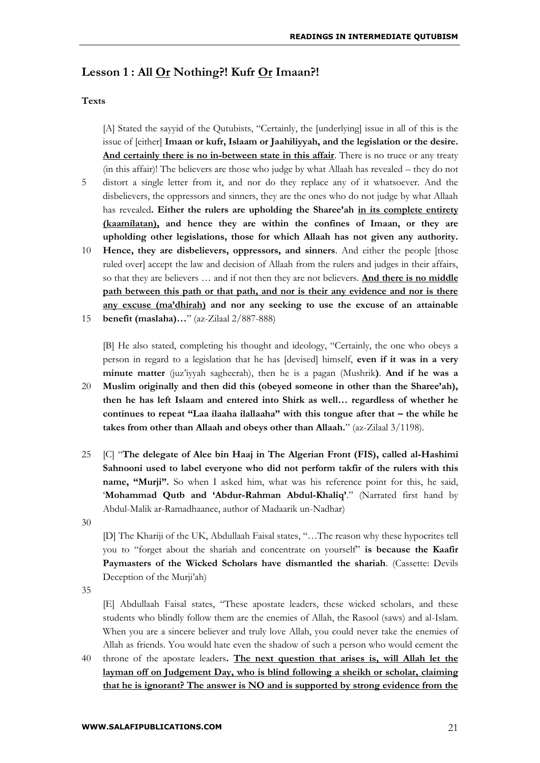## **Lesson 1 : All Or Nothing?! Kufr Or Imaan?!**

#### **Texts**

[A] Stated the sayyid of the Qutubists, "Certainly, the [underlying] issue in all of this is the issue of [either] **Imaan or kufr, Islaam or Jaahiliyyah, and the legislation or the desire. And certainly there is no in-between state in this affair**. There is no truce or any treaty (in this affair)! The believers are those who judge by what Allaah has revealed – they do not

- 5 distort a single letter from it, and nor do they replace any of it whatsoever. And the disbelievers, the oppressors and sinners, they are the ones who do not judge by what Allaah has revealed**. Either the rulers are upholding the Sharee'ah in its complete entirety (kaamilatan), and hence they are within the confines of Imaan, or they are upholding other legislations, those for which Allaah has not given any authority.**
- 10 **Hence, they are disbelievers, oppressors, and sinners**. And either the people [those 15 ruled over] accept the law and decision of Allaah from the rulers and judges in their affairs, so that they are believers … and if not then they are not believers. **And there is no middle path between this path or that path, and nor is their any evidence and nor is there any excuse (ma'dhirah) and nor any seeking to use the excuse of an attainable benefit (maslaha)…**" (az-Zilaal 2/887-888)

[B] He also stated, completing his thought and ideology, "Certainly, the one who obeys a person in regard to a legislation that he has [devised] himself, **even if it was in a very minute matter** (juz'iyyah sagheerah), then he is a pagan (Mushrik**)**. **And if he was a** 

- 20 **Muslim originally and then did this (obeyed someone in other than the Sharee'ah), then he has left Islaam and entered into Shirk as well… regardless of whether he continues to repeat "Laa ilaaha ilallaaha" with this tongue after that – the while he takes from other than Allaah and obeys other than Allaah.**" (az-Zilaal 3/1198).
- 25 [C] "**The delegate of Alee bin Haaj in The Algerian Front (FIS), called al-Hashimi Sahnooni used to label everyone who did not perform takfir of the rulers with this name, "Murji".** So when I asked him, what was his reference point for this, he said, '**Mohammad Qutb and 'Abdur-Rahman Abdul-Khaliq'**." (Narrated first hand by Abdul-Malik ar-Ramadhaanee, author of Madaarik un-Nadhar)

30

[D] The Khariji of the UK, Abdullaah Faisal states, "…The reason why these hypocrites tell you to "forget about the shariah and concentrate on yourself" **is because the Kaafir Paymasters of the Wicked Scholars have dismantled the shariah**. (Cassette: Devils Deception of the Murji'ah)

35

[E] Abdullaah Faisal states, "These apostate leaders, these wicked scholars, and these students who blindly follow them are the enemies of Allah, the Rasool (saws) and al-Islam. When you are a sincere believer and truly love Allah, you could never take the enemies of Allah as friends. You would hate even the shadow of such a person who would cement the

40 throne of the apostate leaders**. The next question that arises is, will Allah let the layman off on Judgement Day, who is blind following a sheikh or scholar, claiming that he is ignorant? The answer is NO and is supported by strong evidence from the**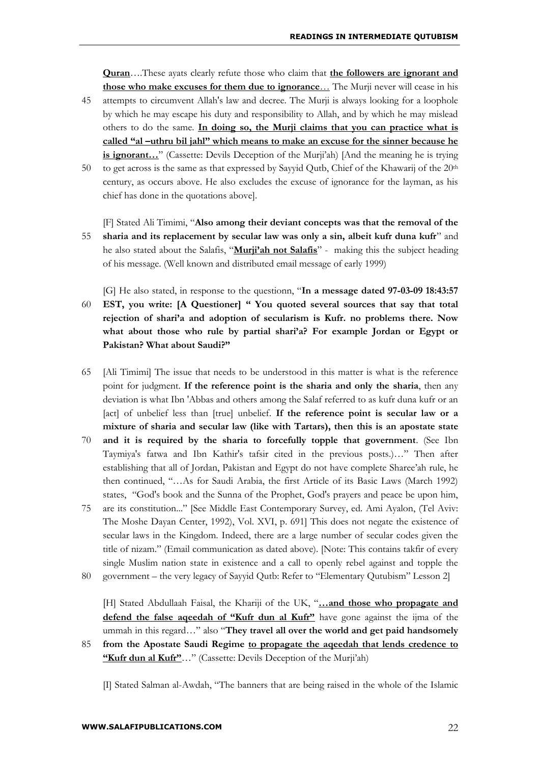**Quran**….These ayats clearly refute those who claim that **the followers are ignorant and those who make excuses for them due to ignorance**… The Murji never will cease in his

- 45 attempts to circumvent Allah's law and decree. The Murji is always looking for a loophole by which he may escape his duty and responsibility to Allah, and by which he may mislead others to do the same. **In doing so, the Murji claims that you can practice what is called "al –uthru bil jahl" which means to make an excuse for the sinner because he is ignorant…**" (Cassette: Devils Deception of the Murji'ah) [And the meaning he is trying
- 50 to get across is the same as that expressed by Sayyid Qutb, Chief of the Khawarij of the 20<sup>th</sup> century, as occurs above. He also excludes the excuse of ignorance for the layman, as his chief has done in the quotations above].
- 55 [F] Stated Ali Timimi, "**Also among their deviant concepts was that the removal of the sharia and its replacement by secular law was only a sin, albeit kufr duna kufr**" and he also stated about the Salafis, "**Murji'ah not Salafis**" - making this the subject heading of his message. (Well known and distributed email message of early 1999)
- 60 [G] He also stated, in response to the questionn, "**In a message dated 97-03-09 18:43:57 EST, you write: [A Questioner] " You quoted several sources that say that total rejection of shari'a and adoption of secularism is Kufr. no problems there. Now what about those who rule by partial shari'a? For example Jordan or Egypt or Pakistan? What about Saudi?"**
- 65 [Ali Timimi] The issue that needs to be understood in this matter is what is the reference point for judgment. **If the reference point is the sharia and only the sharia**, then any deviation is what Ibn 'Abbas and others among the Salaf referred to as kufr duna kufr or an [act] of unbelief less than [true] unbelief. **If the reference point is secular law or a mixture of sharia and secular law (like with Tartars), then this is an apostate state**
- 70 **and it is required by the sharia to forcefully topple that government**. (See Ibn Taymiya's fatwa and Ibn Kathir's tafsir cited in the previous posts.)…" Then after establishing that all of Jordan, Pakistan and Egypt do not have complete Sharee'ah rule, he then continued, "…As for Saudi Arabia, the first Article of its Basic Laws (March 1992) states, "God's book and the Sunna of the Prophet, God's prayers and peace be upon him,
- 75 are its constitution..." [See Middle East Contemporary Survey, ed. Ami Ayalon, (Tel Aviv: The Moshe Dayan Center, 1992), Vol. XVI, p. 691] This does not negate the existence of secular laws in the Kingdom. Indeed, there are a large number of secular codes given the title of nizam." (Email communication as dated above). [Note: This contains takfir of every single Muslim nation state in existence and a call to openly rebel against and topple the
- 80 government – the very legacy of Sayyid Qutb: Refer to "Elementary Qutubism" Lesson 2]

[H] Stated Abdullaah Faisal, the Khariji of the UK, "**…and those who propagate and defend the false aqeedah of "Kufr dun al Kufr"** have gone against the ijma of the ummah in this regard…" also "**They travel all over the world and get paid handsomely** 

85 **from the Apostate Saudi Regime to propagate the aqeedah that lends credence to "Kufr dun al Kufr"**…" (Cassette: Devils Deception of the Murji'ah)

[I] Stated Salman al-Awdah, "The banners that are being raised in the whole of the Islamic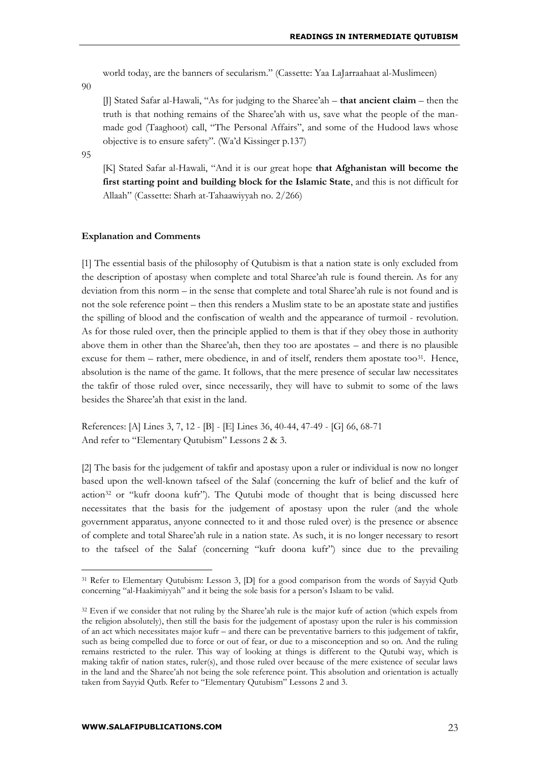world today, are the banners of secularism." (Cassette: Yaa LaJarraahaat al-Muslimeen)

90

[J] Stated Safar al-Hawali, "As for judging to the Sharee'ah – **that ancient claim** – then the truth is that nothing remains of the Sharee'ah with us, save what the people of the manmade god (Taaghoot) call, "The Personal Affairs", and some of the Hudood laws whose objective is to ensure safety". (Wa'd Kissinger p.137)

95

<u>.</u>

[K] Stated Safar al-Hawali, "And it is our great hope **that Afghanistan will become the first starting point and building block for the Islamic State**, and this is not difficult for Allaah" (Cassette: Sharh at-Tahaawiyyah no. 2/266)

#### **Explanation and Comments**

[1] The essential basis of the philosophy of Qutubism is that a nation state is only excluded from the description of apostasy when complete and total Sharee'ah rule is found therein. As for any deviation from this norm – in the sense that complete and total Sharee'ah rule is not found and is not the sole reference point – then this renders a Muslim state to be an apostate state and justifies the spilling of blood and the confiscation of wealth and the appearance of turmoil - revolution. As for those ruled over, then the principle applied to them is that if they obey those in authority above them in other than the Sharee'ah, then they too are apostates – and there is no plausible excuse for them  $-$  rather, mere obedience, in and of itself, renders them apostate too<sup>31</sup>. Hence, absolution is the name of the game. It follows, that the mere presence of secular law necessitates the takfir of those ruled over, since necessarily, they will have to submit to some of the laws besides the Sharee'ah that exist in the land.

References: [A] Lines 3, 7, 12 - [B] - [E] Lines 36, 40-44, 47-49 - [G] 66, 68-71 And refer to "Elementary Qutubism" Lessons 2 & 3.

[2] The basis for the judgement of takfir and apostasy upon a ruler or individual is now no longer based upon the well-known tafseel of the Salaf (concerning the kufr of belief and the kufr of action<sup>32</sup> or "kufr doona kufr"). The Qutubi mode of thought that is being discussed here necessitates that the basis for the judgement of apostasy upon the ruler (and the whole government apparatus, anyone connected to it and those ruled over) is the presence or absence of complete and total Sharee'ah rule in a nation state. As such, it is no longer necessary to resort to the tafseel of the Salaf (concerning "kufr doona kufr") since due to the prevailing

<sup>31</sup> Refer to Elementary Qutubism: Lesson 3, [D] for a good comparison from the words of Sayyid Qutb concerning "al-Haakimiyyah" and it being the sole basis for a person's Islaam to be valid.

<sup>&</sup>lt;sup>32</sup> Even if we consider that not ruling by the Sharee'ah rule is the major kufr of action (which expels from the religion absolutely), then still the basis for the judgement of apostasy upon the ruler is his commission of an act which necessitates major kufr – and there can be preventative barriers to this judgement of takfir, such as being compelled due to force or out of fear, or due to a misconception and so on. And the ruling remains restricted to the ruler. This way of looking at things is different to the Qutubi way, which is making takfir of nation states, ruler(s), and those ruled over because of the mere existence of secular laws in the land and the Sharee'ah not being the sole reference point. This absolution and orientation is actually taken from Sayyid Qutb. Refer to "Elementary Qutubism" Lessons 2 and 3.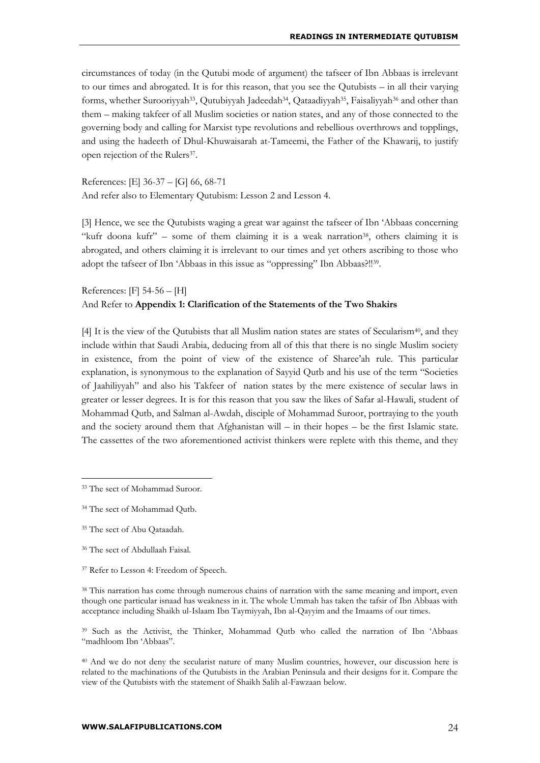circumstances of today (in the Qutubi mode of argument) the tafseer of Ibn Abbaas is irrelevant to our times and abrogated. It is for this reason, that you see the Qutubists – in all their varying forms, whether Surooriyyah<sup>33</sup>, Qutubiyyah Jadeedah<sup>34</sup>, Qataadiyyah<sup>35</sup>, Faisaliyyah<sup>36</sup> and other than them – making takfeer of all Muslim societies or nation states, and any of those connected to the governing body and calling for Marxist type revolutions and rebellious overthrows and topplings, and using the hadeeth of Dhul-Khuwaisarah at-Tameemi, the Father of the Khawarij, to justify open rejection of the Rulers<sup>37</sup>.

References: [E] 36-37 – [G] 66, 68-71 And refer also to Elementary Qutubism: Lesson 2 and Lesson 4.

[3] Hence, we see the Qutubists waging a great war against the tafseer of Ibn 'Abbaas concerning "kufr doona kufr" – some of them claiming it is a weak narration<sup>38</sup>, others claiming it is abrogated, and others claiming it is irrelevant to our times and yet others ascribing to those who adopt the tafseer of Ibn 'Abbaas in this issue as "oppressing" Ibn Abbaas?!!<sup>39</sup> .

## References: [F] 54-56 – [H] And Refer to **Appendix 1: Clarification of the Statements of the Two Shakirs**

[4] It is the view of the Qutubists that all Muslim nation states are states of Secularism<sup>40</sup>, and they include within that Saudi Arabia, deducing from all of this that there is no single Muslim society in existence, from the point of view of the existence of Sharee'ah rule. This particular explanation, is synonymous to the explanation of Sayyid Qutb and his use of the term "Societies of Jaahiliyyah" and also his Takfeer of nation states by the mere existence of secular laws in greater or lesser degrees. It is for this reason that you saw the likes of Safar al-Hawali, student of Mohammad Qutb, and Salman al-Awdah, disciple of Mohammad Suroor, portraying to the youth and the society around them that Afghanistan will – in their hopes – be the first Islamic state. The cassettes of the two aforementioned activist thinkers were replete with this theme, and they

<sup>33</sup> The sect of Mohammad Suroor.

<sup>34</sup> The sect of Mohammad Qutb.

<sup>&</sup>lt;sup>35</sup> The sect of Abu Qataadah.

<sup>36</sup> The sect of Abdullaah Faisal.

<sup>&</sup>lt;sup>37</sup> Refer to Lesson 4: Freedom of Speech.

<sup>&</sup>lt;sup>38</sup> This narration has come through numerous chains of narration with the same meaning and import, even though one particular isnaad has weakness in it. The whole Ummah has taken the tafsir of Ibn Abbaas with acceptance including Shaikh ul-Islaam Ibn Taymiyyah, Ibn al-Qayyim and the Imaams of our times.

<sup>39</sup> Such as the Activist, the Thinker, Mohammad Qutb who called the narration of Ibn 'Abbaas "madhloom Ibn 'Abbaas".

<sup>40</sup> And we do not deny the secularist nature of many Muslim countries, however, our discussion here is related to the machinations of the Qutubists in the Arabian Peninsula and their designs for it. Compare the view of the Qutubists with the statement of Shaikh Salih al-Fawzaan below.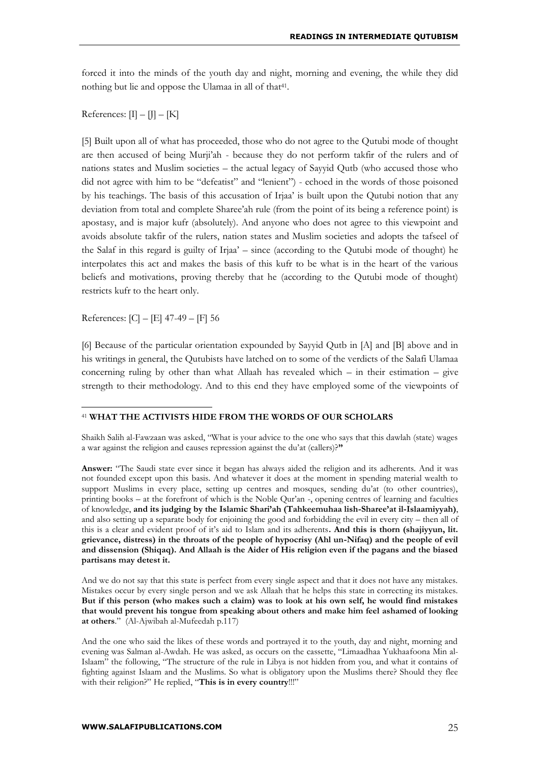forced it into the minds of the youth day and night, morning and evening, the while they did nothing but lie and oppose the Ulamaa in all of that<sup>41</sup>.

References:  $[\Pi - [\Pi] - [K]$ 

[5] Built upon all of what has proceeded, those who do not agree to the Qutubi mode of thought are then accused of being Murji'ah - because they do not perform takfir of the rulers and of nations states and Muslim societies – the actual legacy of Sayyid Qutb (who accused those who did not agree with him to be "defeatist" and "lenient") - echoed in the words of those poisoned by his teachings. The basis of this accusation of Irjaa' is built upon the Qutubi notion that any deviation from total and complete Sharee'ah rule (from the point of its being a reference point) is apostasy, and is major kufr (absolutely). And anyone who does not agree to this viewpoint and avoids absolute takfir of the rulers, nation states and Muslim societies and adopts the tafseel of the Salaf in this regard is guilty of Irjaa' – since (according to the Qutubi mode of thought) he interpolates this act and makes the basis of this kufr to be what is in the heart of the various beliefs and motivations, proving thereby that he (according to the Qutubi mode of thought) restricts kufr to the heart only.

References: [C] – [E] 47-49 – [F] 56

<u>.</u>

[6] Because of the particular orientation expounded by Sayyid Qutb in [A] and [B] above and in his writings in general, the Qutubists have latched on to some of the verdicts of the Salafi Ulamaa concerning ruling by other than what Allaah has revealed which  $-$  in their estimation  $-$  give strength to their methodology. And to this end they have employed some of the viewpoints of

#### <sup>41</sup> **WHAT THE ACTIVISTS HIDE FROM THE WORDS OF OUR SCHOLARS**

Shaikh Salih al-Fawzaan was asked, "What is your advice to the one who says that this dawlah (state) wages a war against the religion and causes repression against the du'at (callers)?**"**

**Answer:** "The Saudi state ever since it began has always aided the religion and its adherents. And it was not founded except upon this basis. And whatever it does at the moment in spending material wealth to support Muslims in every place, setting up centres and mosques, sending du'at (to other countries), printing books – at the forefront of which is the Noble Qur'an -, opening centres of learning and faculties of knowledge, **and its judging by the Islamic Shari'ah (Tahkeemuhaa lish-Sharee'at il-Islaamiyyah)**, and also setting up a separate body for enjoining the good and forbidding the evil in every city – then all of this is a clear and evident proof of it's aid to Islam and its adherents**. And this is thorn (shajiyyun, lit. grievance, distress) in the throats of the people of hypocrisy (Ahl un-Nifaq) and the people of evil and dissension (Shiqaq). And Allaah is the Aider of His religion even if the pagans and the biased partisans may detest it.**

And we do not say that this state is perfect from every single aspect and that it does not have any mistakes. Mistakes occur by every single person and we ask Allaah that he helps this state in correcting its mistakes. **But if this person (who makes such a claim) was to look at his own self, he would find mistakes that would prevent his tongue from speaking about others and make him feel ashamed of looking at others**." (Al-Ajwibah al-Mufeedah p.117)

And the one who said the likes of these words and portrayed it to the youth, day and night, morning and evening was Salman al-Awdah. He was asked, as occurs on the cassette, "Limaadhaa Yukhaafoona Min al-Islaam" the following, "The structure of the rule in Libya is not hidden from you, and what it contains of fighting against Islaam and the Muslims. So what is obligatory upon the Muslims there? Should they flee with their religion?" He replied, "**This is in every country**!!!"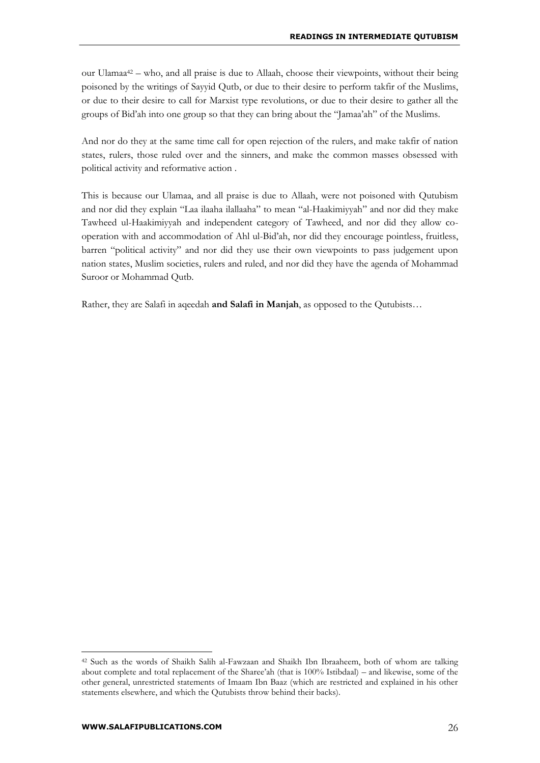our Ulamaa<sup>42</sup> – who, and all praise is due to Allaah, choose their viewpoints, without their being poisoned by the writings of Sayyid Qutb, or due to their desire to perform takfir of the Muslims, or due to their desire to call for Marxist type revolutions, or due to their desire to gather all the groups of Bid'ah into one group so that they can bring about the "Jamaa'ah" of the Muslims.

And nor do they at the same time call for open rejection of the rulers, and make takfir of nation states, rulers, those ruled over and the sinners, and make the common masses obsessed with political activity and reformative action .

This is because our Ulamaa, and all praise is due to Allaah, were not poisoned with Qutubism and nor did they explain "Laa ilaaha ilallaaha" to mean "al-Haakimiyyah" and nor did they make Tawheed ul-Haakimiyyah and independent category of Tawheed, and nor did they allow cooperation with and accommodation of Ahl ul-Bid'ah, nor did they encourage pointless, fruitless, barren "political activity" and nor did they use their own viewpoints to pass judgement upon nation states, Muslim societies, rulers and ruled, and nor did they have the agenda of Mohammad Suroor or Mohammad Qutb.

Rather, they are Salafi in aqeedah **and Salafi in Manjah**, as opposed to the Qutubists…

<sup>42</sup> Such as the words of Shaikh Salih al-Fawzaan and Shaikh Ibn Ibraaheem, both of whom are talking about complete and total replacement of the Sharee'ah (that is 100% Istibdaal) – and likewise, some of the other general, unrestricted statements of Imaam Ibn Baaz (which are restricted and explained in his other statements elsewhere, and which the Qutubists throw behind their backs).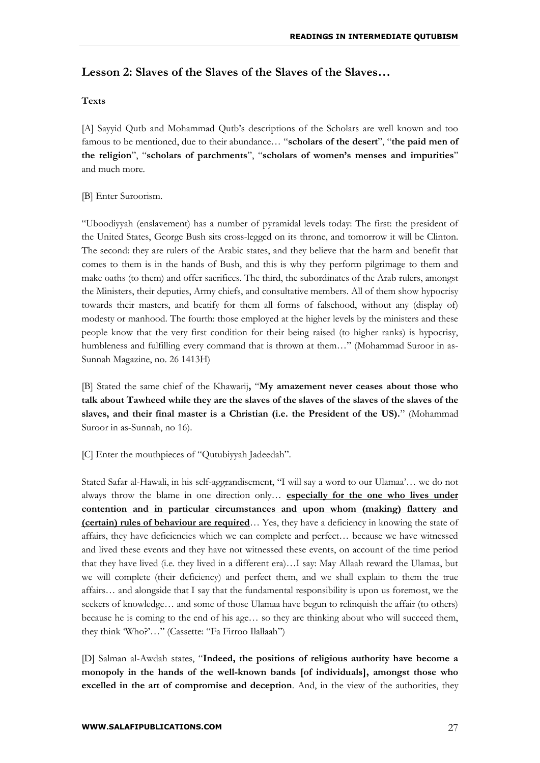## **Lesson 2: Slaves of the Slaves of the Slaves of the Slaves…**

#### **Texts**

[A] Sayyid Qutb and Mohammad Qutb's descriptions of the Scholars are well known and too famous to be mentioned, due to their abundance… "**scholars of the desert**", "**the paid men of the religion**", "**scholars of parchments**", "**scholars of women's menses and impurities**" and much more.

#### [B] Enter Suroorism.

"Uboodiyyah (enslavement) has a number of pyramidal levels today: The first: the president of the United States, George Bush sits cross-legged on its throne, and tomorrow it will be Clinton. The second: they are rulers of the Arabic states, and they believe that the harm and benefit that comes to them is in the hands of Bush, and this is why they perform pilgrimage to them and make oaths (to them) and offer sacrifices. The third, the subordinates of the Arab rulers, amongst the Ministers, their deputies, Army chiefs, and consultative members. All of them show hypocrisy towards their masters, and beatify for them all forms of falsehood, without any (display of) modesty or manhood. The fourth: those employed at the higher levels by the ministers and these people know that the very first condition for their being raised (to higher ranks) is hypocrisy, humbleness and fulfilling every command that is thrown at them..." (Mohammad Suroor in as-Sunnah Magazine, no. 26 1413H)

[B] Stated the same chief of the Khawarij**,** "**My amazement never ceases about those who talk about Tawheed while they are the slaves of the slaves of the slaves of the slaves of the slaves, and their final master is a Christian (i.e. the President of the US).**" (Mohammad Suroor in as-Sunnah, no 16).

[C] Enter the mouthpieces of "Qutubiyyah Jadeedah".

Stated Safar al-Hawali, in his self-aggrandisement, "I will say a word to our Ulamaa'… we do not always throw the blame in one direction only… **especially for the one who lives under contention and in particular circumstances and upon whom (making) flattery and (certain) rules of behaviour are required**… Yes, they have a deficiency in knowing the state of affairs, they have deficiencies which we can complete and perfect… because we have witnessed and lived these events and they have not witnessed these events, on account of the time period that they have lived (i.e. they lived in a different era)…I say: May Allaah reward the Ulamaa, but we will complete (their deficiency) and perfect them, and we shall explain to them the true affairs… and alongside that I say that the fundamental responsibility is upon us foremost, we the seekers of knowledge… and some of those Ulamaa have begun to relinquish the affair (to others) because he is coming to the end of his age… so they are thinking about who will succeed them, they think 'Who?'…" (Cassette: "Fa Firroo Ilallaah")

[D] Salman al-Awdah states, "**Indeed, the positions of religious authority have become a monopoly in the hands of the well-known bands [of individuals], amongst those who excelled in the art of compromise and deception**. And, in the view of the authorities, they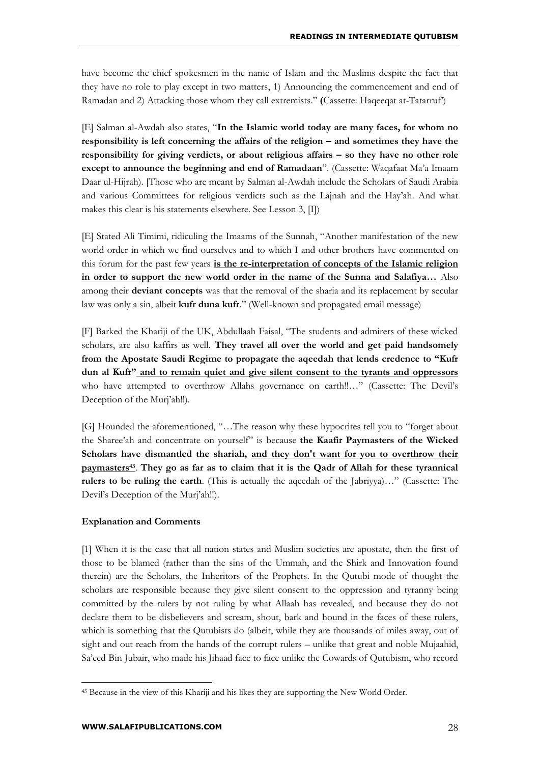have become the chief spokesmen in the name of Islam and the Muslims despite the fact that they have no role to play except in two matters, 1) Announcing the commencement and end of Ramadan and 2) Attacking those whom they call extremists." **(**Cassette: Haqeeqat at-Tatarruf')

[E] Salman al-Awdah also states, "**In the Islamic world today are many faces, for whom no responsibility is left concerning the affairs of the religion – and sometimes they have the responsibility for giving verdicts, or about religious affairs – so they have no other role except to announce the beginning and end of Ramadaan**". (Cassette: Waqafaat Ma'a Imaam Daar ul-Hijrah). [Those who are meant by Salman al-Awdah include the Scholars of Saudi Arabia and various Committees for religious verdicts such as the Lajnah and the Hay'ah. And what makes this clear is his statements elsewhere. See Lesson 3, [I])

[E] Stated Ali Timimi, ridiculing the Imaams of the Sunnah, "Another manifestation of the new world order in which we find ourselves and to which I and other brothers have commented on this forum for the past few years **is the re-interpretation of concepts of the Islamic religion in order to support the new world order in the name of the Sunna and Salafiya…** Also among their **deviant concepts** was that the removal of the sharia and its replacement by secular law was only a sin, albeit **kufr duna kufr**." (Well-known and propagated email message)

[F] Barked the Khariji of the UK, Abdullaah Faisal, "The students and admirers of these wicked scholars, are also kaffirs as well. **They travel all over the world and get paid handsomely from the Apostate Saudi Regime to propagate the aqeedah that lends credence to "Kufr dun al Kufr" and to remain quiet and give silent consent to the tyrants and oppressors** who have attempted to overthrow Allahs governance on earth!!…" (Cassette: The Devil's Deception of the Murj'ah!!).

[G] Hounded the aforementioned, "…The reason why these hypocrites tell you to "forget about the Sharee'ah and concentrate on yourself" is because **the Kaafir Paymasters of the Wicked Scholars have dismantled the shariah, and they don't want for you to overthrow their paymasters<sup>43</sup>** . **They go as far as to claim that it is the Qadr of Allah for these tyrannical rulers to be ruling the earth**. (This is actually the aqeedah of the Jabriyya)…" (Cassette: The Devil's Deception of the Murj'ah!!).

#### **Explanation and Comments**

[1] When it is the case that all nation states and Muslim societies are apostate, then the first of those to be blamed (rather than the sins of the Ummah, and the Shirk and Innovation found therein) are the Scholars, the Inheritors of the Prophets. In the Qutubi mode of thought the scholars are responsible because they give silent consent to the oppression and tyranny being committed by the rulers by not ruling by what Allaah has revealed, and because they do not declare them to be disbelievers and scream, shout, bark and hound in the faces of these rulers, which is something that the Qutubists do (albeit, while they are thousands of miles away, out of sight and out reach from the hands of the corrupt rulers – unlike that great and noble Mujaahid, Sa'eed Bin Jubair, who made his Jihaad face to face unlike the Cowards of Qutubism, who record

<sup>43</sup> Because in the view of this Khariji and his likes they are supporting the New World Order.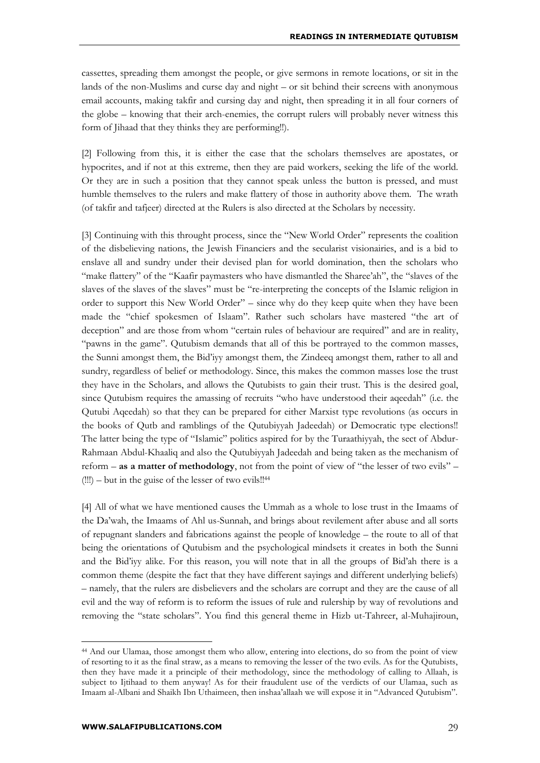cassettes, spreading them amongst the people, or give sermons in remote locations, or sit in the lands of the non-Muslims and curse day and night – or sit behind their screens with anonymous email accounts, making takfir and cursing day and night, then spreading it in all four corners of the globe – knowing that their arch-enemies, the corrupt rulers will probably never witness this form of Jihaad that they thinks they are performing!!).

[2] Following from this, it is either the case that the scholars themselves are apostates, or hypocrites, and if not at this extreme, then they are paid workers, seeking the life of the world. Or they are in such a position that they cannot speak unless the button is pressed, and must humble themselves to the rulers and make flattery of those in authority above them. The wrath (of takfir and tafjeer) directed at the Rulers is also directed at the Scholars by necessity.

[3] Continuing with this throught process, since the "New World Order" represents the coalition of the disbelieving nations, the Jewish Financiers and the secularist visionairies, and is a bid to enslave all and sundry under their devised plan for world domination, then the scholars who "make flattery" of the "Kaafir paymasters who have dismantled the Sharee'ah", the "slaves of the slaves of the slaves of the slaves" must be "re-interpreting the concepts of the Islamic religion in order to support this New World Order" – since why do they keep quite when they have been made the "chief spokesmen of Islaam". Rather such scholars have mastered "the art of deception" and are those from whom "certain rules of behaviour are required" and are in reality, "pawns in the game". Qutubism demands that all of this be portrayed to the common masses, the Sunni amongst them, the Bid'iyy amongst them, the Zindeeq amongst them, rather to all and sundry, regardless of belief or methodology. Since, this makes the common masses lose the trust they have in the Scholars, and allows the Qutubists to gain their trust. This is the desired goal, since Qutubism requires the amassing of recruits "who have understood their aqeedah" (i.e. the Qutubi Aqeedah) so that they can be prepared for either Marxist type revolutions (as occurs in the books of Qutb and ramblings of the Qutubiyyah Jadeedah) or Democratic type elections!! The latter being the type of "Islamic" politics aspired for by the Turaathiyyah, the sect of Abdur-Rahmaan Abdul-Khaaliq and also the Qutubiyyah Jadeedah and being taken as the mechanism of reform – **as a matter of methodology**, not from the point of view of "the lesser of two evils" – (!!!) – but in the guise of the lesser of two evils!!<sup>44</sup>

[4] All of what we have mentioned causes the Ummah as a whole to lose trust in the Imaams of the Da'wah, the Imaams of Ahl us-Sunnah, and brings about revilement after abuse and all sorts of repugnant slanders and fabrications against the people of knowledge – the route to all of that being the orientations of Qutubism and the psychological mindsets it creates in both the Sunni and the Bid'iyy alike. For this reason, you will note that in all the groups of Bid'ah there is a common theme (despite the fact that they have different sayings and different underlying beliefs) – namely, that the rulers are disbelievers and the scholars are corrupt and they are the cause of all evil and the way of reform is to reform the issues of rule and rulership by way of revolutions and removing the "state scholars". You find this general theme in Hizb ut-Tahreer, al-Muhajiroun,

<sup>44</sup> And our Ulamaa, those amongst them who allow, entering into elections, do so from the point of view of resorting to it as the final straw, as a means to removing the lesser of the two evils. As for the Qutubists, then they have made it a principle of their methodology, since the methodology of calling to Allaah, is subject to Ijtihaad to them anyway! As for their fraudulent use of the verdicts of our Ulamaa, such as Imaam al-Albani and Shaikh Ibn Uthaimeen, then inshaa'allaah we will expose it in "Advanced Qutubism".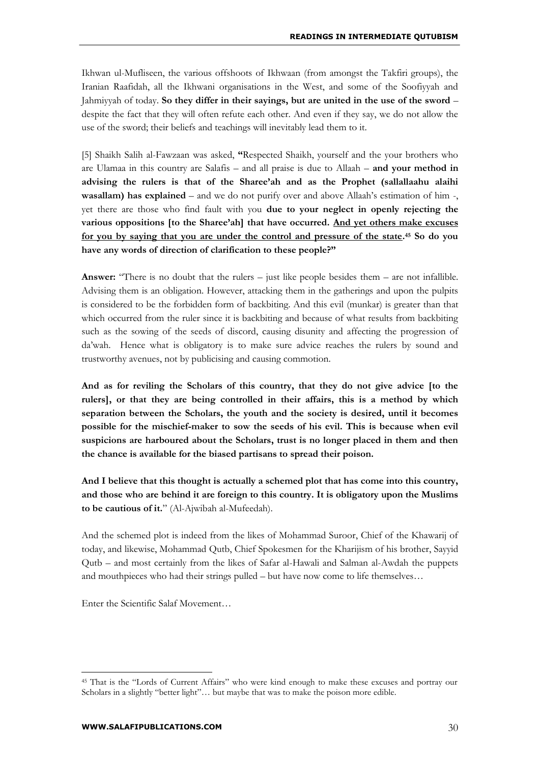Ikhwan ul-Mufliseen, the various offshoots of Ikhwaan (from amongst the Takfiri groups), the Iranian Raafidah, all the Ikhwani organisations in the West, and some of the Soofiyyah and Jahmiyyah of today. **So they differ in their sayings, but are united in the use of the sword** – despite the fact that they will often refute each other. And even if they say, we do not allow the use of the sword; their beliefs and teachings will inevitably lead them to it.

[5] Shaikh Salih al-Fawzaan was asked, **"**Respected Shaikh, yourself and the your brothers who are Ulamaa in this country are Salafis – and all praise is due to Allaah – **and your method in advising the rulers is that of the Sharee'ah and as the Prophet (sallallaahu alaihi wasallam) has explained** – and we do not purify over and above Allaah's estimation of him -, yet there are those who find fault with you **due to your neglect in openly rejecting the various oppositions [to the Sharee'ah] that have occurred. And yet others make excuses for you by saying that you are under the control and pressure of the state. <sup>45</sup> So do you have any words of direction of clarification to these people?"**

**Answer:** "There is no doubt that the rulers – just like people besides them – are not infallible. Advising them is an obligation. However, attacking them in the gatherings and upon the pulpits is considered to be the forbidden form of backbiting. And this evil (munkar) is greater than that which occurred from the ruler since it is backbiting and because of what results from backbiting such as the sowing of the seeds of discord, causing disunity and affecting the progression of da'wah. Hence what is obligatory is to make sure advice reaches the rulers by sound and trustworthy avenues, not by publicising and causing commotion.

**And as for reviling the Scholars of this country, that they do not give advice [to the rulers], or that they are being controlled in their affairs, this is a method by which separation between the Scholars, the youth and the society is desired, until it becomes possible for the mischief-maker to sow the seeds of his evil. This is because when evil suspicions are harboured about the Scholars, trust is no longer placed in them and then the chance is available for the biased partisans to spread their poison.** 

**And I believe that this thought is actually a schemed plot that has come into this country, and those who are behind it are foreign to this country. It is obligatory upon the Muslims to be cautious of it.**" (Al-Ajwibah al-Mufeedah).

And the schemed plot is indeed from the likes of Mohammad Suroor, Chief of the Khawarij of today, and likewise, Mohammad Qutb, Chief Spokesmen for the Kharijism of his brother, Sayyid Qutb – and most certainly from the likes of Safar al-Hawali and Salman al-Awdah the puppets and mouthpieces who had their strings pulled – but have now come to life themselves…

Enter the Scientific Salaf Movement…

<sup>45</sup> That is the "Lords of Current Affairs" who were kind enough to make these excuses and portray our Scholars in a slightly "better light"... but maybe that was to make the poison more edible.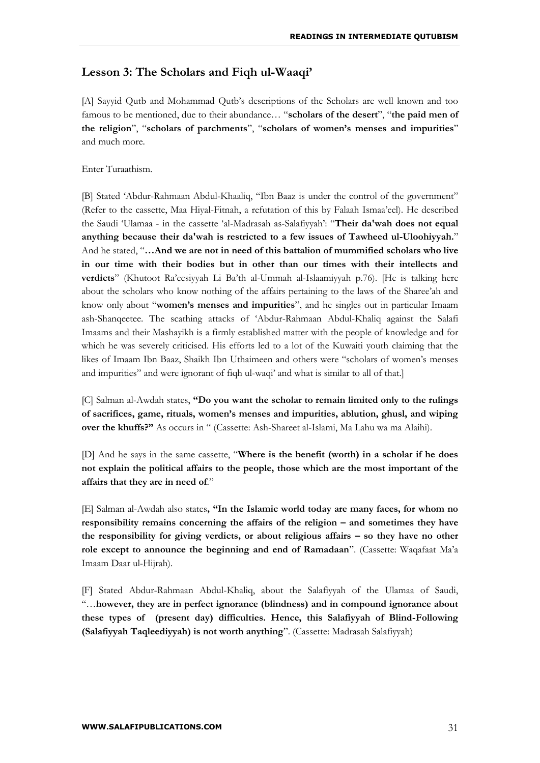## **Lesson 3: The Scholars and Fiqh ul-Waaqi'**

[A] Sayyid Qutb and Mohammad Qutb's descriptions of the Scholars are well known and too famous to be mentioned, due to their abundance… "**scholars of the desert**", "**the paid men of the religion**", "**scholars of parchments**", "**scholars of women's menses and impurities**" and much more.

Enter Turaathism.

[B] Stated 'Abdur-Rahmaan Abdul-Khaaliq, "Ibn Baaz is under the control of the government" (Refer to the cassette, Maa Hiyal-Fitnah, a refutation of this by Falaah Ismaa'eel). He described the Saudi 'Ulamaa - in the cassette 'al-Madrasah as-Salafiyyah': "**Their da'wah does not equal anything because their da'wah is restricted to a few issues of Tawheed ul-Uloohiyyah.**" And he stated, "**…And we are not in need of this battalion of mummified scholars who live in our time with their bodies but in other than our times with their intellects and verdicts**" (Khutoot Ra'eesiyyah Li Ba'th al-Ummah al-Islaamiyyah p.76). [He is talking here about the scholars who know nothing of the affairs pertaining to the laws of the Sharee'ah and know only about "**women's menses and impurities**", and he singles out in particular Imaam ash-Shanqeetee. The scathing attacks of 'Abdur-Rahmaan Abdul-Khaliq against the Salafi Imaams and their Mashayikh is a firmly established matter with the people of knowledge and for which he was severely criticised. His efforts led to a lot of the Kuwaiti youth claiming that the likes of Imaam Ibn Baaz, Shaikh Ibn Uthaimeen and others were "scholars of women's menses and impurities" and were ignorant of fiqh ul-waqi' and what is similar to all of that.]

[C] Salman al-Awdah states, **"Do you want the scholar to remain limited only to the rulings of sacrifices, game, rituals, women's menses and impurities, ablution, ghusl, and wiping over the khuffs?"** As occurs in " (Cassette: Ash-Shareet al-Islami, Ma Lahu wa ma Alaihi).

[D] And he says in the same cassette, "**Where is the benefit (worth) in a scholar if he does not explain the political affairs to the people, those which are the most important of the affairs that they are in need of**."

[E] Salman al-Awdah also states**, "In the Islamic world today are many faces, for whom no responsibility remains concerning the affairs of the religion – and sometimes they have the responsibility for giving verdicts, or about religious affairs – so they have no other role except to announce the beginning and end of Ramadaan**". (Cassette: Waqafaat Ma'a Imaam Daar ul-Hijrah).

[F] Stated Abdur-Rahmaan Abdul-Khaliq, about the Salafiyyah of the Ulamaa of Saudi, "…**however, they are in perfect ignorance (blindness) and in compound ignorance about these types of (present day) difficulties. Hence, this Salafiyyah of Blind-Following (Salafiyyah Taqleediyyah) is not worth anything**". (Cassette: Madrasah Salafiyyah)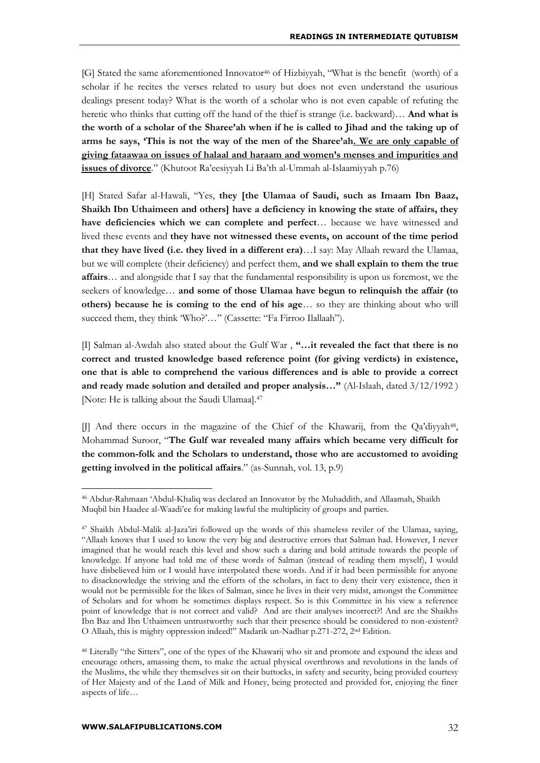[G] Stated the same aforementioned Innovator<sup>46</sup> of Hizbiyyah, "What is the benefit (worth) of a scholar if he recites the verses related to usury but does not even understand the usurious dealings present today? What is the worth of a scholar who is not even capable of refuting the heretic who thinks that cutting off the hand of the thief is strange (i.e. backward)… **And what is the worth of a scholar of the Sharee'ah when if he is called to Jihad and the taking up of arms he says, 'This is not the way of the men of the Sharee'ah. We are only capable of giving fataawaa on issues of halaal and haraam and women's menses and impurities and issues of divorce**." (Khutoot Ra'eesiyyah Li Ba'th al-Ummah al-Islaamiyyah p.76)

[H] Stated Safar al-Hawali, "Yes, **they [the Ulamaa of Saudi, such as Imaam Ibn Baaz, Shaikh Ibn Uthaimeen and others] have a deficiency in knowing the state of affairs, they have deficiencies which we can complete and perfect**… because we have witnessed and lived these events and **they have not witnessed these events, on account of the time period that they have lived (i.e. they lived in a different era)**…I say: May Allaah reward the Ulamaa, but we will complete (their deficiency) and perfect them, **and we shall explain to them the true affairs**… and alongside that I say that the fundamental responsibility is upon us foremost, we the seekers of knowledge… **and some of those Ulamaa have begun to relinquish the affair (to others) because he is coming to the end of his age**… so they are thinking about who will succeed them, they think 'Who?'..." (Cassette: "Fa Firroo Ilallaah").

[I] Salman al-Awdah also stated about the Gulf War , **"…it revealed the fact that there is no correct and trusted knowledge based reference point (for giving verdicts) in existence, one that is able to comprehend the various differences and is able to provide a correct and ready made solution and detailed and proper analysis…"** (Al-Islaah, dated 3/12/1992 ) [Note: He is talking about the Saudi Ulamaa].<sup>47</sup>

[J] And there occurs in the magazine of the Chief of the Khawarij, from the Qa'diyyah<sup>48</sup>, Mohammad Suroor, "**The Gulf war revealed many affairs which became very difficult for the common-folk and the Scholars to understand, those who are accustomed to avoiding getting involved in the political affairs**." (as-Sunnah, vol. 13, p.9)

<sup>46</sup> Abdur-Rahmaan 'Abdul-Khaliq was declared an Innovator by the Muhaddith, and Allaamah, Shaikh Muqbil bin Haadee al-Waadi'ee for making lawful the multiplicity of groups and parties.

<sup>47</sup> Shaikh Abdul-Malik al-Jaza'iri followed up the words of this shameless reviler of the Ulamaa, saying, "Allaah knows that I used to know the very big and destructive errors that Salman had. However, I never imagined that he would reach this level and show such a daring and bold attitude towards the people of knowledge. If anyone had told me of these words of Salman (instead of reading them myself), I would have disbelieved him or I would have interpolated these words. And if it had been permissible for anyone to disacknowledge the striving and the efforts of the scholars, in fact to deny their very existence, then it would not be permissible for the likes of Salman, since he lives in their very midst, amongst the Committee of Scholars and for whom he sometimes displays respect. So is this Committee in his view a reference point of knowledge that is not correct and valid? And are their analyses incorrect?! And are the Shaikhs Ibn Baz and Ibn Uthaimeen untrustworthy such that their presence should be considered to non-existent? O Allaah, this is mighty oppression indeed!" Madarik un-Nadhar p.271-272, 2nd Edition.

<sup>48</sup> Literally "the Sitters", one of the types of the Khawarij who sit and promote and expound the ideas and encourage others, amassing them, to make the actual physical overthrows and revolutions in the lands of the Muslims, the while they themselves sit on their buttocks, in safety and security, being provided courtesy of Her Majesty and of the Land of Milk and Honey, being protected and provided for, enjoying the finer aspects of life…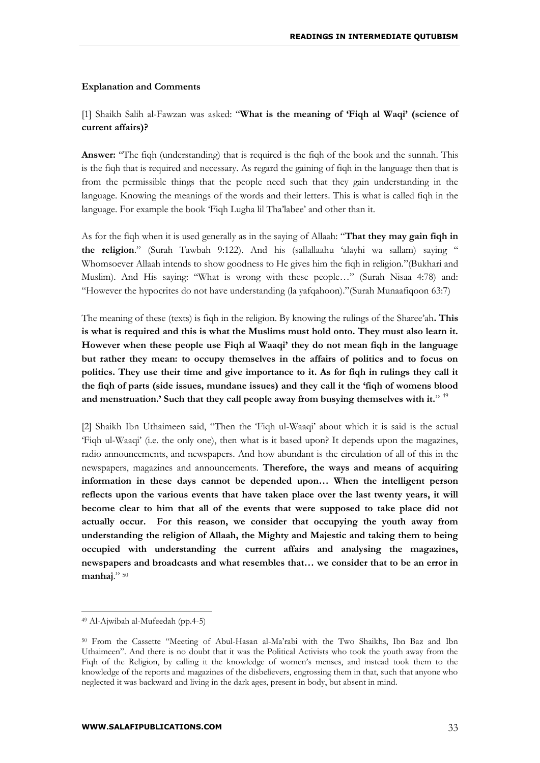#### **Explanation and Comments**

## [1] Shaikh Salih al-Fawzan was asked: "**What is the meaning of 'Fiqh al Waqi' (science of current affairs)?**

**Answer:** "The figh (understanding) that is required is the fight of the book and the sunnah. This is the fiqh that is required and necessary. As regard the gaining of fiqh in the language then that is from the permissible things that the people need such that they gain understanding in the language. Knowing the meanings of the words and their letters. This is what is called fiqh in the language. For example the book 'Fiqh Lugha lil Tha'labee' and other than it.

As for the fiqh when it is used generally as in the saying of Allaah: "**That they may gain fiqh in the religion**." (Surah Tawbah 9:122). And his (sallallaahu 'alayhi wa sallam) saying " Whomsoever Allaah intends to show goodness to He gives him the fiqh in religion."(Bukhari and Muslim). And His saying: "What is wrong with these people…" (Surah Nisaa 4:78) and: "However the hypocrites do not have understanding (la yafqahoon)."(Surah Munaafiqoon 63:7)

The meaning of these (texts) is fiqh in the religion. By knowing the rulings of the Sharee'ah**. This is what is required and this is what the Muslims must hold onto. They must also learn it. However when these people use Fiqh al Waaqi' they do not mean fiqh in the language but rather they mean: to occupy themselves in the affairs of politics and to focus on politics. They use their time and give importance to it. As for fiqh in rulings they call it the fiqh of parts (side issues, mundane issues) and they call it the 'fiqh of womens blood and menstruation.' Such that they call people away from busying themselves with it.**" 49

[2] Shaikh Ibn Uthaimeen said, "Then the 'Fiqh ul-Waaqi' about which it is said is the actual 'Fiqh ul-Waaqi' (i.e. the only one), then what is it based upon? It depends upon the magazines, radio announcements, and newspapers. And how abundant is the circulation of all of this in the newspapers, magazines and announcements. **Therefore, the ways and means of acquiring information in these days cannot be depended upon… When the intelligent person reflects upon the various events that have taken place over the last twenty years, it will become clear to him that all of the events that were supposed to take place did not actually occur. For this reason, we consider that occupying the youth away from understanding the religion of Allaah, the Mighty and Majestic and taking them to being occupied with understanding the current affairs and analysing the magazines, newspapers and broadcasts and what resembles that… we consider that to be an error in manhaj**." <sup>50</sup>

<sup>49</sup> Al-Ajwibah al-Mufeedah (pp.4-5)

<sup>50</sup> From the Cassette "Meeting of Abul-Hasan al-Ma'rabi with the Two Shaikhs, Ibn Baz and Ibn Uthaimeen". And there is no doubt that it was the Political Activists who took the youth away from the Fiqh of the Religion, by calling it the knowledge of women's menses, and instead took them to the knowledge of the reports and magazines of the disbelievers, engrossing them in that, such that anyone who neglected it was backward and living in the dark ages, present in body, but absent in mind.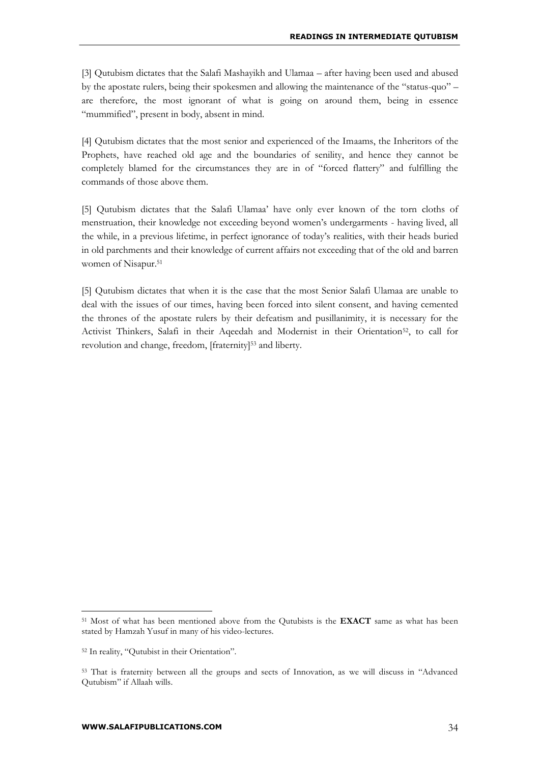[3] Qutubism dictates that the Salafi Mashayikh and Ulamaa – after having been used and abused by the apostate rulers, being their spokesmen and allowing the maintenance of the "status-quo" – are therefore, the most ignorant of what is going on around them, being in essence "mummified", present in body, absent in mind.

[4] Qutubism dictates that the most senior and experienced of the Imaams, the Inheritors of the Prophets, have reached old age and the boundaries of senility, and hence they cannot be completely blamed for the circumstances they are in of "forced flattery" and fulfilling the commands of those above them.

[5] Qutubism dictates that the Salafi Ulamaa' have only ever known of the torn cloths of menstruation, their knowledge not exceeding beyond women's undergarments - having lived, all the while, in a previous lifetime, in perfect ignorance of today's realities, with their heads buried in old parchments and their knowledge of current affairs not exceeding that of the old and barren women of Nisapur.<sup>51</sup>

[5] Qutubism dictates that when it is the case that the most Senior Salafi Ulamaa are unable to deal with the issues of our times, having been forced into silent consent, and having cemented the thrones of the apostate rulers by their defeatism and pusillanimity, it is necessary for the Activist Thinkers, Salafi in their Aqeedah and Modernist in their Orientation<sup>52</sup>, to call for revolution and change, freedom, [fraternity]<sup>53</sup> and liberty.

<sup>51</sup> Most of what has been mentioned above from the Qutubists is the **EXACT** same as what has been stated by Hamzah Yusuf in many of his video-lectures.

<sup>52</sup> In reality, "Qutubist in their Orientation".

<sup>53</sup> That is fraternity between all the groups and sects of Innovation, as we will discuss in "Advanced Qutubism" if Allaah wills.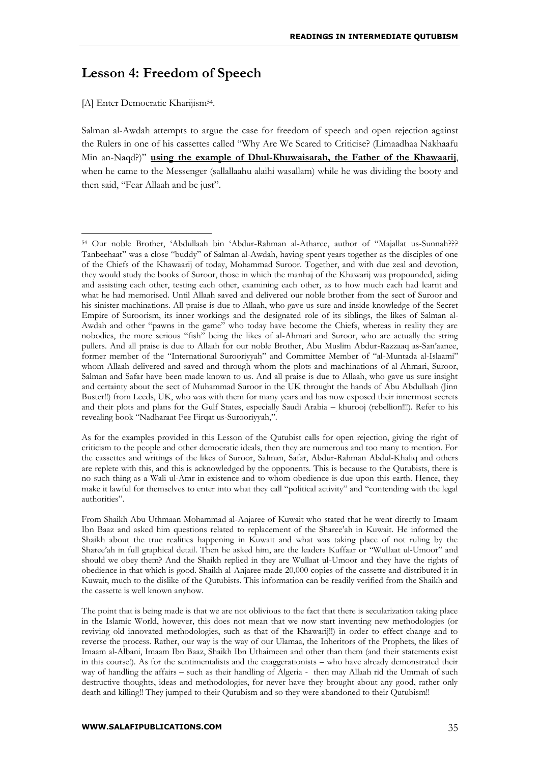## **Lesson 4: Freedom of Speech**

[A] Enter Democratic Kharijism<sup>54</sup>.

1

Salman al-Awdah attempts to argue the case for freedom of speech and open rejection against the Rulers in one of his cassettes called "Why Are We Scared to Criticise? (Limaadhaa Nakhaafu Min an-Naqd?)" **using the example of Dhul-Khuwaisarah, the Father of the Khawaarij**, when he came to the Messenger (sallallaahu alaihi wasallam) while he was dividing the booty and then said, "Fear Allaah and be just".

As for the examples provided in this Lesson of the Qutubist calls for open rejection, giving the right of criticism to the people and other democratic ideals, then they are numerous and too many to mention. For the cassettes and writings of the likes of Suroor, Salman, Safar, Abdur-Rahman Abdul-Khaliq and others are replete with this, and this is acknowledged by the opponents. This is because to the Qutubists, there is no such thing as a Wali ul-Amr in existence and to whom obedience is due upon this earth. Hence, they make it lawful for themselves to enter into what they call "political activity" and "contending with the legal authorities".

From Shaikh Abu Uthmaan Mohammad al-Anjaree of Kuwait who stated that he went directly to Imaam Ibn Baaz and asked him questions related to replacement of the Sharee'ah in Kuwait. He informed the Shaikh about the true realities happening in Kuwait and what was taking place of not ruling by the Sharee'ah in full graphical detail. Then he asked him, are the leaders Kuffaar or "Wullaat ul-Umoor" and should we obey them? And the Shaikh replied in they are Wullaat ul-Umoor and they have the rights of obedience in that which is good. Shaikh al-Anjaree made 20,000 copies of the cassette and distributed it in Kuwait, much to the dislike of the Qutubists. This information can be readily verified from the Shaikh and the cassette is well known anyhow.

The point that is being made is that we are not oblivious to the fact that there is secularization taking place in the Islamic World, however, this does not mean that we now start inventing new methodologies (or reviving old innovated methodologies, such as that of the Khawarij!!) in order to effect change and to reverse the process. Rather, our way is the way of our Ulamaa, the Inheritors of the Prophets, the likes of Imaam al-Albani, Imaam Ibn Baaz, Shaikh Ibn Uthaimeen and other than them (and their statements exist in this course!). As for the sentimentalists and the exaggerationists – who have already demonstrated their way of handling the affairs – such as their handling of Algeria - then may Allaah rid the Ummah of such destructive thoughts, ideas and methodologies, for never have they brought about any good, rather only death and killing!! They jumped to their Qutubism and so they were abandoned to their Qutubism!!

<sup>54</sup> Our noble Brother, 'Abdullaah bin 'Abdur-Rahman al-Atharee, author of "Majallat us-Sunnah??? Tanbeehaat" was a close "buddy" of Salman al-Awdah, having spent years together as the disciples of one of the Chiefs of the Khawaarij of today, Mohammad Suroor. Together, and with due zeal and devotion, they would study the books of Suroor, those in which the manhaj of the Khawarij was propounded, aiding and assisting each other, testing each other, examining each other, as to how much each had learnt and what he had memorised. Until Allaah saved and delivered our noble brother from the sect of Suroor and his sinister machinations. All praise is due to Allaah, who gave us sure and inside knowledge of the Secret Empire of Suroorism, its inner workings and the designated role of its siblings, the likes of Salman al-Awdah and other "pawns in the game" who today have become the Chiefs, whereas in reality they are nobodies, the more serious "fish" being the likes of al-Ahmari and Suroor, who are actually the string pullers. And all praise is due to Allaah for our noble Brother, Abu Muslim Abdur-Razzaaq as-San'aanee, former member of the "International Surooriyyah" and Committee Member of "al-Muntada al-Islaami" whom Allaah delivered and saved and through whom the plots and machinations of al-Ahmari, Suroor, Salman and Safar have been made known to us. And all praise is due to Allaah, who gave us sure insight and certainty about the sect of Muhammad Suroor in the UK throught the hands of Abu Abdullaah (Jinn Buster!!) from Leeds, UK, who was with them for many years and has now exposed their innermost secrets and their plots and plans for the Gulf States, especially Saudi Arabia – khurooj (rebellion!!!). Refer to his revealing book "Nadharaat Fee Firqat us-Surooriyyah,".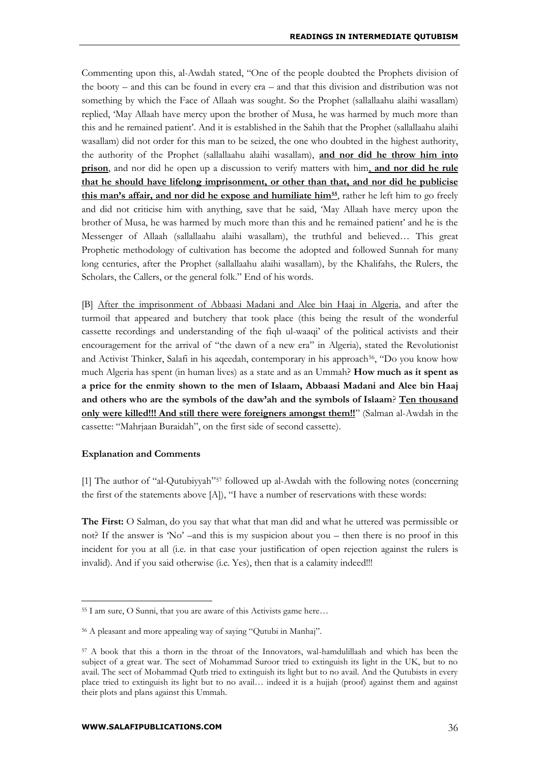Commenting upon this, al-Awdah stated, "One of the people doubted the Prophets division of the booty – and this can be found in every era – and that this division and distribution was not something by which the Face of Allaah was sought. So the Prophet (sallallaahu alaihi wasallam) replied, 'May Allaah have mercy upon the brother of Musa, he was harmed by much more than this and he remained patient'. And it is established in the Sahih that the Prophet (sallallaahu alaihi wasallam) did not order for this man to be seized, the one who doubted in the highest authority, the authority of the Prophet (sallallaahu alaihi wasallam), **and nor did he throw him into prison**, and nor did he open up a discussion to verify matters with him, **and nor did he rule that he should have lifelong imprisonment, or other than that, and nor did he publicise this man's affair, and nor did he expose and humiliate him55**, rather he left him to go freely and did not criticise him with anything, save that he said, 'May Allaah have mercy upon the brother of Musa, he was harmed by much more than this and he remained patient' and he is the Messenger of Allaah (sallallaahu alaihi wasallam), the truthful and believed… This great Prophetic methodology of cultivation has become the adopted and followed Sunnah for many long centuries, after the Prophet (sallallaahu alaihi wasallam), by the Khalifahs, the Rulers, the Scholars, the Callers, or the general folk." End of his words.

[B] After the imprisonment of Abbaasi Madani and Alee bin Haaj in Algeria, and after the turmoil that appeared and butchery that took place (this being the result of the wonderful cassette recordings and understanding of the fiqh ul-waaqi' of the political activists and their encouragement for the arrival of "the dawn of a new era" in Algeria), stated the Revolutionist and Activist Thinker, Salafi in his aqeedah, contemporary in his approach<sup>56</sup>, "Do you know how much Algeria has spent (in human lives) as a state and as an Ummah? **How much as it spent as a price for the enmity shown to the men of Islaam, Abbaasi Madani and Alee bin Haaj and others who are the symbols of the daw'ah and the symbols of Islaam**? **Ten thousand only were killed!!! And still there were foreigners amongst them!!**" (Salman al-Awdah in the cassette: "Mahrjaan Buraidah", on the first side of second cassette).

#### **Explanation and Comments**

<u>.</u>

[1] The author of "al-Qutubiyyah"<sup>57</sup> followed up al-Awdah with the following notes (concerning the first of the statements above [A]), "I have a number of reservations with these words:

**The First:** O Salman, do you say that what that man did and what he uttered was permissible or not? If the answer is 'No' –and this is my suspicion about you – then there is no proof in this incident for you at all (i.e. in that case your justification of open rejection against the rulers is invalid). And if you said otherwise (i.e. Yes), then that is a calamity indeed!!!

<sup>55</sup> I am sure, O Sunni, that you are aware of this Activists game here…

<sup>56</sup> A pleasant and more appealing way of saying "Qutubi in Manhaj".

<sup>57</sup> A book that this a thorn in the throat of the Innovators, wal-hamdulillaah and which has been the subject of a great war. The sect of Mohammad Suroor tried to extinguish its light in the UK, but to no avail. The sect of Mohammad Qutb tried to extinguish its light but to no avail. And the Qutubists in every place tried to extinguish its light but to no avail… indeed it is a hujjah (proof) against them and against their plots and plans against this Ummah.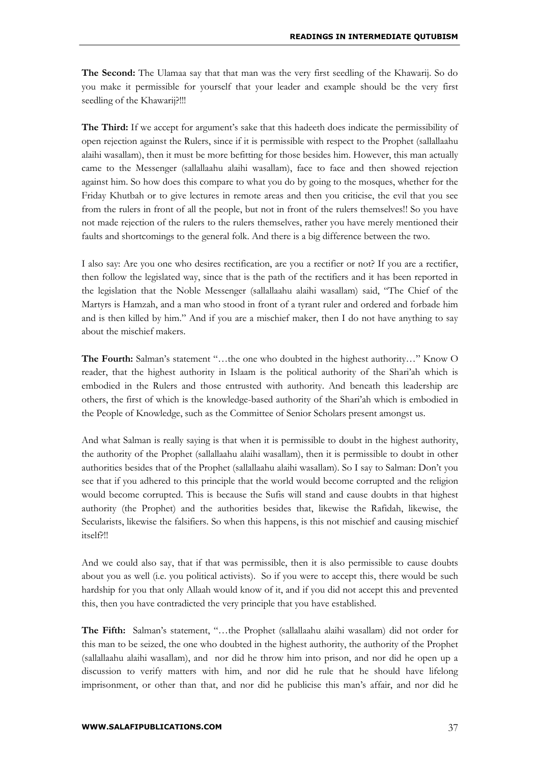**The Second:** The Ulamaa say that that man was the very first seedling of the Khawarij. So do you make it permissible for yourself that your leader and example should be the very first seedling of the Khawarij?!!!

**The Third:** If we accept for argument's sake that this hadeeth does indicate the permissibility of open rejection against the Rulers, since if it is permissible with respect to the Prophet (sallallaahu alaihi wasallam), then it must be more befitting for those besides him. However, this man actually came to the Messenger (sallallaahu alaihi wasallam), face to face and then showed rejection against him. So how does this compare to what you do by going to the mosques, whether for the Friday Khutbah or to give lectures in remote areas and then you criticise, the evil that you see from the rulers in front of all the people, but not in front of the rulers themselves!! So you have not made rejection of the rulers to the rulers themselves, rather you have merely mentioned their faults and shortcomings to the general folk. And there is a big difference between the two.

I also say: Are you one who desires rectification, are you a rectifier or not? If you are a rectifier, then follow the legislated way, since that is the path of the rectifiers and it has been reported in the legislation that the Noble Messenger (sallallaahu alaihi wasallam) said, "The Chief of the Martyrs is Hamzah, and a man who stood in front of a tyrant ruler and ordered and forbade him and is then killed by him." And if you are a mischief maker, then I do not have anything to say about the mischief makers.

**The Fourth:** Salman's statement "…the one who doubted in the highest authority…" Know O reader, that the highest authority in Islaam is the political authority of the Shari'ah which is embodied in the Rulers and those entrusted with authority. And beneath this leadership are others, the first of which is the knowledge-based authority of the Shari'ah which is embodied in the People of Knowledge, such as the Committee of Senior Scholars present amongst us.

And what Salman is really saying is that when it is permissible to doubt in the highest authority, the authority of the Prophet (sallallaahu alaihi wasallam), then it is permissible to doubt in other authorities besides that of the Prophet (sallallaahu alaihi wasallam). So I say to Salman: Don't you see that if you adhered to this principle that the world would become corrupted and the religion would become corrupted. This is because the Sufis will stand and cause doubts in that highest authority (the Prophet) and the authorities besides that, likewise the Rafidah, likewise, the Secularists, likewise the falsifiers. So when this happens, is this not mischief and causing mischief itself?!!

And we could also say, that if that was permissible, then it is also permissible to cause doubts about you as well (i.e. you political activists). So if you were to accept this, there would be such hardship for you that only Allaah would know of it, and if you did not accept this and prevented this, then you have contradicted the very principle that you have established.

**The Fifth:** Salman's statement, "…the Prophet (sallallaahu alaihi wasallam) did not order for this man to be seized, the one who doubted in the highest authority, the authority of the Prophet (sallallaahu alaihi wasallam), and nor did he throw him into prison, and nor did he open up a discussion to verify matters with him, and nor did he rule that he should have lifelong imprisonment, or other than that, and nor did he publicise this man's affair, and nor did he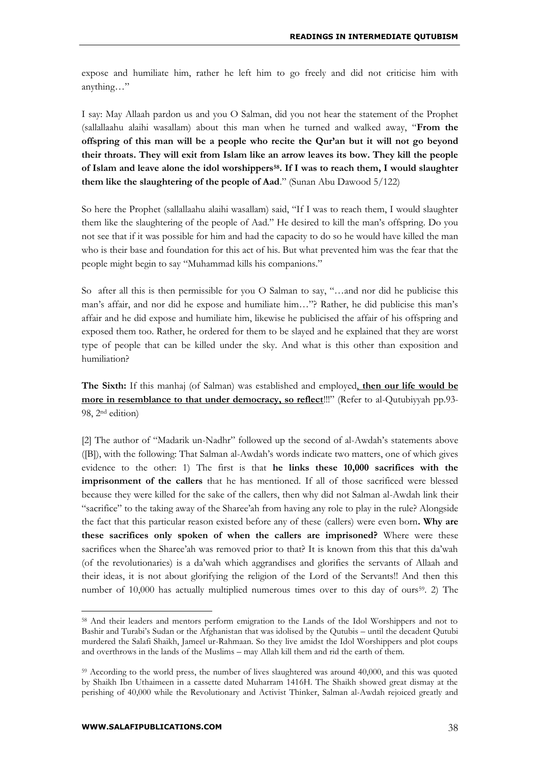expose and humiliate him, rather he left him to go freely and did not criticise him with anything…"

I say: May Allaah pardon us and you O Salman, did you not hear the statement of the Prophet (sallallaahu alaihi wasallam) about this man when he turned and walked away, "**From the offspring of this man will be a people who recite the Qur'an but it will not go beyond their throats. They will exit from Islam like an arrow leaves its bow. They kill the people of Islam and leave alone the idol worshippers58. If I was to reach them, I would slaughter them like the slaughtering of the people of Aad**." (Sunan Abu Dawood 5/122)

So here the Prophet (sallallaahu alaihi wasallam) said, "If I was to reach them, I would slaughter them like the slaughtering of the people of Aad." He desired to kill the man's offspring. Do you not see that if it was possible for him and had the capacity to do so he would have killed the man who is their base and foundation for this act of his. But what prevented him was the fear that the people might begin to say "Muhammad kills his companions."

So after all this is then permissible for you O Salman to say, "…and nor did he publicise this man's affair, and nor did he expose and humiliate him…"? Rather, he did publicise this man's affair and he did expose and humiliate him, likewise he publicised the affair of his offspring and exposed them too. Rather, he ordered for them to be slayed and he explained that they are worst type of people that can be killed under the sky. And what is this other than exposition and humiliation?

**The Sixth:** If this manhaj (of Salman) was established and employed, **then our life would be more in resemblance to that under democracy, so reflect**!!!" (Refer to al-Qutubiyyah pp.93- 98, 2nd edition)

[2] The author of "Madarik un-Nadhr" followed up the second of al-Awdah's statements above ([B]), with the following: That Salman al-Awdah's words indicate two matters, one of which gives evidence to the other: 1) The first is that **he links these 10,000 sacrifices with the imprisonment of the callers** that he has mentioned. If all of those sacrificed were blessed because they were killed for the sake of the callers, then why did not Salman al-Awdah link their "sacrifice" to the taking away of the Sharee'ah from having any role to play in the rule? Alongside the fact that this particular reason existed before any of these (callers) were even born**. Why are these sacrifices only spoken of when the callers are imprisoned?** Where were these sacrifices when the Sharee'ah was removed prior to that? It is known from this that this da'wah (of the revolutionaries) is a da'wah which aggrandises and glorifies the servants of Allaah and their ideas, it is not about glorifying the religion of the Lord of the Servants!! And then this number of 10,000 has actually multiplied numerous times over to this day of ours<sup>59</sup>. 2) The

<sup>58</sup> And their leaders and mentors perform emigration to the Lands of the Idol Worshippers and not to Bashir and Turabi's Sudan or the Afghanistan that was idolised by the Qutubis – until the decadent Qutubi murdered the Salafi Shaikh, Jameel ur-Rahmaan. So they live amidst the Idol Worshippers and plot coups and overthrows in the lands of the Muslims – may Allah kill them and rid the earth of them.

<sup>&</sup>lt;sup>59</sup> According to the world press, the number of lives slaughtered was around 40,000, and this was quoted by Shaikh Ibn Uthaimeen in a cassette dated Muharram 1416H. The Shaikh showed great dismay at the perishing of 40,000 while the Revolutionary and Activist Thinker, Salman al-Awdah rejoiced greatly and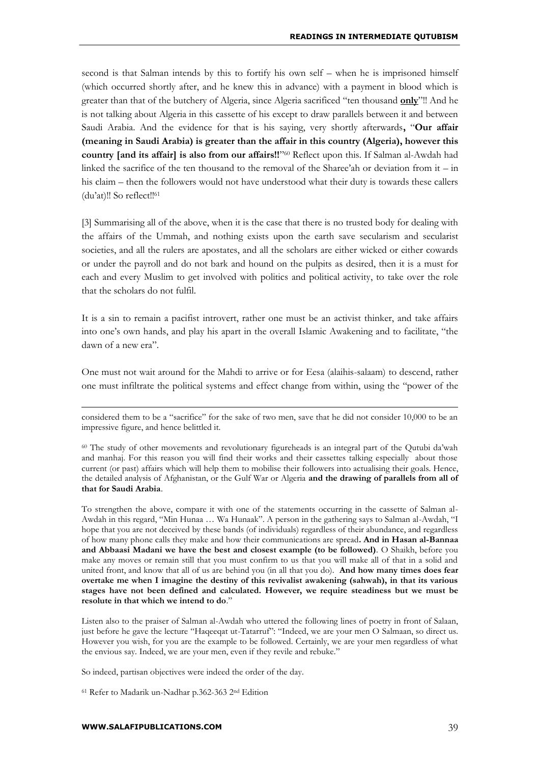second is that Salman intends by this to fortify his own self – when he is imprisoned himself (which occurred shortly after, and he knew this in advance) with a payment in blood which is greater than that of the butchery of Algeria, since Algeria sacrificed "ten thousand **only**"!! And he is not talking about Algeria in this cassette of his except to draw parallels between it and between Saudi Arabia. And the evidence for that is his saying, very shortly afterwards**,** "**Our affair (meaning in Saudi Arabia) is greater than the affair in this country (Algeria), however this country [and its affair] is also from our affairs!!**" <sup>60</sup> Reflect upon this. If Salman al-Awdah had linked the sacrifice of the ten thousand to the removal of the Sharee'ah or deviation from  $it - in$ his claim – then the followers would not have understood what their duty is towards these callers (du'at)!! So reflect!!<sup>61</sup>

[3] Summarising all of the above, when it is the case that there is no trusted body for dealing with the affairs of the Ummah, and nothing exists upon the earth save secularism and secularist societies, and all the rulers are apostates, and all the scholars are either wicked or either cowards or under the payroll and do not bark and hound on the pulpits as desired, then it is a must for each and every Muslim to get involved with politics and political activity, to take over the role that the scholars do not fulfil.

It is a sin to remain a pacifist introvert, rather one must be an activist thinker, and take affairs into one's own hands, and play his apart in the overall Islamic Awakening and to facilitate, "the dawn of a new era".

One must not wait around for the Mahdi to arrive or for Eesa (alaihis-salaam) to descend, rather one must infiltrate the political systems and effect change from within, using the "power of the

<sup>60</sup> The study of other movements and revolutionary figureheads is an integral part of the Qutubi da'wah and manhaj. For this reason you will find their works and their cassettes talking especially about those current (or past) affairs which will help them to mobilise their followers into actualising their goals. Hence, the detailed analysis of Afghanistan, or the Gulf War or Algeria **and the drawing of parallels from all of that for Saudi Arabia**.

To strengthen the above, compare it with one of the statements occurring in the cassette of Salman al-Awdah in this regard, "Min Hunaa … Wa Hunaak". A person in the gathering says to Salman al-Awdah, "I hope that you are not deceived by these bands (of individuals) regardless of their abundance, and regardless of how many phone calls they make and how their communications are spread**. And in Hasan al-Bannaa and Abbaasi Madani we have the best and closest example (to be followed)**. O Shaikh, before you make any moves or remain still that you must confirm to us that you will make all of that in a solid and united front, and know that all of us are behind you (in all that you do). **And how many times does fear overtake me when I imagine the destiny of this revivalist awakening (sahwah), in that its various stages have not been defined and calculated. However, we require steadiness but we must be resolute in that which we intend to do**."

Listen also to the praiser of Salman al-Awdah who uttered the following lines of poetry in front of Salaan, just before he gave the lecture "Haqeeqat ut-Tatarruf": "Indeed, we are your men O Salmaan, so direct us. However you wish, for you are the example to be followed. Certainly, we are your men regardless of what the envious say. Indeed, we are your men, even if they revile and rebuke."

So indeed, partisan objectives were indeed the order of the day.

<sup>61</sup> Refer to Madarik un-Nadhar p.362-363 2nd Edition

considered them to be a "sacrifice" for the sake of two men, save that he did not consider 10,000 to be an impressive figure, and hence belittled it.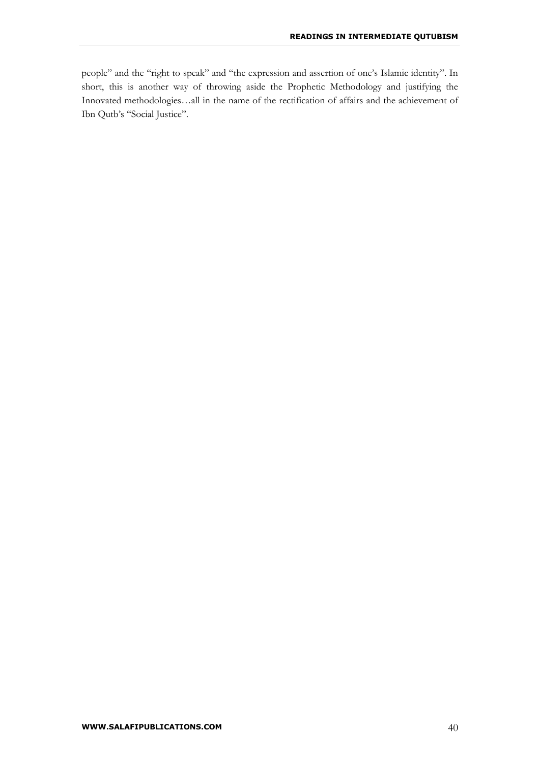people" and the "right to speak" and "the expression and assertion of one's Islamic identity". In short, this is another way of throwing aside the Prophetic Methodology and justifying the Innovated methodologies…all in the name of the rectification of affairs and the achievement of Ibn Qutb's "Social Justice".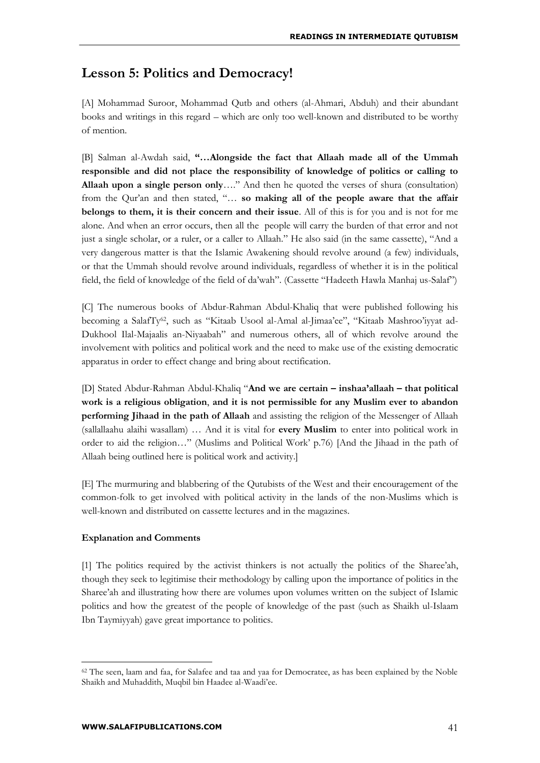## **Lesson 5: Politics and Democracy!**

[A] Mohammad Suroor, Mohammad Qutb and others (al-Ahmari, Abduh) and their abundant books and writings in this regard – which are only too well-known and distributed to be worthy of mention.

[B] Salman al-Awdah said, **"…Alongside the fact that Allaah made all of the Ummah responsible and did not place the responsibility of knowledge of politics or calling to Allaah upon a single person only**…." And then he quoted the verses of shura (consultation) from the Qur'an and then stated, "… **so making all of the people aware that the affair belongs to them, it is their concern and their issue**. All of this is for you and is not for me alone. And when an error occurs, then all the people will carry the burden of that error and not just a single scholar, or a ruler, or a caller to Allaah." He also said (in the same cassette), "And a very dangerous matter is that the Islamic Awakening should revolve around (a few) individuals, or that the Ummah should revolve around individuals, regardless of whether it is in the political field, the field of knowledge of the field of da'wah". (Cassette "Hadeeth Hawla Manhaj us-Salaf")

[C] The numerous books of Abdur-Rahman Abdul-Khaliq that were published following his becoming a SalafTy62, such as "Kitaab Usool al-Amal al-Jimaa'ee", "Kitaab Mashroo'iyyat ad-Dukhool Ilal-Majaalis an-Niyaabah" and numerous others, all of which revolve around the involvement with politics and political work and the need to make use of the existing democratic apparatus in order to effect change and bring about rectification.

[D] Stated Abdur-Rahman Abdul-Khaliq "**And we are certain – inshaa'allaah – that political work is a religious obligation**, **and it is not permissible for any Muslim ever to abandon performing Jihaad in the path of Allaah** and assisting the religion of the Messenger of Allaah (sallallaahu alaihi wasallam) … And it is vital for **every Muslim** to enter into political work in order to aid the religion…" (Muslims and Political Work' p.76) [And the Jihaad in the path of Allaah being outlined here is political work and activity.]

[E] The murmuring and blabbering of the Qutubists of the West and their encouragement of the common-folk to get involved with political activity in the lands of the non-Muslims which is well-known and distributed on cassette lectures and in the magazines.

#### **Explanation and Comments**

[1] The politics required by the activist thinkers is not actually the politics of the Sharee'ah, though they seek to legitimise their methodology by calling upon the importance of politics in the Sharee'ah and illustrating how there are volumes upon volumes written on the subject of Islamic politics and how the greatest of the people of knowledge of the past (such as Shaikh ul-Islaam Ibn Taymiyyah) gave great importance to politics.

<sup>&</sup>lt;sup>62</sup> The seen, laam and faa, for Salafee and taa and yaa for Democratee, as has been explained by the Noble Shaikh and Muhaddith, Muqbil bin Haadee al-Waadi'ee.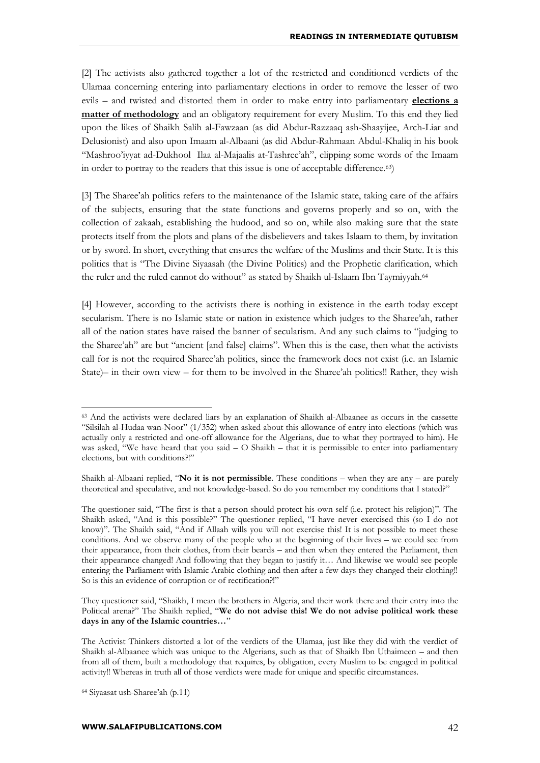[2] The activists also gathered together a lot of the restricted and conditioned verdicts of the Ulamaa concerning entering into parliamentary elections in order to remove the lesser of two evils – and twisted and distorted them in order to make entry into parliamentary **elections a matter of methodology** and an obligatory requirement for every Muslim. To this end they lied upon the likes of Shaikh Salih al-Fawzaan (as did Abdur-Razzaaq ash-Shaayijee, Arch-Liar and Delusionist) and also upon Imaam al-Albaani (as did Abdur-Rahmaan Abdul-Khaliq in his book "Mashroo'iyyat ad-Dukhool Ilaa al-Majaalis at-Tashree'ah", clipping some words of the Imaam in order to portray to the readers that this issue is one of acceptable difference.63)

[3] The Sharee'ah politics refers to the maintenance of the Islamic state, taking care of the affairs of the subjects, ensuring that the state functions and governs properly and so on, with the collection of zakaah, establishing the hudood, and so on, while also making sure that the state protects itself from the plots and plans of the disbelievers and takes Islaam to them, by invitation or by sword. In short, everything that ensures the welfare of the Muslims and their State. It is this politics that is "The Divine Siyaasah (the Divine Politics) and the Prophetic clarification, which the ruler and the ruled cannot do without" as stated by Shaikh ul-Islaam Ibn Taymiyyah.<sup>64</sup>

[4] However, according to the activists there is nothing in existence in the earth today except secularism. There is no Islamic state or nation in existence which judges to the Sharee'ah, rather all of the nation states have raised the banner of secularism. And any such claims to "judging to the Sharee'ah" are but "ancient [and false] claims". When this is the case, then what the activists call for is not the required Sharee'ah politics, since the framework does not exist (i.e. an Islamic State)– in their own view – for them to be involved in the Sharee'ah politics!! Rather, they wish

They questioner said, "Shaikh, I mean the brothers in Algeria, and their work there and their entry into the Political arena?" The Shaikh replied, "**We do not advise this! We do not advise political work these days in any of the Islamic countries…**"

<sup>63</sup> And the activists were declared liars by an explanation of Shaikh al-Albaanee as occurs in the cassette "Silsilah al-Hudaa wan-Noor" (1/352) when asked about this allowance of entry into elections (which was actually only a restricted and one-off allowance for the Algerians, due to what they portrayed to him). He was asked, "We have heard that you said – O Shaikh – that it is permissible to enter into parliamentary elections, but with conditions?!"

Shaikh al-Albaani replied, "**No it is not permissible**. These conditions – when they are any – are purely theoretical and speculative, and not knowledge-based. So do you remember my conditions that I stated?"

The questioner said, "The first is that a person should protect his own self (i.e. protect his religion)". The Shaikh asked, "And is this possible?" The questioner replied, "I have never exercised this (so I do not know)". The Shaikh said, "And if Allaah wills you will not exercise this! It is not possible to meet these conditions. And we observe many of the people who at the beginning of their lives – we could see from their appearance, from their clothes, from their beards – and then when they entered the Parliament, then their appearance changed! And following that they began to justify it… And likewise we would see people entering the Parliament with Islamic Arabic clothing and then after a few days they changed their clothing!! So is this an evidence of corruption or of rectification?!"

The Activist Thinkers distorted a lot of the verdicts of the Ulamaa, just like they did with the verdict of Shaikh al-Albaanee which was unique to the Algerians, such as that of Shaikh Ibn Uthaimeen – and then from all of them, built a methodology that requires, by obligation, every Muslim to be engaged in political activity!! Whereas in truth all of those verdicts were made for unique and specific circumstances.

<sup>64</sup> Siyaasat ush-Sharee'ah (p.11)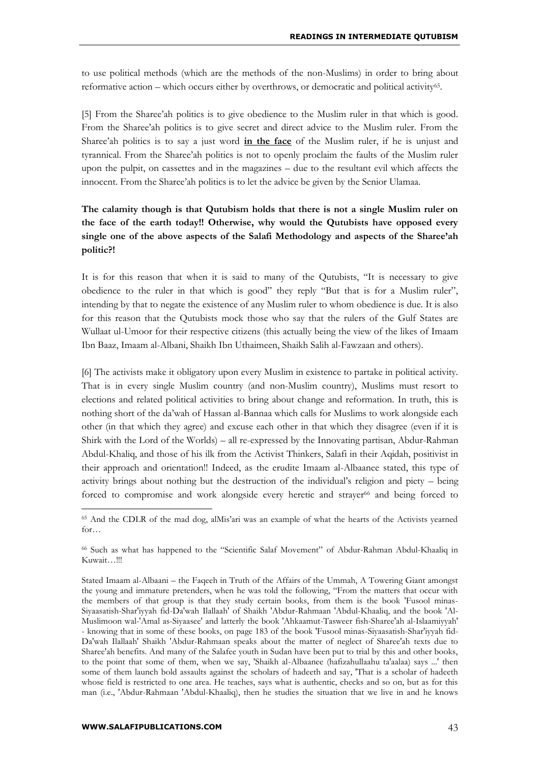to use political methods (which are the methods of the non-Muslims) in order to bring about reformative action – which occurs either by overthrows, or democratic and political activity<sup>65</sup>.

[5] From the Sharee'ah politics is to give obedience to the Muslim ruler in that which is good. From the Sharee'ah politics is to give secret and direct advice to the Muslim ruler. From the Sharee'ah politics is to say a just word **in the face** of the Muslim ruler, if he is unjust and tyrannical. From the Sharee'ah politics is not to openly proclaim the faults of the Muslim ruler upon the pulpit, on cassettes and in the magazines – due to the resultant evil which affects the innocent. From the Sharee'ah politics is to let the advice be given by the Senior Ulamaa.

## **The calamity though is that Qutubism holds that there is not a single Muslim ruler on the face of the earth today!! Otherwise, why would the Qutubists have opposed every single one of the above aspects of the Salafi Methodology and aspects of the Sharee'ah politic?!**

It is for this reason that when it is said to many of the Qutubists, "It is necessary to give obedience to the ruler in that which is good" they reply "But that is for a Muslim ruler", intending by that to negate the existence of any Muslim ruler to whom obedience is due. It is also for this reason that the Qutubists mock those who say that the rulers of the Gulf States are Wullaat ul-Umoor for their respective citizens (this actually being the view of the likes of Imaam Ibn Baaz, Imaam al-Albani, Shaikh Ibn Uthaimeen, Shaikh Salih al-Fawzaan and others).

[6] The activists make it obligatory upon every Muslim in existence to partake in political activity. That is in every single Muslim country (and non-Muslim country), Muslims must resort to elections and related political activities to bring about change and reformation. In truth, this is nothing short of the da'wah of Hassan al-Bannaa which calls for Muslims to work alongside each other (in that which they agree) and excuse each other in that which they disagree (even if it is Shirk with the Lord of the Worlds) – all re-expressed by the Innovating partisan, Abdur-Rahman Abdul-Khaliq, and those of his ilk from the Activist Thinkers, Salafi in their Aqidah, positivist in their approach and orientation!! Indeed, as the erudite Imaam al-Albaanee stated, this type of activity brings about nothing but the destruction of the individual's religion and piety – being forced to compromise and work alongside every heretic and strayer<sup>66</sup> and being forced to

<sup>65</sup> And the CDLR of the mad dog, alMis'ari was an example of what the hearts of the Activists yearned for…

<sup>&</sup>lt;sup>66</sup> Such as what has happened to the "Scientific Salaf Movement" of Abdur-Rahman Abdul-Khaaliq in Kuwait...!!!

Stated Imaam al-Albaani – the Faqeeh in Truth of the Affairs of the Ummah, A Towering Giant amongst the young and immature pretenders, when he was told the following, "From the matters that occur with the members of that group is that they study certain books, from them is the book 'Fusool minas-Siyaasatish-Shar'iyyah fid-Da'wah Ilallaah' of Shaikh 'Abdur-Rahmaan 'Abdul-Khaaliq, and the book 'Al-Muslimoon wal-'Amal as-Siyaasee' and latterly the book 'Ahkaamut-Tasweer fish-Sharee'ah al-Islaamiyyah' - knowing that in some of these books, on page 183 of the book 'Fusool minas-Siyaasatish-Shar'iyyah fid-Da'wah Ilallaah' Shaikh 'Abdur-Rahmaan speaks about the matter of neglect of Sharee'ah texts due to Sharee'ah benefits. And many of the Salafee youth in Sudan have been put to trial by this and other books, to the point that some of them, when we say, 'Shaikh al-Albaanee (hafizahullaahu ta'aalaa) says ...' then some of them launch bold assaults against the scholars of hadeeth and say, 'That is a scholar of hadeeth whose field is restricted to one area. He teaches, says what is authentic, checks and so on, but as for this man (i.e., 'Abdur-Rahmaan 'Abdul-Khaaliq), then he studies the situation that we live in and he knows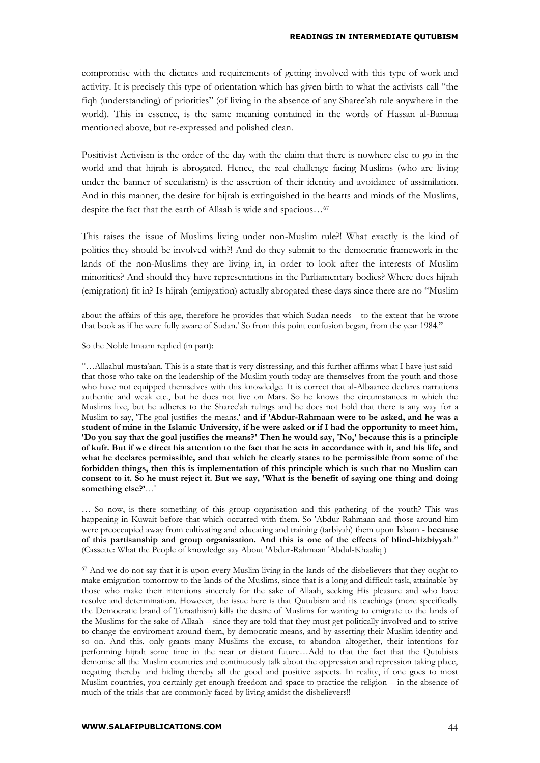compromise with the dictates and requirements of getting involved with this type of work and activity. It is precisely this type of orientation which has given birth to what the activists call "the fiqh (understanding) of priorities" (of living in the absence of any Sharee'ah rule anywhere in the world). This in essence, is the same meaning contained in the words of Hassan al-Bannaa mentioned above, but re-expressed and polished clean.

Positivist Activism is the order of the day with the claim that there is nowhere else to go in the world and that hijrah is abrogated. Hence, the real challenge facing Muslims (who are living under the banner of secularism) is the assertion of their identity and avoidance of assimilation. And in this manner, the desire for hijrah is extinguished in the hearts and minds of the Muslims, despite the fact that the earth of Allaah is wide and spacious…<sup>67</sup>

This raises the issue of Muslims living under non-Muslim rule?! What exactly is the kind of politics they should be involved with?! And do they submit to the democratic framework in the lands of the non-Muslims they are living in, in order to look after the interests of Muslim minorities? And should they have representations in the Parliamentary bodies? Where does hijrah (emigration) fit in? Is hijrah (emigration) actually abrogated these days since there are no "Muslim

about the affairs of this age, therefore he provides that which Sudan needs - to the extent that he wrote that book as if he were fully aware of Sudan.' So from this point confusion began, from the year 1984."

So the Noble Imaam replied (in part):

1

"…Allaahul-musta'aan. This is a state that is very distressing, and this further affirms what I have just said that those who take on the leadership of the Muslim youth today are themselves from the youth and those who have not equipped themselves with this knowledge. It is correct that al-Albaanee declares narrations authentic and weak etc., but he does not live on Mars. So he knows the circumstances in which the Muslims live, but he adheres to the Sharee'ah rulings and he does not hold that there is any way for a Muslim to say, 'The goal justifies the means,' **and if 'Abdur-Rahmaan were to be asked, and he was a student of mine in the Islamic University, if he were asked or if I had the opportunity to meet him, 'Do you say that the goal justifies the means?' Then he would say, 'No,' because this is a principle of kufr. But if we direct his attention to the fact that he acts in accordance with it, and his life, and what he declares permissible, and that which he clearly states to be permissible from some of the forbidden things, then this is implementation of this principle which is such that no Muslim can consent to it. So he must reject it. But we say, 'What is the benefit of saying one thing and doing something else?'**…'

… So now, is there something of this group organisation and this gathering of the youth? This was happening in Kuwait before that which occurred with them. So 'Abdur-Rahmaan and those around him were preoccupied away from cultivating and educating and training (tarbiyah) them upon Islaam - **because of this partisanship and group organisation. And this is one of the effects of blind-hizbiyyah**." (Cassette: What the People of knowledge say About 'Abdur-Rahmaan 'Abdul-Khaaliq )

<sup>67</sup> And we do not say that it is upon every Muslim living in the lands of the disbelievers that they ought to make emigration tomorrow to the lands of the Muslims, since that is a long and difficult task, attainable by those who make their intentions sincerely for the sake of Allaah, seeking His pleasure and who have resolve and determination. However, the issue here is that Qutubism and its teachings (more specifically the Democratic brand of Turaathism) kills the desire of Muslims for wanting to emigrate to the lands of the Muslims for the sake of Allaah – since they are told that they must get politically involved and to strive to change the enviroment around them, by democratic means, and by asserting their Muslim identity and so on. And this, only grants many Muslims the excuse, to abandon altogether, their intentions for performing hijrah some time in the near or distant future…Add to that the fact that the Qutubists demonise all the Muslim countries and continuously talk about the oppression and repression taking place, negating thereby and hiding thereby all the good and positive aspects. In reality, if one goes to most Muslim countries, you certainly get enough freedom and space to practice the religion – in the absence of much of the trials that are commonly faced by living amidst the disbelievers!!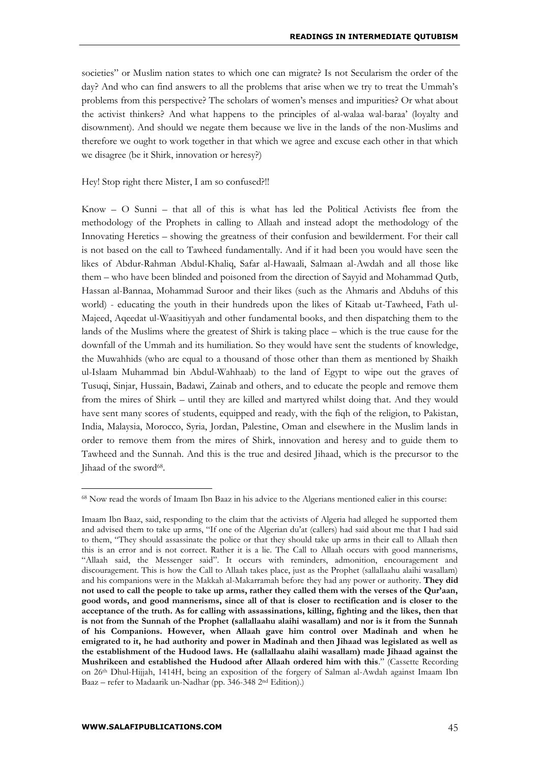societies" or Muslim nation states to which one can migrate? Is not Secularism the order of the day? And who can find answers to all the problems that arise when we try to treat the Ummah's problems from this perspective? The scholars of women's menses and impurities? Or what about the activist thinkers? And what happens to the principles of al-walaa wal-baraa' (loyalty and disownment). And should we negate them because we live in the lands of the non-Muslims and therefore we ought to work together in that which we agree and excuse each other in that which we disagree (be it Shirk, innovation or heresy?)

Hey! Stop right there Mister, I am so confused?!!

Know – O Sunni – that all of this is what has led the Political Activists flee from the methodology of the Prophets in calling to Allaah and instead adopt the methodology of the Innovating Heretics – showing the greatness of their confusion and bewilderment. For their call is not based on the call to Tawheed fundamentally. And if it had been you would have seen the likes of Abdur-Rahman Abdul-Khaliq, Safar al-Hawaali, Salmaan al-Awdah and all those like them – who have been blinded and poisoned from the direction of Sayyid and Mohammad Qutb, Hassan al-Bannaa, Mohammad Suroor and their likes (such as the Ahmaris and Abduhs of this world) - educating the youth in their hundreds upon the likes of Kitaab ut-Tawheed, Fath ul-Majeed, Aqeedat ul-Waasitiyyah and other fundamental books, and then dispatching them to the lands of the Muslims where the greatest of Shirk is taking place – which is the true cause for the downfall of the Ummah and its humiliation. So they would have sent the students of knowledge, the Muwahhids (who are equal to a thousand of those other than them as mentioned by Shaikh ul-Islaam Muhammad bin Abdul-Wahhaab) to the land of Egypt to wipe out the graves of Tusuqi, Sinjar, Hussain, Badawi, Zainab and others, and to educate the people and remove them from the mires of Shirk – until they are killed and martyred whilst doing that. And they would have sent many scores of students, equipped and ready, with the fiqh of the religion, to Pakistan, India, Malaysia, Morocco, Syria, Jordan, Palestine, Oman and elsewhere in the Muslim lands in order to remove them from the mires of Shirk, innovation and heresy and to guide them to Tawheed and the Sunnah. And this is the true and desired Jihaad, which is the precursor to the Jihaad of the sword<sup>68</sup>.

<sup>68</sup> Now read the words of Imaam Ibn Baaz in his advice to the Algerians mentioned ealier in this course:

Imaam Ibn Baaz, said, responding to the claim that the activists of Algeria had alleged he supported them and advised them to take up arms, "If one of the Algerian du'at (callers) had said about me that I had said to them, "They should assassinate the police or that they should take up arms in their call to Allaah then this is an error and is not correct. Rather it is a lie. The Call to Allaah occurs with good mannerisms, "Allaah said, the Messenger said". It occurs with reminders, admonition, encouragement and discouragement. This is how the Call to Allaah takes place, just as the Prophet (sallallaahu alaihi wasallam) and his companions were in the Makkah al-Makarramah before they had any power or authority. **They did not used to call the people to take up arms, rather they called them with the verses of the Qur'aan, good words, and good mannerisms, since all of that is closer to rectification and is closer to the acceptance of the truth. As for calling with assassinations, killing, fighting and the likes, then that is not from the Sunnah of the Prophet (sallallaahu alaihi wasallam) and nor is it from the Sunnah of his Companions. However, when Allaah gave him control over Madinah and when he emigrated to it, he had authority and power in Madinah and then Jihaad was legislated as well as the establishment of the Hudood laws. He (sallallaahu alaihi wasallam) made Jihaad against the Mushrikeen and established the Hudood after Allaah ordered him with this**." (Cassette Recording on 26th Dhul-Hijjah, 1414H, being an exposition of the forgery of Salman al-Awdah against Imaam Ibn Baaz – refer to Madaarik un-Nadhar (pp. 346-348 2nd Edition).)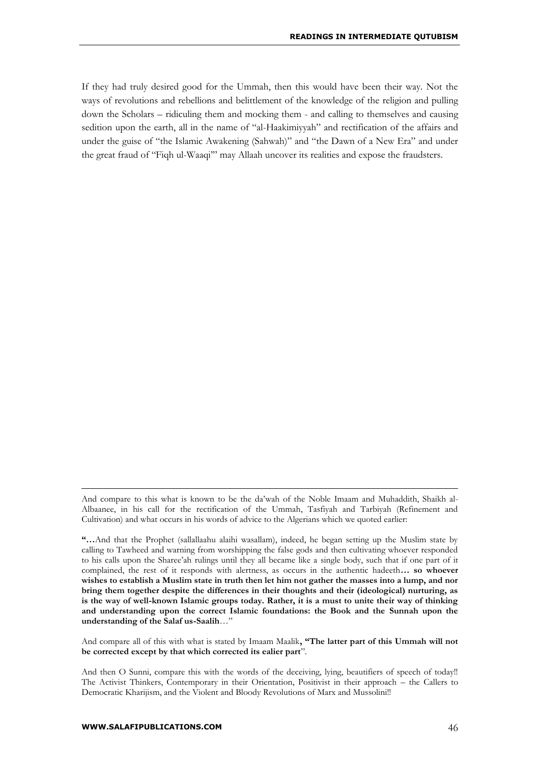If they had truly desired good for the Ummah, then this would have been their way. Not the ways of revolutions and rebellions and belittlement of the knowledge of the religion and pulling down the Scholars – ridiculing them and mocking them - and calling to themselves and causing sedition upon the earth, all in the name of "al-Haakimiyyah" and rectification of the affairs and under the guise of "the Islamic Awakening (Sahwah)" and "the Dawn of a New Era" and under the great fraud of "Fiqh ul-Waaqi'" may Allaah uncover its realities and expose the fraudsters.

And compare all of this with what is stated by Imaam Maalik**, "The latter part of this Ummah will not be corrected except by that which corrected its ealier part**".

And compare to this what is known to be the da'wah of the Noble Imaam and Muhaddith, Shaikh al-Albaanee, in his call for the rectification of the Ummah, Tasfiyah and Tarbiyah (Refinement and Cultivation) and what occurs in his words of advice to the Algerians which we quoted earlier:

**<sup>&</sup>quot;…**And that the Prophet (sallallaahu alaihi wasallam), indeed, he began setting up the Muslim state by calling to Tawheed and warning from worshipping the false gods and then cultivating whoever responded to his calls upon the Sharee'ah rulings until they all became like a single body, such that if one part of it complained, the rest of it responds with alertness, as occurs in the authentic hadeeth**… so whoever wishes to establish a Muslim state in truth then let him not gather the masses into a lump, and nor bring them together despite the differences in their thoughts and their (ideological) nurturing, as is the way of well-known Islamic groups today. Rather, it is a must to unite their way of thinking and understanding upon the correct Islamic foundations: the Book and the Sunnah upon the understanding of the Salaf us-Saalih**…"

And then O Sunni, compare this with the words of the deceiving, lying, beautifiers of speech of today!! The Activist Thinkers, Contemporary in their Orientation, Positivist in their approach – the Callers to Democratic Kharijism, and the Violent and Bloody Revolutions of Marx and Mussolini!!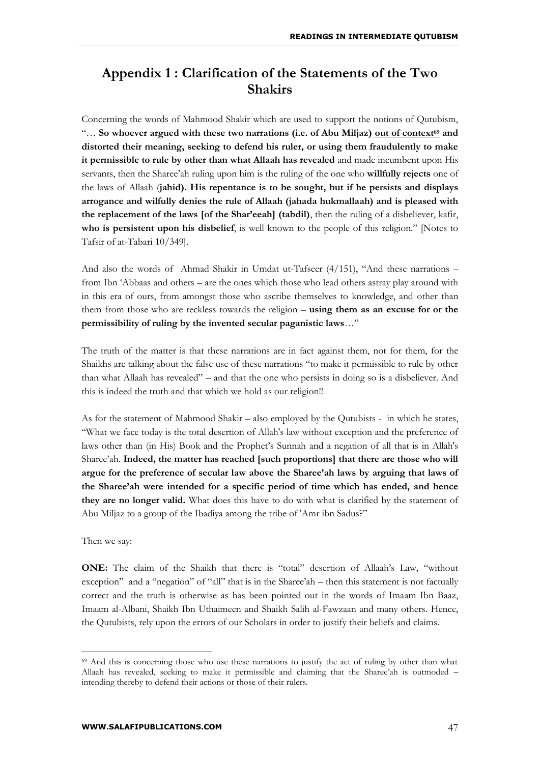## **Appendix 1 : Clarification of the Statements of the Two Shakirs**

Concerning the words of Mahmood Shakir which are used to support the notions of Qutubism, "… **So whoever argued with these two narrations (i.e. of Abu Miljaz) out of context<sup>69</sup> and distorted their meaning, seeking to defend his ruler, or using them fraudulently to make it permissible to rule by other than what Allaah has revealed** and made incumbent upon His servants, then the Sharee'ah ruling upon him is the ruling of the one who **willfully rejects** one of the laws of Allaah (**jahid). His repentance is to be sought, but if he persists and displays arrogance and wilfully denies the rule of Allaah (jahada hukmallaah) and is pleased with the replacement of the laws [of the Shar'eeah] (tabdil)**, then the ruling of a disbeliever, kafir, **who is persistent upon his disbelief**, is well known to the people of this religion." [Notes to Tafsir of at-Tabari 10/349].

And also the words of Ahmad Shakir in Umdat ut-Tafseer (4/151), "And these narrations – from Ibn 'Abbaas and others – are the ones which those who lead others astray play around with in this era of ours, from amongst those who ascribe themselves to knowledge, and other than them from those who are reckless towards the religion – **using them as an excuse for or the permissibility of ruling by the invented secular paganistic laws**…"

The truth of the matter is that these narrations are in fact against them, not for them, for the Shaikhs are talking about the false use of these narrations "to make it permissible to rule by other than what Allaah has revealed" – and that the one who persists in doing so is a disbeliever. And this is indeed the truth and that which we hold as our religion!!

As for the statement of Mahmood Shakir – also employed by the Qutubists - in which he states, "What we face today is the total desertion of Allah's law without exception and the preference of laws other than (in His) Book and the Prophet's Sunnah and a negation of all that is in Allah's Sharee'ah. **Indeed, the matter has reached [such proportions] that there are those who will argue for the preference of secular law above the Sharee'ah laws by arguing that laws of the Sharee'ah were intended for a specific period of time which has ended, and hence they are no longer valid.** What does this have to do with what is clarified by the statement of Abu Miljaz to a group of the Ibadiya among the tribe of 'Amr ibn Sadus?"

Then we say:

1

**ONE:** The claim of the Shaikh that there is "total" desertion of Allaah's Law, "without exception" and a "negation" of "all" that is in the Sharee'ah – then this statement is not factually correct and the truth is otherwise as has been pointed out in the words of Imaam Ibn Baaz, Imaam al-Albani, Shaikh Ibn Uthaimeen and Shaikh Salih al-Fawzaan and many others. Hence, the Qutubists, rely upon the errors of our Scholars in order to justify their beliefs and claims.

<sup>&</sup>lt;sup>69</sup> And this is concerning those who use these narrations to justify the act of ruling by other than what Allaah has revealed, seeking to make it permissible and claiming that the Sharee'ah is outmoded – intending thereby to defend their actions or those of their rulers.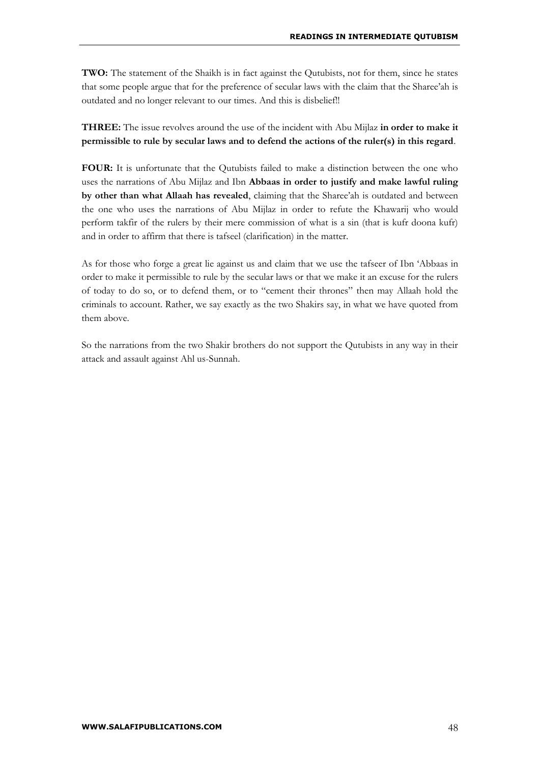**TWO:** The statement of the Shaikh is in fact against the Qutubists, not for them, since he states that some people argue that for the preference of secular laws with the claim that the Sharee'ah is outdated and no longer relevant to our times. And this is disbelief!!

**THREE:** The issue revolves around the use of the incident with Abu Mijlaz **in order to make it permissible to rule by secular laws and to defend the actions of the ruler(s) in this regard**.

**FOUR:** It is unfortunate that the Qutubists failed to make a distinction between the one who uses the narrations of Abu Mijlaz and Ibn **Abbaas in order to justify and make lawful ruling by other than what Allaah has revealed**, claiming that the Sharee'ah is outdated and between the one who uses the narrations of Abu Mijlaz in order to refute the Khawarij who would perform takfir of the rulers by their mere commission of what is a sin (that is kufr doona kufr) and in order to affirm that there is tafseel (clarification) in the matter.

As for those who forge a great lie against us and claim that we use the tafseer of Ibn 'Abbaas in order to make it permissible to rule by the secular laws or that we make it an excuse for the rulers of today to do so, or to defend them, or to "cement their thrones" then may Allaah hold the criminals to account. Rather, we say exactly as the two Shakirs say, in what we have quoted from them above.

So the narrations from the two Shakir brothers do not support the Qutubists in any way in their attack and assault against Ahl us-Sunnah.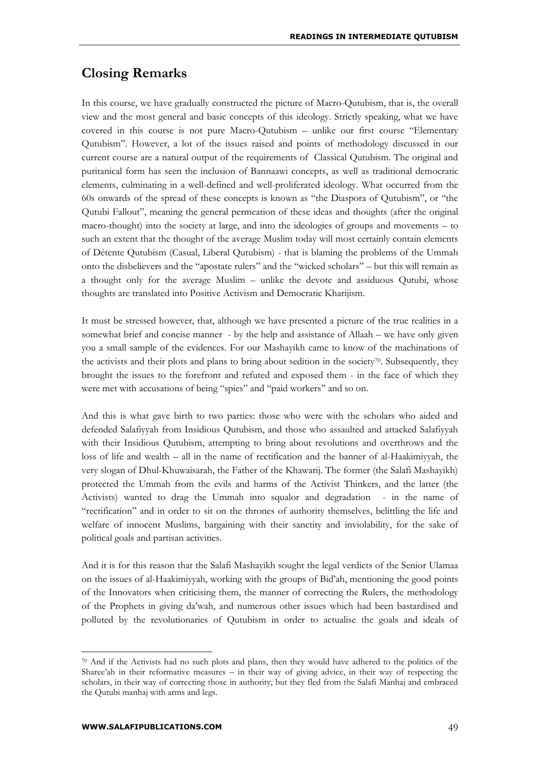## **Closing Remarks**

In this course, we have gradually constructed the picture of Macro-Qutubism, that is, the overall view and the most general and basic concepts of this ideology. Strictly speaking, what we have covered in this course is not pure Macro-Qutubism – unlike our first course "Elementary Qutubism". However, a lot of the issues raised and points of methodology discussed in our current course are a natural output of the requirements of Classical Qutubism. The original and puritanical form has seen the inclusion of Bannaawi concepts, as well as traditional democratic elements, culminating in a well-defined and well-proliferated ideology. What occurred from the 60s onwards of the spread of these concepts is known as "the Diaspora of Qutubism", or "the Qutubi Fallout", meaning the general permeation of these ideas and thoughts (after the original macro-thought) into the society at large, and into the ideologies of groups and movements – to such an extent that the thought of the average Muslim today will most certainly contain elements of Détente Qutubism (Casual, Liberal Qutubism) - that is blaming the problems of the Ummah onto the disbelievers and the "apostate rulers" and the "wicked scholars" – but this will remain as a thought only for the average Muslim – unlike the devote and assiduous Qutubi, whose thoughts are translated into Positive Activism and Democratic Kharijism.

It must be stressed however, that, although we have presented a picture of the true realities in a somewhat brief and concise manner - by the help and assistance of Allaah – we have only given you a small sample of the evidences. For our Mashayikh came to know of the machinations of the activists and their plots and plans to bring about sedition in the society<sup>70</sup>. Subsequently, they brought the issues to the forefront and refuted and exposed them - in the face of which they were met with accusations of being "spies" and "paid workers" and so on.

And this is what gave birth to two parties: those who were with the scholars who aided and defended Salafiyyah from Insidious Qutubism, and those who assaulted and attacked Salafiyyah with their Insidious Qutubism, attempting to bring about revolutions and overthrows and the loss of life and wealth – all in the name of rectification and the banner of al-Haakimiyyah, the very slogan of Dhul-Khuwaisarah, the Father of the Khawarij. The former (the Salafi Mashayikh) protected the Ummah from the evils and harms of the Activist Thinkers, and the latter (the Activists) wanted to drag the Ummah into squalor and degradation - in the name of "rectification" and in order to sit on the thrones of authority themselves, belittling the life and welfare of innocent Muslims, bargaining with their sanctity and inviolability, for the sake of political goals and partisan activities.

And it is for this reason that the Salafi Mashayikh sought the legal verdicts of the Senior Ulamaa on the issues of al-Haakimiyyah, working with the groups of Bid'ah, mentioning the good points of the Innovators when criticising them, the manner of correcting the Rulers, the methodology of the Prophets in giving da'wah, and numerous other issues which had been bastardised and polluted by the revolutionaries of Qutubism in order to actualise the goals and ideals of

 $70$  And if the Activists had no such plots and plans, then they would have adhered to the politics of the Sharee'ah in their reformative measures – in their way of giving advice, in their way of respecting the scholars, in their way of correcting those in authority, but they fled from the Salafi Manhaj and embraced the Qutubi manhaj with arms and legs.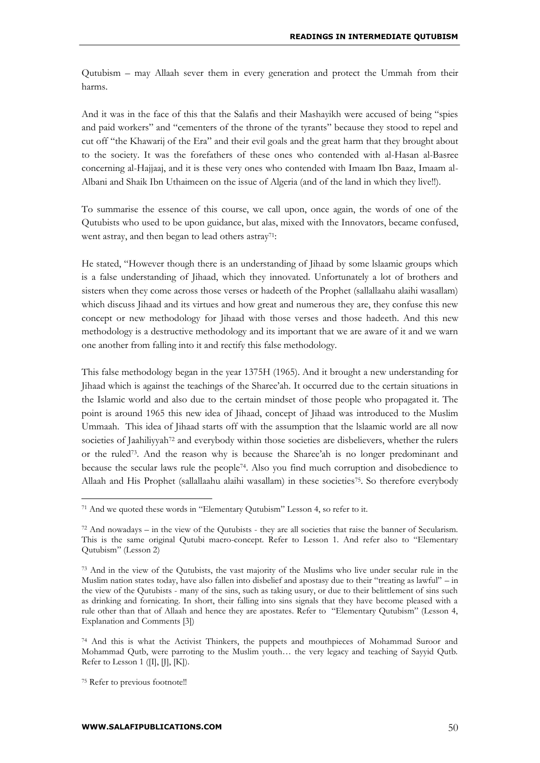Qutubism – may Allaah sever them in every generation and protect the Ummah from their harms.

And it was in the face of this that the Salafis and their Mashayikh were accused of being "spies and paid workers" and "cementers of the throne of the tyrants" because they stood to repel and cut off "the Khawarij of the Era" and their evil goals and the great harm that they brought about to the society. It was the forefathers of these ones who contended with al-Hasan al-Basree concerning al-Hajjaaj, and it is these very ones who contended with Imaam Ibn Baaz, Imaam al-Albani and Shaik Ibn Uthaimeen on the issue of Algeria (and of the land in which they live!!).

To summarise the essence of this course, we call upon, once again, the words of one of the Qutubists who used to be upon guidance, but alas, mixed with the Innovators, became confused, went astray, and then began to lead others astray<sup>71</sup>:

He stated, "However though there is an understanding of Jihaad by some lslaamic groups which is a false understanding of Jihaad, which they innovated. Unfortunately a lot of brothers and sisters when they come across those verses or hadeeth of the Prophet (sallallaahu alaihi wasallam) which discuss Jihaad and its virtues and how great and numerous they are, they confuse this new concept or new methodology for Jihaad with those verses and those hadeeth. And this new methodology is a destructive methodology and its important that we are aware of it and we warn one another from falling into it and rectify this false methodology.

This false methodology began in the year 1375H (1965). And it brought a new understanding for Jihaad which is against the teachings of the Sharee'ah. It occurred due to the certain situations in the Islamic world and also due to the certain mindset of those people who propagated it. The point is around 1965 this new idea of Jihaad, concept of Jihaad was introduced to the Muslim Ummaah. This idea of Jihaad starts off with the assumption that the lslaamic world are all now societies of Jaahiliyyah<sup>72</sup> and everybody within those societies are disbelievers, whether the rulers or the ruled73. And the reason why is because the Sharee'ah is no longer predominant and because the secular laws rule the people74. Also you find much corruption and disobedience to Allaah and His Prophet (sallallaahu alaihi wasallam) in these societies<sup>75</sup>. So therefore everybody

<sup>71</sup> And we quoted these words in "Elementary Qutubism" Lesson 4, so refer to it.

<sup>72</sup> And nowadays – in the view of the Qutubists - they are all societies that raise the banner of Secularism. This is the same original Qutubi macro-concept. Refer to Lesson 1. And refer also to "Elementary Qutubism" (Lesson 2)

<sup>73</sup> And in the view of the Qutubists, the vast majority of the Muslims who live under secular rule in the Muslim nation states today, have also fallen into disbelief and apostasy due to their "treating as lawful" – in the view of the Qutubists - many of the sins, such as taking usury, or due to their belittlement of sins such as drinking and fornicating. In short, their falling into sins signals that they have become pleased with a rule other than that of Allaah and hence they are apostates. Refer to "Elementary Qutubism" (Lesson 4, Explanation and Comments [3])

<sup>74</sup> And this is what the Activist Thinkers, the puppets and mouthpieces of Mohammad Suroor and Mohammad Qutb, were parroting to the Muslim youth… the very legacy and teaching of Sayyid Qutb. Refer to Lesson 1 ([I], [J], [K]).

<sup>75</sup> Refer to previous footnote!!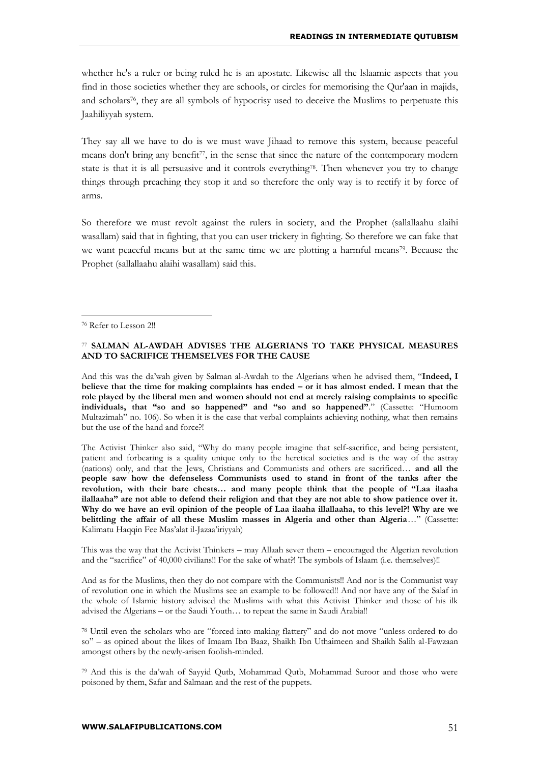whether he's a ruler or being ruled he is an apostate. Likewise all the lslaamic aspects that you find in those societies whether they are schools, or circles for memorising the Qur'aan in majids, and scholars76, they are all symbols of hypocrisy used to deceive the Muslims to perpetuate this Jaahiliyyah system.

They say all we have to do is we must wave Jihaad to remove this system, because peaceful means don't bring any benefit<sup>77</sup>, in the sense that since the nature of the contemporary modern state is that it is all persuasive and it controls everything78. Then whenever you try to change things through preaching they stop it and so therefore the only way is to rectify it by force of arms.

So therefore we must revolt against the rulers in society, and the Prophet (sallallaahu alaihi wasallam) said that in fighting, that you can user trickery in fighting. So therefore we can fake that we want peaceful means but at the same time we are plotting a harmful means<sup>79</sup>. Because the Prophet (sallallaahu alaihi wasallam) said this.

<sup>76</sup> Refer to Lesson 2!!

1

#### <sup>77</sup> **SALMAN AL-AWDAH ADVISES THE ALGERIANS TO TAKE PHYSICAL MEASURES AND TO SACRIFICE THEMSELVES FOR THE CAUSE**

And this was the da'wah given by Salman al-Awdah to the Algerians when he advised them, "**Indeed, I believe that the time for making complaints has ended – or it has almost ended. I mean that the role played by the liberal men and women should not end at merely raising complaints to specific individuals, that "so and so happened" and "so and so happened"**." (Cassette: "Humoom Multazimah" no. 106). So when it is the case that verbal complaints achieving nothing, what then remains but the use of the hand and force?!

The Activist Thinker also said, "Why do many people imagine that self-sacrifice, and being persistent, patient and forbearing is a quality unique only to the heretical societies and is the way of the astray (nations) only, and that the Jews, Christians and Communists and others are sacrificed… **and all the people saw how the defenseless Communists used to stand in front of the tanks after the revolution, with their bare chests… and many people think that the people of "Laa ilaaha ilallaaha" are not able to defend their religion and that they are not able to show patience over it. Why do we have an evil opinion of the people of Laa ilaaha illallaaha, to this level?! Why are we belittling the affair of all these Muslim masses in Algeria and other than Algeria**…" (Cassette: Kalimatu Haqqin Fee Mas'alat il-Jazaa'iriyyah)

This was the way that the Activist Thinkers – may Allaah sever them – encouraged the Algerian revolution and the "sacrifice" of 40,000 civilians!! For the sake of what?! The symbols of Islaam (i.e. themselves)!!

And as for the Muslims, then they do not compare with the Communists!! And nor is the Communist way of revolution one in which the Muslims see an example to be followed!! And nor have any of the Salaf in the whole of Islamic history advised the Muslims with what this Activist Thinker and those of his ilk advised the Algerians – or the Saudi Youth… to repeat the same in Saudi Arabia!!

<sup>78</sup> Until even the scholars who are "forced into making flattery" and do not move "unless ordered to do so" – as opined about the likes of Imaam Ibn Baaz, Shaikh Ibn Uthaimeen and Shaikh Salih al-Fawzaan amongst others by the newly-arisen foolish-minded.

<sup>79</sup> And this is the da'wah of Sayyid Qutb, Mohammad Qutb, Mohammad Suroor and those who were poisoned by them, Safar and Salmaan and the rest of the puppets.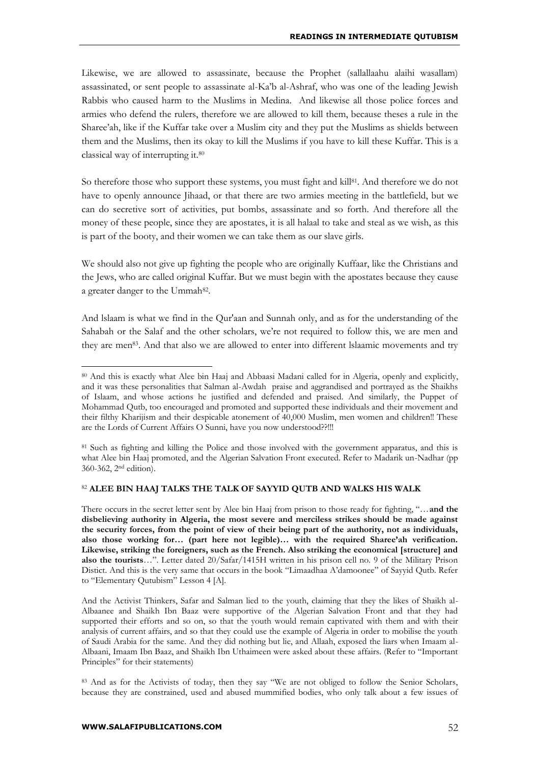Likewise, we are allowed to assassinate, because the Prophet (sallallaahu alaihi wasallam) assassinated, or sent people to assassinate al-Ka'b al-Ashraf, who was one of the leading Jewish Rabbis who caused harm to the Muslims in Medina. And likewise all those police forces and armies who defend the rulers, therefore we are allowed to kill them, because theses a rule in the Sharee'ah, like if the Kuffar take over a Muslim city and they put the Muslims as shields between them and the Muslims, then its okay to kill the Muslims if you have to kill these Kuffar. This is a classical way of interrupting it.<sup>80</sup>

So therefore those who support these systems, you must fight and kill<sup>81</sup>. And therefore we do not have to openly announce Jihaad, or that there are two armies meeting in the battlefield, but we can do secretive sort of activities, put bombs, assassinate and so forth. And therefore all the money of these people, since they are apostates, it is all halaal to take and steal as we wish, as this is part of the booty, and their women we can take them as our slave girls.

We should also not give up fighting the people who are originally Kuffaar, like the Christians and the Jews, who are called original Kuffar. But we must begin with the apostates because they cause a greater danger to the Ummah<sup>82</sup>.

And lslaam is what we find in the Qur'aan and Sunnah only, and as for the understanding of the Sahabah or the Salaf and the other scholars, we're not required to follow this, we are men and they are men<sup>83</sup>. And that also we are allowed to enter into different Islaamic movements and try

<sup>81</sup> Such as fighting and killing the Police and those involved with the government apparatus, and this is what Alee bin Haaj promoted, and the Algerian Salvation Front executed. Refer to Madarik un-Nadhar (pp 360-362, 2nd edition).

#### <sup>82</sup> **ALEE BIN HAAJ TALKS THE TALK OF SAYYID QUTB AND WALKS HIS WALK**

There occurs in the secret letter sent by Alee bin Haaj from prison to those ready for fighting, "…**and the disbelieving authority in Algeria, the most severe and merciless strikes should be made against the security forces, from the point of view of their being part of the authority, not as individuals, also those working for… (part here not legible)… with the required Sharee'ah verification. Likewise, striking the foreigners, such as the French. Also striking the economical [structure] and also the tourists**…". Letter dated 20/Safar/1415H written in his prison cell no. 9 of the Military Prison Distict. And this is the very same that occurs in the book "Limaadhaa A'damoonee" of Sayyid Qutb. Refer to "Elementary Qutubism" Lesson 4 [A].

And the Activist Thinkers, Safar and Salman lied to the youth, claiming that they the likes of Shaikh al-Albaanee and Shaikh Ibn Baaz were supportive of the Algerian Salvation Front and that they had supported their efforts and so on, so that the youth would remain captivated with them and with their analysis of current affairs, and so that they could use the example of Algeria in order to mobilise the youth of Saudi Arabia for the same. And they did nothing but lie, and Allaah, exposed the liars when Imaam al-Albaani, Imaam Ibn Baaz, and Shaikh Ibn Uthaimeen were asked about these affairs. (Refer to "Important Principles" for their statements)

<sup>83</sup> And as for the Activists of today, then they say "We are not obliged to follow the Senior Scholars, because they are constrained, used and abused mummified bodies, who only talk about a few issues of

<sup>80</sup> And this is exactly what Alee bin Haaj and Abbaasi Madani called for in Algeria, openly and explicitly, and it was these personalities that Salman al-Awdah praise and aggrandised and portrayed as the Shaikhs of Islaam, and whose actions he justified and defended and praised. And similarly, the Puppet of Mohammad Qutb, too encouraged and promoted and supported these individuals and their movement and their filthy Kharijism and their despicable atonement of 40,000 Muslim, men women and children!! These are the Lords of Current Affairs O Sunni, have you now understood??!!!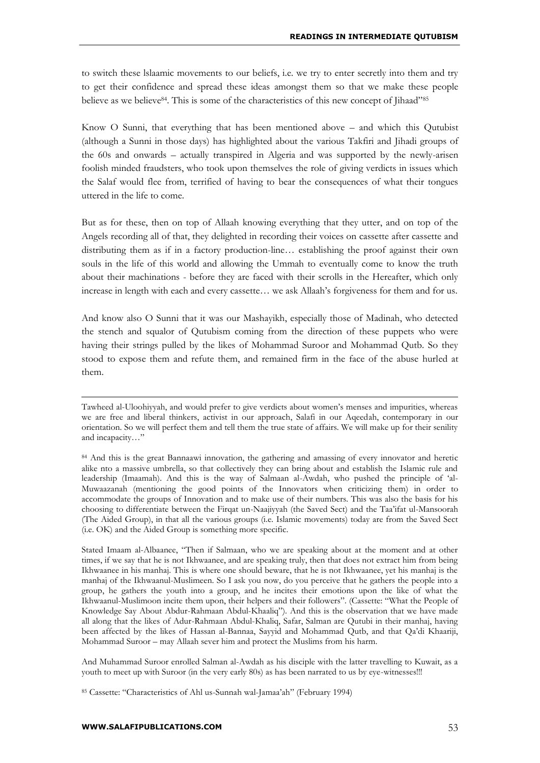to switch these lslaamic movements to our beliefs, i.e. we try to enter secretly into them and try to get their confidence and spread these ideas amongst them so that we make these people believe as we believe84. This is some of the characteristics of this new concept of Jihaad"<sup>85</sup>

Know O Sunni, that everything that has been mentioned above – and which this Qutubist (although a Sunni in those days) has highlighted about the various Takfiri and Jihadi groups of the 60s and onwards – actually transpired in Algeria and was supported by the newly-arisen foolish minded fraudsters, who took upon themselves the role of giving verdicts in issues which the Salaf would flee from, terrified of having to bear the consequences of what their tongues uttered in the life to come.

But as for these, then on top of Allaah knowing everything that they utter, and on top of the Angels recording all of that, they delighted in recording their voices on cassette after cassette and distributing them as if in a factory production-line… establishing the proof against their own souls in the life of this world and allowing the Ummah to eventually come to know the truth about their machinations - before they are faced with their scrolls in the Hereafter, which only increase in length with each and every cassette… we ask Allaah's forgiveness for them and for us.

And know also O Sunni that it was our Mashayikh, especially those of Madinah, who detected the stench and squalor of Qutubism coming from the direction of these puppets who were having their strings pulled by the likes of Mohammad Suroor and Mohammad Qutb. So they stood to expose them and refute them, and remained firm in the face of the abuse hurled at them.

And Muhammad Suroor enrolled Salman al-Awdah as his disciple with the latter travelling to Kuwait, as a youth to meet up with Suroor (in the very early 80s) as has been narrated to us by eye-witnesses!!!

<sup>85</sup> Cassette: "Characteristics of Ahl us-Sunnah wal-Jamaa'ah" (February 1994)

Tawheed al-Uloohiyyah, and would prefer to give verdicts about women's menses and impurities, whereas we are free and liberal thinkers, activist in our approach, Salafi in our Aqeedah, contemporary in our orientation. So we will perfect them and tell them the true state of affairs. We will make up for their senility and incapacity…"

<sup>&</sup>lt;sup>84</sup> And this is the great Bannaawi innovation, the gathering and amassing of every innovator and heretic alike nto a massive umbrella, so that collectively they can bring about and establish the Islamic rule and leadership (Imaamah). And this is the way of Salmaan al-Awdah, who pushed the principle of 'al-Muwaazanah (mentioning the good points of the Innovators when criticizing them) in order to accommodate the groups of Innovation and to make use of their numbers. This was also the basis for his choosing to differentiate between the Firqat un-Naajiyyah (the Saved Sect) and the Taa'ifat ul-Mansoorah (The Aided Group), in that all the various groups (i.e. Islamic movements) today are from the Saved Sect (i.e. OK) and the Aided Group is something more specific.

Stated Imaam al-Albaanee, "Then if Salmaan, who we are speaking about at the moment and at other times, if we say that he is not Ikhwaanee, and are speaking truly, then that does not extract him from being Ikhwaanee in his manhaj. This is where one should beware, that he is not Ikhwaanee, yet his manhaj is the manhaj of the Ikhwaanul-Muslimeen. So I ask you now, do you perceive that he gathers the people into a group, he gathers the youth into a group, and he incites their emotions upon the like of what the Ikhwaanul-Muslimoon incite them upon, their helpers and their followers". (Cassette: "What the People of Knowledge Say About Abdur-Rahmaan Abdul-Khaaliq"). And this is the observation that we have made all along that the likes of Adur-Rahmaan Abdul-Khaliq, Safar, Salman are Qutubi in their manhaj, having been affected by the likes of Hassan al-Bannaa, Sayyid and Mohammad Qutb, and that Qa'di Khaariji, Mohammad Suroor – may Allaah sever him and protect the Muslims from his harm.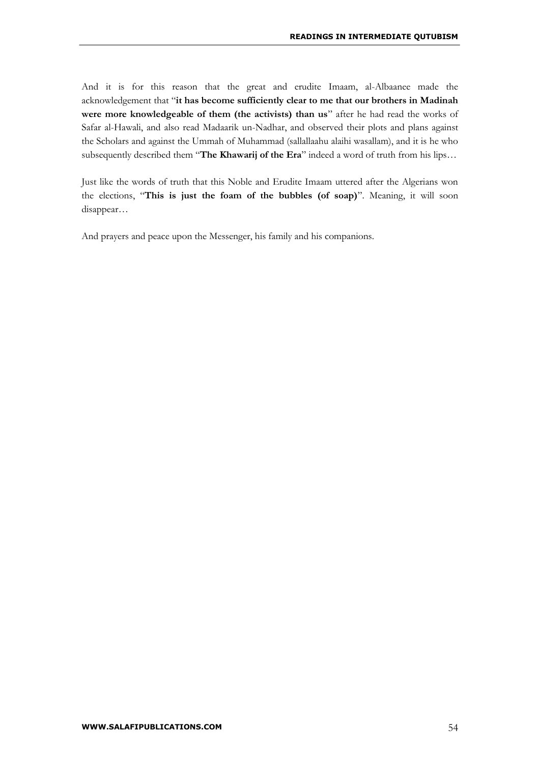And it is for this reason that the great and erudite Imaam, al-Albaanee made the acknowledgement that "**it has become sufficiently clear to me that our brothers in Madinah were more knowledgeable of them (the activists) than us**" after he had read the works of Safar al-Hawali, and also read Madaarik un-Nadhar, and observed their plots and plans against the Scholars and against the Ummah of Muhammad (sallallaahu alaihi wasallam), and it is he who subsequently described them "**The Khawarij of the Era**" indeed a word of truth from his lips...

Just like the words of truth that this Noble and Erudite Imaam uttered after the Algerians won the elections, "**This is just the foam of the bubbles (of soap)**". Meaning, it will soon disappear…

And prayers and peace upon the Messenger, his family and his companions.